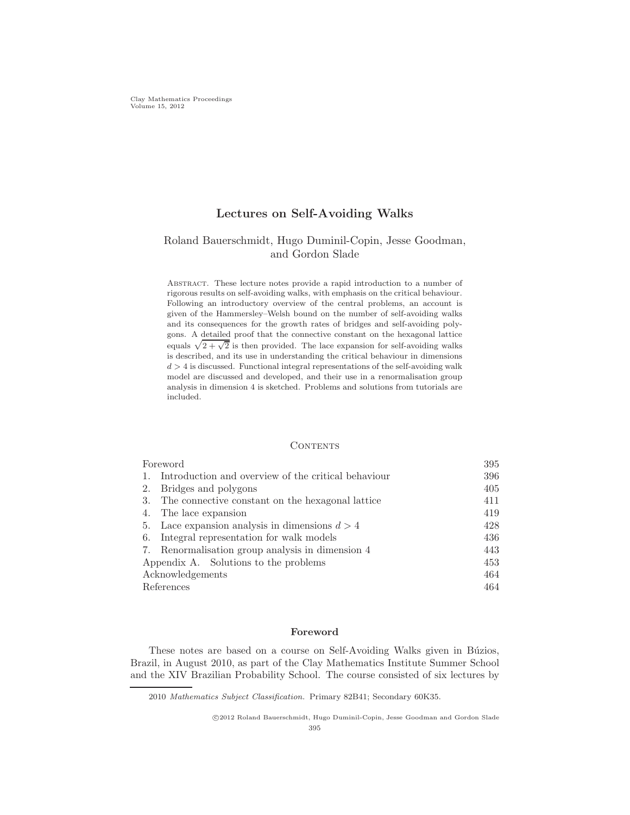# Lectures on Self-Avoiding Walks

# Roland Bauerschmidt, Hugo Duminil-Copin, Jesse Goodman, and Gordon Slade

Abstract. These lecture notes provide a rapid introduction to a number of rigorous results on self-avoiding walks, with emphasis on the critical behaviour. Following an introductory overview of the central problems, an account is given of the Hammersley–Welsh bound on the number of self-avoiding walks and its consequences for the growth rates of bridges and self-avoiding polygons. A detailed proof that the connective constant on the hexagonal lattice equals  $\sqrt{2 + \sqrt{2}}$  is then provided. The lace expansion for self-avoiding walks is described, and its use in understanding the critical behaviour in dimensions  $d > 4$  is discussed. Functional integral representations of the self-avoiding walk model are discussed and developed, and their use in a renormalisation group analysis in dimension 4 is sketched. Problems and solutions from tutorials are included.

#### **CONTENTS**

| Foreword                              |                                                     | 395 |
|---------------------------------------|-----------------------------------------------------|-----|
| 1.                                    | Introduction and overview of the critical behaviour | 396 |
| 2.                                    | Bridges and polygons                                | 405 |
|                                       | 3. The connective constant on the hexagonal lattice | 411 |
| 4.                                    | The lace expansion                                  | 419 |
|                                       | 5. Lace expansion analysis in dimensions $d > 4$    | 428 |
| 6.                                    | Integral representation for walk models             | 436 |
|                                       | 7. Renormalisation group analysis in dimension 4    | 443 |
| Appendix A. Solutions to the problems |                                                     | 453 |
| Acknowledgements                      |                                                     | 464 |
| References                            |                                                     | 464 |

## Foreword

These notes are based on a course on Self-Avoiding Walks given in Búzios, Brazil, in August 2010, as part of the Clay Mathematics Institute Summer School and the XIV Brazilian Probability School. The course consisted of six lectures by

<sup>2010</sup> *Mathematics Subject Classification.* Primary 82B41; Secondary 60K35.

c 2012 Roland Bauerschmidt, Hugo Duminil-Copin, Jesse Goodman and Gordon Slade 395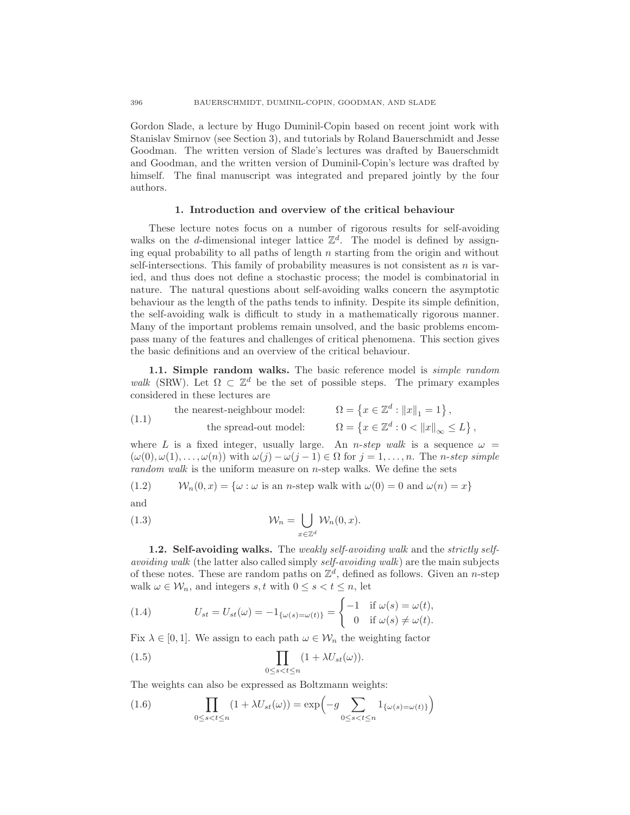Gordon Slade, a lecture by Hugo Duminil-Copin based on recent joint work with Stanislav Smirnov (see Section 3), and tutorials by Roland Bauerschmidt and Jesse Goodman. The written version of Slade's lectures was drafted by Bauerschmidt and Goodman, and the written version of Duminil-Copin's lecture was drafted by himself. The final manuscript was integrated and prepared jointly by the four authors.

#### 1. Introduction and overview of the critical behaviour

These lecture notes focus on a number of rigorous results for self-avoiding walks on the d-dimensional integer lattice  $\mathbb{Z}^d$ . The model is defined by assigning equal probability to all paths of length  $n$  starting from the origin and without self-intersections. This family of probability measures is not consistent as  $n$  is varied, and thus does not define a stochastic process; the model is combinatorial in nature. The natural questions about self-avoiding walks concern the asymptotic behaviour as the length of the paths tends to infinity. Despite its simple definition, the self-avoiding walk is difficult to study in a mathematically rigorous manner. Many of the important problems remain unsolved, and the basic problems encompass many of the features and challenges of critical phenomena. This section gives the basic definitions and an overview of the critical behaviour.

1.1. Simple random walks. The basic reference model is *simple random walk* (SRW). Let  $\Omega \subset \mathbb{Z}^d$  be the set of possible steps. The primary examples considered in these lectures are

(1.1) the nearest-neighbor model: 
$$
\Omega = \{x \in \mathbb{Z}^d : ||x||_1 = 1\},
$$
  
the spread-out model: 
$$
\Omega = \{x \in \mathbb{Z}^d : 0 < ||x||_{\infty} \le L\},
$$

where L is a fixed integer, usually large. An *n-step walk* is a sequence  $\omega$  =  $(\omega(0), \omega(1), \ldots, \omega(n))$  with  $\omega(j) - \omega(j-1) \in \Omega$  for  $j = 1, \ldots, n$ . The *n*-step simple *random walk* is the uniform measure on *n*-step walks. We define the sets

(1.2) 
$$
W_n(0, x) = \{ \omega : \omega \text{ is an } n\text{-step walk with } \omega(0) = 0 \text{ and } \omega(n) = x \}
$$

(1.3) 
$$
\mathcal{W}_n = \bigcup_{x \in \mathbb{Z}^d} \mathcal{W}_n(0, x).
$$

1.2. Self-avoiding walks. The *weakly self-avoiding walk* and the *strictly selfavoiding walk* (the latter also called simply *self-avoiding walk*) are the main subjects of these notes. These are random paths on  $\mathbb{Z}^d$ , defined as follows. Given an *n*-step walk  $\omega \in \mathcal{W}_n$ , and integers s, t with  $0 \leq s < t \leq n$ , let

(1.4) 
$$
U_{st} = U_{st}(\omega) = -1_{\{\omega(s) = \omega(t)\}} = \begin{cases} -1 & \text{if } \omega(s) = \omega(t), \\ 0 & \text{if } \omega(s) \neq \omega(t). \end{cases}
$$

Fix  $\lambda \in [0, 1]$ . We assign to each path  $\omega \in \mathcal{W}_n$  the weighting factor

(1.5) 
$$
\prod_{0 \le s < t \le n} (1 + \lambda U_{st}(\omega)).
$$

The weights can also be expressed as Boltzmann weights:

(1.6) 
$$
\prod_{0 \le s < t \le n} (1 + \lambda U_{st}(\omega)) = \exp\left(-g \sum_{0 \le s < t \le n} 1_{\{\omega(s) = \omega(t)\}}\right)
$$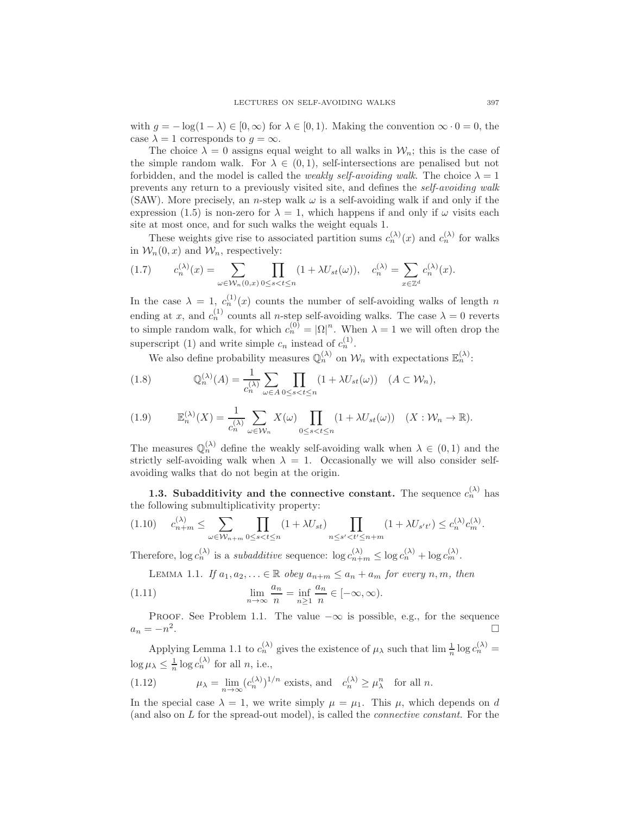with  $q = -\log(1 - \lambda) \in [0, \infty)$  for  $\lambda \in [0, 1)$ . Making the convention  $\infty \cdot 0 = 0$ , the case  $\lambda = 1$  corresponds to  $q = \infty$ .

The choice  $\lambda = 0$  assigns equal weight to all walks in  $\mathcal{W}_n$ ; this is the case of the simple random walk. For  $\lambda \in (0,1)$ , self-intersections are penalised but not forbidden, and the model is called the *weakly self-avoiding walk*. The choice  $\lambda = 1$ prevents any return to a previously visited site, and defines the *self-avoiding walk* (SAW). More precisely, an *n*-step walk  $\omega$  is a self-avoiding walk if and only if the expression (1.5) is non-zero for  $\lambda = 1$ , which happens if and only if  $\omega$  visits each site at most once, and for such walks the weight equals 1.

These weights give rise to associated partition sums  $c_n^{(\lambda)}(x)$  and  $c_n^{(\lambda)}$  for walks in  $\mathcal{W}_n(0, x)$  and  $\mathcal{W}_n$ , respectively:

$$
(1.7) \t c_n^{(\lambda)}(x) = \sum_{\omega \in \mathcal{W}_n(0,x)} \prod_{0 \le s < t \le n} (1 + \lambda U_{st}(\omega)), \t c_n^{(\lambda)} = \sum_{x \in \mathbb{Z}^d} c_n^{(\lambda)}(x).
$$

In the case  $\lambda = 1$ ,  $c_n^{(1)}(x)$  counts the number of self-avoiding walks of length n ending at x, and  $c_n^{(1)}$  counts all n-step self-avoiding walks. The case  $\lambda = 0$  reverts to simple random walk, for which  $c_n^{(0)} = |\Omega|^n$ . When  $\lambda = 1$  we will often drop the superscript (1) and write simple  $c_n$  instead of  $c_n^{(1)}$ .

We also define probability measures  $\mathbb{Q}_n^{(\lambda)}$  on  $\mathcal{W}_n$  with expectations  $\mathbb{E}_n^{(\lambda)}$ :

(1.8) 
$$
\mathbb{Q}_n^{(\lambda)}(A) = \frac{1}{c_n^{(\lambda)}} \sum_{\omega \in A} \prod_{0 \le s < t \le n} (1 + \lambda U_{st}(\omega)) \quad (A \subset \mathcal{W}_n),
$$

(1.9) 
$$
\mathbb{E}_n^{(\lambda)}(X) = \frac{1}{c_n^{(\lambda)}} \sum_{\omega \in \mathcal{W}_n} X(\omega) \prod_{0 \le s < t \le n} (1 + \lambda U_{st}(\omega)) \quad (X : \mathcal{W}_n \to \mathbb{R}).
$$

The measures  $\mathbb{Q}_n^{(\lambda)}$  define the weakly self-avoiding walk when  $\lambda \in (0,1)$  and the strictly self-avoiding walk when  $\lambda = 1$ . Occasionally we will also consider selfavoiding walks that do not begin at the origin.

**1.3.** Subadditivity and the connective constant. The sequence  $c_n^{(\lambda)}$  has the following submultiplicativity property:

$$
(1.10) \t c_{n+m}^{(\lambda)} \leq \sum_{\omega \in \mathcal{W}_{n+m}} \prod_{0 \leq s < t \leq n} (1 + \lambda U_{st}) \prod_{n \leq s' < t' \leq n+m} (1 + \lambda U_{s't'}) \leq c_n^{(\lambda)} c_m^{(\lambda)}.
$$

Therefore,  $\log c_n^{(\lambda)}$  is a *subadditive* sequence:  $\log c_{n+m}^{(\lambda)} \leq \log c_n^{(\lambda)} + \log c_m^{(\lambda)}$ .

LEMMA 1.1. *If*  $a_1, a_2, \ldots \in \mathbb{R}$  *obey*  $a_{n+m} \le a_n + a_m$  *for every n, m, then* 

(1.11) 
$$
\lim_{n \to \infty} \frac{a_n}{n} = \inf_{n \ge 1} \frac{a_n}{n} \in [-\infty, \infty).
$$

PROOF. See Problem 1.1. The value  $-\infty$  is possible, e.g., for the sequence  $=-n^2$ .  $a_n = -n^2$ .

Applying Lemma 1.1 to  $c_n^{(\lambda)}$  gives the existence of  $\mu_\lambda$  such that  $\lim_{n \to \infty} \log c_n^{(\lambda)} =$  $\log \mu_{\lambda} \leq \frac{1}{n} \log c_n^{(\lambda)}$  for all *n*, i.e.,

(1.12) 
$$
\mu_{\lambda} = \lim_{n \to \infty} (c_n^{(\lambda)})^{1/n} \text{ exists, and } c_n^{(\lambda)} \ge \mu_{\lambda}^n \text{ for all } n.
$$

In the special case  $\lambda = 1$ , we write simply  $\mu = \mu_1$ . This  $\mu$ , which depends on d (and also on L for the spread-out model), is called the *connective constant*. For the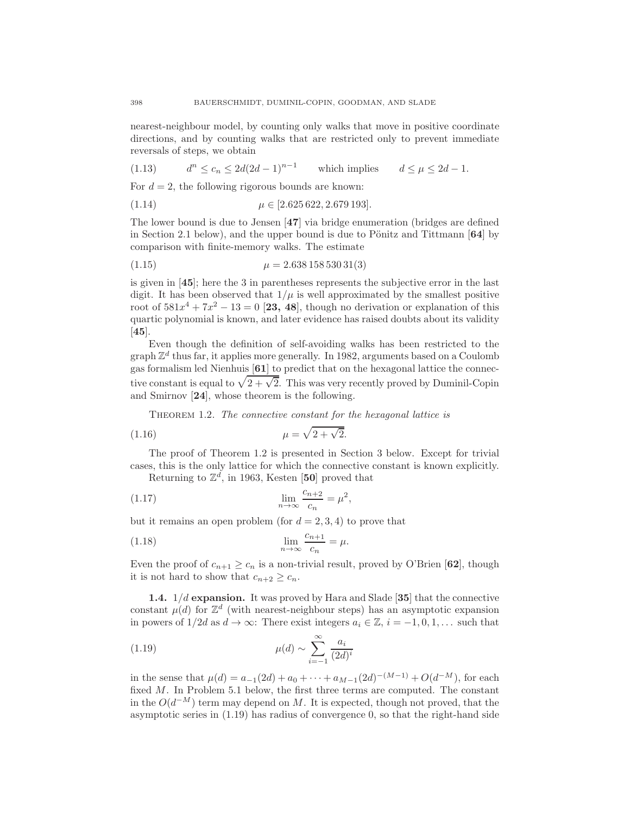nearest-neighbour model, by counting only walks that move in positive coordinate directions, and by counting walks that are restricted only to prevent immediate reversals of steps, we obtain

$$
(1.13) \t dn \le c_n \le 2d(2d-1)^{n-1} \t which implies d \le \mu \le 2d-1.
$$

For  $d = 2$ , the following rigorous bounds are known:

(1.14) 
$$
\mu \in [2.625\,622, 2.679\,193].
$$

The lower bound is due to Jensen [47] via bridge enumeration (bridges are defined in Section 2.1 below), and the upper bound is due to Pönitz and Tittmann  $[64]$  by comparison with finite-memory walks. The estimate

$$
\mu = 2.638\,158\,530\,31(3)
$$

is given in [45]; here the 3 in parentheses represents the subjective error in the last digit. It has been observed that  $1/\mu$  is well approximated by the smallest positive root of  $581x^4 + 7x^2 - 13 = 0$  [23, 48], though no derivation or explanation of this quartic polynomial is known, and later evidence has raised doubts about its validity [45].

Even though the definition of self-avoiding walks has been restricted to the graph  $\mathbb{Z}^d$  thus far, it applies more generally. In 1982, arguments based on a Coulomb gas formalism led Nienhuis [61] to predict that on the hexagonal lattice the connective constant is equal to  $\sqrt{2 + \sqrt{2}}$ . This was very recently proved by Duminil-Copin and Smirnov [24], whose theorem is the following.

Theorem 1.2. *The connective constant for the hexagonal lattice is*

(1.16) 
$$
\mu = \sqrt{2 + \sqrt{2}}.
$$

The proof of Theorem 1.2 is presented in Section 3 below. Except for trivial cases, this is the only lattice for which the connective constant is known explicitly.

Returning to  $\mathbb{Z}^d$ , in 1963, Kesten [50] proved that

$$
\lim_{n \to \infty} \frac{c_{n+2}}{c_n} = \mu^2,
$$

but it remains an open problem (for  $d = 2, 3, 4$ ) to prove that

(1.18) 
$$
\lim_{n \to \infty} \frac{c_{n+1}}{c_n} = \mu.
$$

Even the proof of  $c_{n+1} \geq c_n$  is a non-trivial result, proved by O'Brien [62], though it is not hard to show that  $c_{n+2} \geq c_n$ .

**1.4.**  $1/d$  expansion. It was proved by Hara and Slade [35] that the connective constant  $\mu(d)$  for  $\mathbb{Z}^d$  (with nearest-neighbour steps) has an asymptotic expansion in powers of  $1/2d$  as  $d \to \infty$ : There exist integers  $a_i \in \mathbb{Z}$ ,  $i = -1, 0, 1, \ldots$  such that

(1.19) 
$$
\mu(d) \sim \sum_{i=-1}^{\infty} \frac{a_i}{(2d)^i}
$$

in the sense that  $\mu(d) = a_{-1}(2d) + a_0 + \cdots + a_{M-1}(2d)^{-(M-1)} + O(d^{-M}),$  for each fixed M. In Problem 5.1 below, the first three terms are computed. The constant in the  $O(d^{-M})$  term may depend on M. It is expected, though not proved, that the asymptotic series in  $(1.19)$  has radius of convergence 0, so that the right-hand side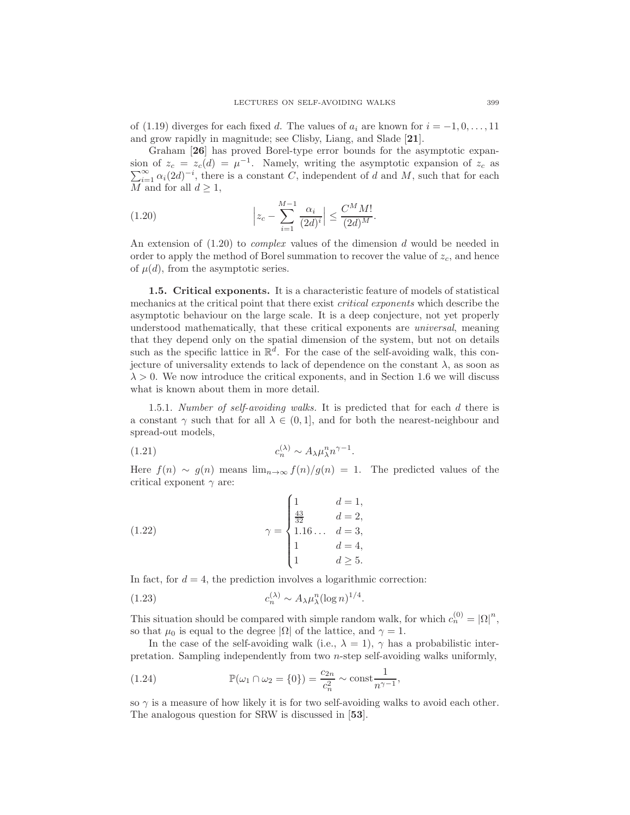of (1.19) diverges for each fixed d. The values of  $a_i$  are known for  $i = -1, 0, \ldots, 11$ and grow rapidly in magnitude; see Clisby, Liang, and Slade [21].

Graham [26] has proved Borel-type error bounds for the asymptotic expansion of  $z_c = z_c(d) = \mu^{-1}$ . Namely, writing the asymptotic expansion of  $z_c$  as  $\sum_{i=1}^{\infty} \alpha_i(2d)^{-i}$ , there is a constant C, independent of d and M, such that for each M and for all  $d \geq 1$ ,

(1.20) 
$$
\left| z_c - \sum_{i=1}^{M-1} \frac{\alpha_i}{(2d)^i} \right| \leq \frac{C^M M!}{(2d)^M}.
$$

An extension of (1.20) to *complex* values of the dimension d would be needed in order to apply the method of Borel summation to recover the value of  $z_c$ , and hence of  $\mu(d)$ , from the asymptotic series.

1.5. Critical exponents. It is a characteristic feature of models of statistical mechanics at the critical point that there exist *critical exponents* which describe the asymptotic behaviour on the large scale. It is a deep conjecture, not yet properly understood mathematically, that these critical exponents are *universal*, meaning that they depend only on the spatial dimension of the system, but not on details such as the specific lattice in  $\mathbb{R}^d$ . For the case of the self-avoiding walk, this conjecture of universality extends to lack of dependence on the constant  $\lambda$ , as soon as  $\lambda > 0$ . We now introduce the critical exponents, and in Section 1.6 we will discuss what is known about them in more detail.

1.5.1. *Number of self-avoiding walks.* It is predicted that for each d there is a constant  $\gamma$  such that for all  $\lambda \in (0,1]$ , and for both the nearest-neighbour and spread-out models,

$$
(1.21) \t\t\t c_n^{(\lambda)} \sim A_\lambda \mu_\lambda^n n^{\gamma - 1}.
$$

Here  $f(n) \sim g(n)$  means  $\lim_{n\to\infty} f(n)/g(n) = 1$ . The predicted values of the critical exponent  $\gamma$  are:

(1.22) 
$$
\gamma = \begin{cases} 1 & d = 1, \\ \frac{43}{32} & d = 2, \\ 1.16... & d = 3, \\ 1 & d = 4, \\ 1 & d \ge 5. \end{cases}
$$

In fact, for  $d = 4$ , the prediction involves a logarithmic correction:

(1.23) 
$$
c_n^{(\lambda)} \sim A_\lambda \mu_\lambda^n (\log n)^{1/4}
$$

This situation should be compared with simple random walk, for which  $c_n^{(0)} = |\Omega|^n$ , so that  $\mu_0$  is equal to the degree  $|\Omega|$  of the lattice, and  $\gamma = 1$ .

.

In the case of the self-avoiding walk (i.e.,  $\lambda = 1$ ),  $\gamma$  has a probabilistic interpretation. Sampling independently from two n-step self-avoiding walks uniformly,

(1.24) 
$$
\mathbb{P}(\omega_1 \cap \omega_2 = \{0\}) = \frac{c_{2n}}{c_n^2} \sim \text{const} \frac{1}{n^{\gamma - 1}},
$$

so  $\gamma$  is a measure of how likely it is for two self-avoiding walks to avoid each other. The analogous question for SRW is discussed in [53].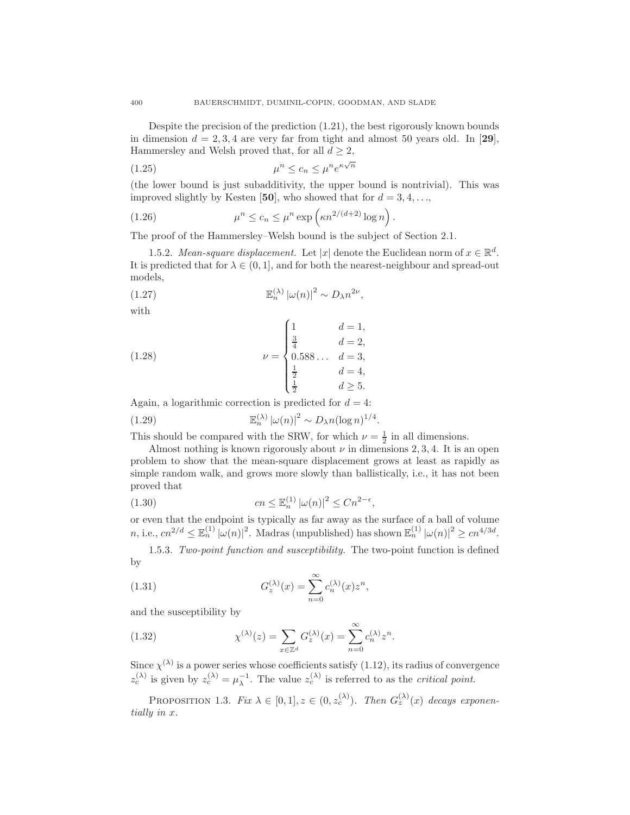Despite the precision of the prediction (1.21), the best rigorously known bounds in dimension  $d = 2, 3, 4$  are very far from tight and almost 50 years old. In [29], Hammersley and Welsh proved that, for all  $d \geq 2$ ,

$$
\mu^n \le c_n \le \mu^n e^{\kappa \sqrt{n}}
$$

(the lower bound is just subadditivity, the upper bound is nontrivial). This was improved slightly by Kesten [50], who showed that for  $d = 3, 4, \ldots$ ,

(1.26) 
$$
\mu^n \leq c_n \leq \mu^n \exp\left(\kappa n^{2/(d+2)} \log n\right).
$$

The proof of the Hammersley–Welsh bound is the subject of Section 2.1.

1.5.2. *Mean-square displacement.* Let  $|x|$  denote the Euclidean norm of  $x \in \mathbb{R}^d$ . It is predicted that for  $\lambda \in (0, 1]$ , and for both the nearest-neighbour and spread-out models,

(1.27) 
$$
\mathbb{E}_n^{(\lambda)} |\omega(n)|^2 \sim D_{\lambda} n^{2\nu},
$$

with

(1.28) 
$$
\nu = \begin{cases} 1 & d = 1, \\ \frac{3}{4} & d = 2, \\ 0.588... & d = 3, \\ \frac{1}{2} & d = 4, \\ \frac{1}{2} & d \ge 5. \end{cases}
$$

Again, a logarithmic correction is predicted for  $d = 4$ :

(1.29) 
$$
\mathbb{E}_n^{(\lambda)} |\omega(n)|^2 \sim D_{\lambda} n (\log n)^{1/4}
$$

This should be compared with the SRW, for which  $\nu = \frac{1}{2}$  in all dimensions.

Almost nothing is known rigorously about  $\nu$  in dimensions 2, 3, 4. It is an open problem to show that the mean-square displacement grows at least as rapidly as simple random walk, and grows more slowly than ballistically, i.e., it has not been proved that

.

(1.30) 
$$
cn \leq \mathbb{E}_n^{(1)} |\omega(n)|^2 \leq Cn^{2-\epsilon},
$$

or even that the endpoint is typically as far away as the surface of a ball of volume *n*, i.e.,  $cn^{2/d} \leq \mathbb{E}_n^{(1)} |\omega(n)|^2$ . Madras (unpublished) has shown  $\mathbb{E}_n^{(1)} |\omega(n)|^2 \geq cn^{4/3d}$ .

1.5.3. *Two-point function and susceptibility.* The two-point function is defined by

(1.31) 
$$
G_z^{(\lambda)}(x) = \sum_{n=0}^{\infty} c_n^{(\lambda)}(x) z^n,
$$

and the susceptibility by

(1.32) 
$$
\chi^{(\lambda)}(z) = \sum_{x \in \mathbb{Z}^d} G_z^{(\lambda)}(x) = \sum_{n=0}^{\infty} c_n^{(\lambda)} z^n.
$$

Since  $\chi^{(\lambda)}$  is a power series whose coefficients satisfy (1.12), its radius of convergence  $z_c^{(\lambda)}$  is given by  $z_c^{(\lambda)} = \mu_{\lambda}^{-1}$ . The value  $z_c^{(\lambda)}$  is referred to as the *critical point*.

PROPOSITION 1.3. *Fix*  $\lambda \in [0,1], z \in (0, z_c^{(\lambda)})$ . *Then*  $G_z^{(\lambda)}(x)$  *decays exponentially in* x*.*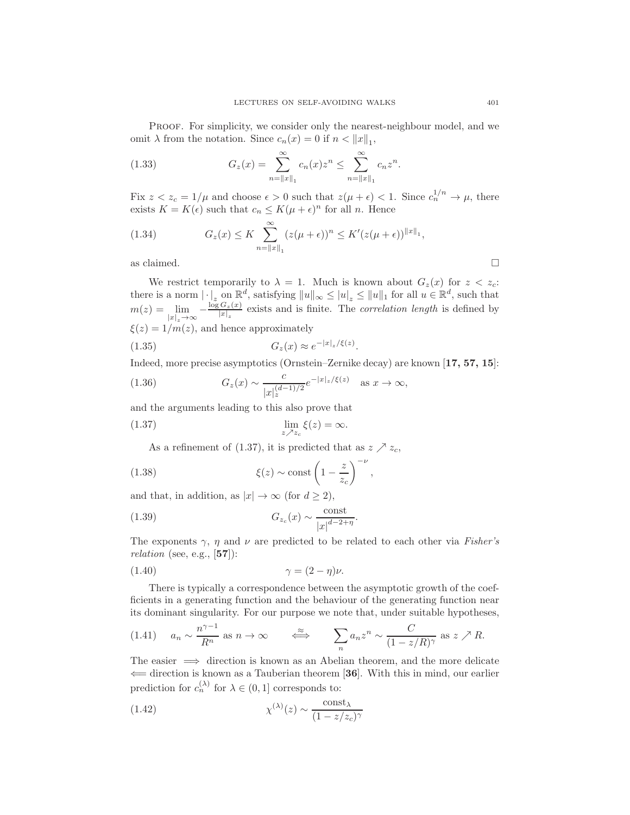Proof. For simplicity, we consider only the nearest-neighbour model, and we omit  $\lambda$  from the notation. Since  $c_n(x) = 0$  if  $n < ||x||_1$ ,

(1.33) 
$$
G_z(x) = \sum_{n=\|x\|_1}^{\infty} c_n(x) z^n \le \sum_{n=\|x\|_1}^{\infty} c_n z^n.
$$

Fix  $z < z_c = 1/\mu$  and choose  $\epsilon > 0$  such that  $z(\mu + \epsilon) < 1$ . Since  $c_n^{1/n} \to \mu$ , there exists  $K = K(\epsilon)$  such that  $c_n \leq K(\mu + \epsilon)^n$  for all *n*. Hence

(1.34) 
$$
G_z(x) \le K \sum_{n=\|x\|_1}^{\infty} (z(\mu+\epsilon))^n \le K'(z(\mu+\epsilon))^{\|x\|_1},
$$
as claimed.  $\square$ 

We restrict temporarily to  $\lambda = 1$ . Much is known about  $G_z(x)$  for  $z < z_c$ . there is a norm  $|\cdot|_z$  on  $\mathbb{R}^d$ , satisfying  $||u||_{\infty} \leq |u|_z \leq ||u||_1$  for all  $u \in \mathbb{R}^d$ , such that  $m(z) = \lim$  $\lim_{|x|_z\to\infty}-\frac{\log G_z(x)}{|x|_z}$  $\frac{G_z(x)}{|x|_z}$  exists and is finite. The *correlation length* is defined by  $\xi(z) = 1/m(z)$ , and hence approximately

$$
(1.35) \t Gz(x) \approx e^{-|x|_{z}/\xi(z)}.
$$

Indeed, more precise asymptotics (Ornstein–Zernike decay) are known [17, 57, 15]:

(1.36) 
$$
G_z(x) \sim \frac{c}{|x|_z^{(d-1)/2}} e^{-|x|_z/\xi(z)} \text{ as } x \to \infty,
$$

and the arguments leading to this also prove that

(1.37) 
$$
\lim_{z \nearrow z_c} \xi(z) = \infty.
$$

As a refinement of (1.37), it is predicted that as  $z \nearrow z_c$ ,

(1.38) 
$$
\xi(z) \sim \text{const} \left(1 - \frac{z}{z_c}\right)^{-\nu},
$$

and that, in addition, as  $|x| \to \infty$  (for  $d \ge 2$ ),

$$
(1.39) \tG_{z_c}(x) \sim \frac{\text{const}}{|x|^{d-2+\eta}}.
$$

The exponents  $\gamma$ ,  $\eta$  and  $\nu$  are predicted to be related to each other via *Fisher's relation* (see, e.g., [57]):

$$
\gamma = (2 - \eta)\nu.
$$

There is typically a correspondence between the asymptotic growth of the coefficients in a generating function and the behaviour of the generating function near its dominant singularity. For our purpose we note that, under suitable hypotheses,

$$
(1.41) \quad a_n \sim \frac{n^{\gamma - 1}}{R^n} \text{ as } n \to \infty \qquad \Longleftrightarrow \qquad \sum_n a_n z^n \sim \frac{C}{(1 - z/R)^{\gamma}} \text{ as } z \nearrow R.
$$

The easier  $\implies$  direction is known as an Abelian theorem, and the more delicate  $\leftarrow$  direction is known as a Tauberian theorem [36]. With this in mind, our earlier prediction for  $c_n^{(\lambda)}$  for  $\lambda \in (0,1]$  corresponds to:

(1.42) 
$$
\chi^{(\lambda)}(z) \sim \frac{\text{const}_{\lambda}}{(1 - z/z_c)^{\gamma}}
$$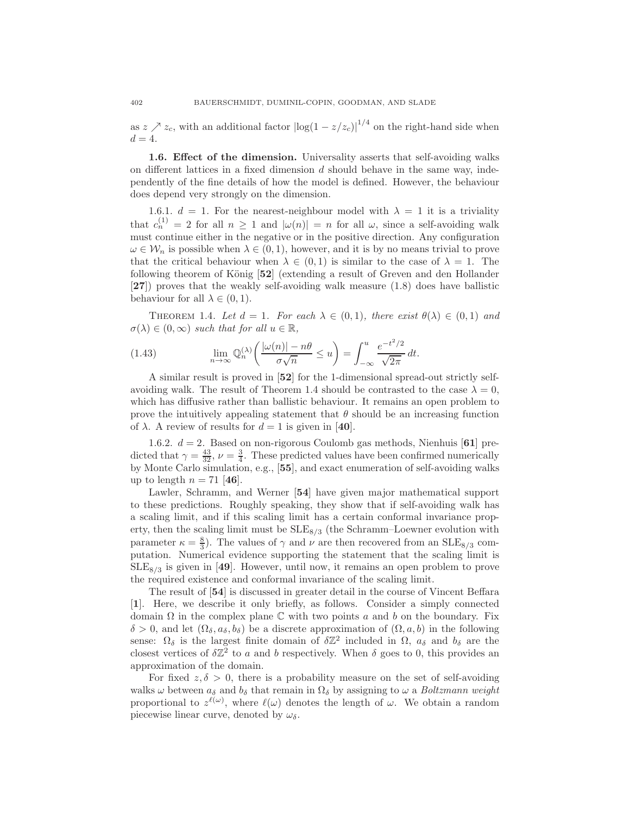as  $z \nearrow z_c$ , with an additional factor  $|\log(1 - z/z_c)|^{1/4}$  on the right-hand side when  $d = 4$ 

1.6. Effect of the dimension. Universality asserts that self-avoiding walks on different lattices in a fixed dimension  $d$  should behave in the same way, independently of the fine details of how the model is defined. However, the behaviour does depend very strongly on the dimension.

1.6.1.  $d = 1$ . For the nearest-neighbour model with  $\lambda = 1$  it is a triviality that  $c_n^{(1)} = 2$  for all  $n \ge 1$  and  $|\omega(n)| = n$  for all  $\omega$ , since a self-avoiding walk must continue either in the negative or in the positive direction. Any configuration  $\omega \in \mathcal{W}_n$  is possible when  $\lambda \in (0,1)$ , however, and it is by no means trivial to prove that the critical behaviour when  $\lambda \in (0,1)$  is similar to the case of  $\lambda = 1$ . The following theorem of König [52] (extending a result of Greven and den Hollander [27]) proves that the weakly self-avoiding walk measure (1.8) does have ballistic behaviour for all  $\lambda \in (0,1)$ .

THEOREM 1.4. Let  $d = 1$ . For each  $\lambda \in (0,1)$ , there exist  $\theta(\lambda) \in (0,1)$  and  $\sigma(\lambda) \in (0,\infty)$  *such that for all*  $u \in \mathbb{R}$ ,

(1.43) 
$$
\lim_{n \to \infty} \mathbb{Q}_n^{(\lambda)} \left( \frac{|\omega(n)| - n\theta}{\sigma \sqrt{n}} \le u \right) = \int_{-\infty}^u \frac{e^{-t^2/2}}{\sqrt{2\pi}} dt.
$$

A similar result is proved in [52] for the 1-dimensional spread-out strictly selfavoiding walk. The result of Theorem 1.4 should be contrasted to the case  $\lambda = 0$ , which has diffusive rather than ballistic behaviour. It remains an open problem to prove the intuitively appealing statement that  $\theta$  should be an increasing function of  $\lambda$ . A review of results for  $d = 1$  is given in [40].

1.6.2.  $d = 2$ . Based on non-rigorous Coulomb gas methods, Nienhuis [61] predicted that  $\gamma = \frac{43}{32}, \nu = \frac{3}{4}$ . These predicted values have been confirmed numerically by Monte Carlo simulation, e.g., [55], and exact enumeration of self-avoiding walks up to length  $n = 71$  [46].

Lawler, Schramm, and Werner [54] have given major mathematical support to these predictions. Roughly speaking, they show that if self-avoiding walk has a scaling limit, and if this scaling limit has a certain conformal invariance property, then the scaling limit must be  $SLE_{8/3}$  (the Schramm–Loewner evolution with parameter  $\kappa = \frac{8}{3}$ . The values of  $\gamma$  and  $\nu$  are then recovered from an SLE<sub>8/3</sub> computation. Numerical evidence supporting the statement that the scaling limit is  $\text{SLE}_{8/3}$  is given in [49]. However, until now, it remains an open problem to prove the required existence and conformal invariance of the scaling limit.

The result of [54] is discussed in greater detail in the course of Vincent Beffara [1]. Here, we describe it only briefly, as follows. Consider a simply connected domain  $\Omega$  in the complex plane  $\mathbb C$  with two points a and b on the boundary. Fix  $\delta > 0$ , and let  $(\Omega_{\delta}, a_{\delta}, b_{\delta})$  be a discrete approximation of  $(\Omega, a, b)$  in the following sense:  $\Omega_{\delta}$  is the largest finite domain of  $\delta \mathbb{Z}^2$  included in  $\Omega$ ,  $a_{\delta}$  and  $b_{\delta}$  are the closest vertices of  $\delta \mathbb{Z}^2$  to a and b respectively. When  $\delta$  goes to 0, this provides an approximation of the domain.

For fixed  $z, \delta > 0$ , there is a probability measure on the set of self-avoiding walks  $\omega$  between  $a_{\delta}$  and  $b_{\delta}$  that remain in  $\Omega_{\delta}$  by assigning to  $\omega$  a *Boltzmann weight* proportional to  $z^{\ell(\omega)}$ , where  $\ell(\omega)$  denotes the length of  $\omega$ . We obtain a random piecewise linear curve, denoted by  $\omega_{\delta}$ .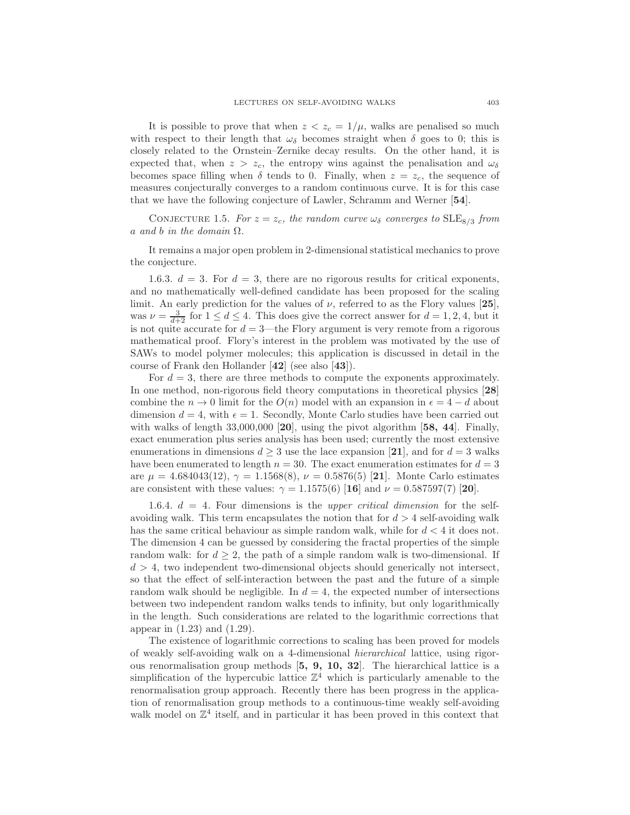It is possible to prove that when  $z < z_c = 1/\mu$ , walks are penalised so much with respect to their length that  $\omega_{\delta}$  becomes straight when  $\delta$  goes to 0; this is closely related to the Ornstein–Zernike decay results. On the other hand, it is expected that, when  $z > z_c$ , the entropy wins against the penalisation and  $\omega_{\delta}$ becomes space filling when  $\delta$  tends to 0. Finally, when  $z = z_c$ , the sequence of measures conjecturally converges to a random continuous curve. It is for this case that we have the following conjecture of Lawler, Schramm and Werner [54].

CONJECTURE 1.5. *For*  $z = z_c$ *, the random curve*  $\omega_{\delta}$  *converges to* SLE<sub>8/3</sub> *from* a *and* b *in the domain* Ω*.*

It remains a major open problem in 2-dimensional statistical mechanics to prove the conjecture.

1.6.3.  $d = 3$ . For  $d = 3$ , there are no rigorous results for critical exponents, and no mathematically well-defined candidate has been proposed for the scaling limit. An early prediction for the values of  $\nu$ , referred to as the Flory values [25], was  $\nu = \frac{3}{d+2}$  for  $1 \leq d \leq 4$ . This does give the correct answer for  $d = 1, 2, 4$ , but it is not quite accurate for  $d = 3$ —the Flory argument is very remote from a rigorous mathematical proof. Flory's interest in the problem was motivated by the use of SAWs to model polymer molecules; this application is discussed in detail in the course of Frank den Hollander [42] (see also [43]).

For  $d = 3$ , there are three methods to compute the exponents approximately. In one method, non-rigorous field theory computations in theoretical physics [28] combine the  $n \to 0$  limit for the  $O(n)$  model with an expansion in  $\epsilon = 4 - d$  about dimension  $d = 4$ , with  $\epsilon = 1$ . Secondly, Monte Carlo studies have been carried out with walks of length  $33,000,000$  [20], using the pivot algorithm [58, 44]. Finally, exact enumeration plus series analysis has been used; currently the most extensive enumerations in dimensions  $d \geq 3$  use the lace expansion [21], and for  $d = 3$  walks have been enumerated to length  $n = 30$ . The exact enumeration estimates for  $d = 3$ are  $\mu = 4.684043(12), \gamma = 1.1568(8), \nu = 0.5876(5)$  [21]. Monte Carlo estimates are consistent with these values:  $\gamma = 1.1575(6)$  [16] and  $\nu = 0.587597(7)$  [20].

1.6.4. d = 4*.* Four dimensions is the *upper critical dimension* for the selfavoiding walk. This term encapsulates the notion that for  $d > 4$  self-avoiding walk has the same critical behaviour as simple random walk, while for  $d < 4$  it does not. The dimension 4 can be guessed by considering the fractal properties of the simple random walk: for  $d \geq 2$ , the path of a simple random walk is two-dimensional. If  $d > 4$ , two independent two-dimensional objects should generically not intersect, so that the effect of self-interaction between the past and the future of a simple random walk should be negligible. In  $d = 4$ , the expected number of intersections between two independent random walks tends to infinity, but only logarithmically in the length. Such considerations are related to the logarithmic corrections that appear in (1.23) and (1.29).

The existence of logarithmic corrections to scaling has been proved for models of weakly self-avoiding walk on a 4-dimensional *hierarchical* lattice, using rigorous renormalisation group methods [5, 9, 10, 32]. The hierarchical lattice is a simplification of the hypercubic lattice  $\mathbb{Z}^4$  which is particularly amenable to the renormalisation group approach. Recently there has been progress in the application of renormalisation group methods to a continuous-time weakly self-avoiding walk model on  $\mathbb{Z}^4$  itself, and in particular it has been proved in this context that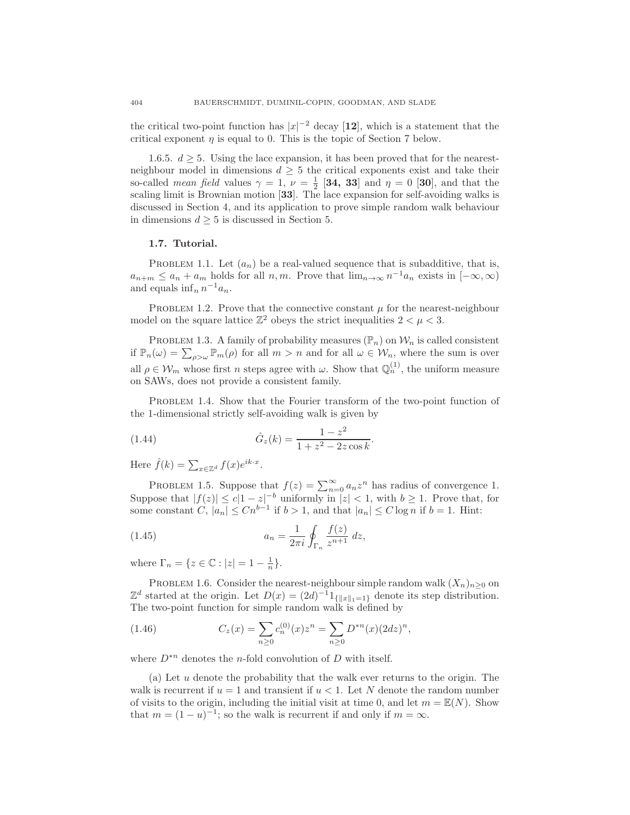the critical two-point function has  $|x|^{-2}$  decay [12], which is a statement that the critical exponent  $\eta$  is equal to 0. This is the topic of Section 7 below.

1.6.5.  $d \geq 5$ . Using the lace expansion, it has been proved that for the nearestneighbour model in dimensions  $d \geq 5$  the critical exponents exist and take their so-called *mean field* values  $\gamma = 1$ ,  $\nu = \frac{1}{2}$  [34, 33] and  $\eta = 0$  [30], and that the scaling limit is Brownian motion [33]. The lace expansion for self-avoiding walks is discussed in Section 4, and its application to prove simple random walk behaviour in dimensions  $d \geq 5$  is discussed in Section 5.

#### 1.7. Tutorial.

PROBLEM 1.1. Let  $(a_n)$  be a real-valued sequence that is subadditive, that is,  $a_{n+m} \le a_n + a_m$  holds for all  $n, m$ . Prove that  $\lim_{n \to \infty} n^{-1} a_n$  exists in  $[-\infty, \infty)$ and equals  $\inf_n n^{-1}a_n$ .

PROBLEM 1.2. Prove that the connective constant  $\mu$  for the nearest-neighbour model on the square lattice  $\mathbb{Z}^2$  obeys the strict inequalities  $2 < \mu < 3$ .

PROBLEM 1.3. A family of probability measures  $(\mathbb{P}_n)$  on  $\mathcal{W}_n$  is called consistent if  $\mathbb{P}_n(\omega) = \sum_{\rho > \omega} \mathbb{P}_m(\rho)$  for all  $m > n$  and for all  $\omega \in \mathcal{W}_n$ , where the sum is over all  $\rho \in \mathcal{W}_m$  whose first *n* steps agree with  $\omega$ . Show that  $\mathbb{Q}_n^{(1)}$ , the uniform measure on SAWs, does not provide a consistent family.

PROBLEM 1.4. Show that the Fourier transform of the two-point function of the 1-dimensional strictly self-avoiding walk is given by

(1.44) 
$$
\hat{G}_z(k) = \frac{1 - z^2}{1 + z^2 - 2z \cos k}.
$$

Here  $\hat{f}(k) = \sum_{x \in \mathbb{Z}^d} f(x) e^{ik \cdot x}$ .

PROBLEM 1.5. Suppose that  $f(z) = \sum_{n=0}^{\infty} a_n z^n$  has radius of convergence 1. Suppose that  $|f(z)| \leq c|1-z|^{-b}$  uniformly in  $|z| < 1$ , with  $b \geq 1$ . Prove that, for some constant C,  $|a_n| \leq Cn^{b-1}$  if  $b > 1$ , and that  $|a_n| \leq C \log n$  if  $b = 1$ . Hint:

(1.45) 
$$
a_n = \frac{1}{2\pi i} \oint_{\Gamma_n} \frac{f(z)}{z^{n+1}} dz,
$$

where  $\Gamma_n = \{ z \in \mathbb{C} : |z| = 1 - \frac{1}{n} \}.$ 

PROBLEM 1.6. Consider the nearest-neighbour simple random walk  $(X_n)_{n\geq 0}$  on  $\mathbb{Z}^d$  started at the origin. Let  $D(x) = (2d)^{-1}1_{\{|x\|_1=1\}}$  denote its step distribution. The two-point function for simple random walk is defined by

(1.46) 
$$
C_z(x) = \sum_{n\geq 0} c_n^{(0)}(x) z^n = \sum_{n\geq 0} D^{*n}(x) (2dz)^n,
$$

where  $D^{*n}$  denotes the *n*-fold convolution of D with itself.

(a) Let u denote the probability that the walk ever returns to the origin. The walk is recurrent if  $u = 1$  and transient if  $u < 1$ . Let N denote the random number of visits to the origin, including the initial visit at time 0, and let  $m = \mathbb{E}(N)$ . Show that  $m = (1 - u)^{-1}$ ; so the walk is recurrent if and only if  $m = \infty$ .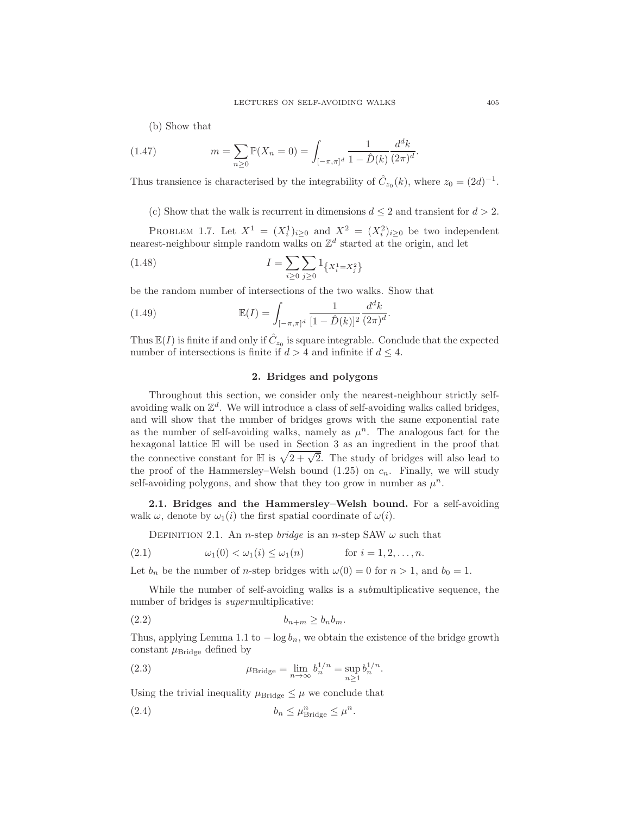(b) Show that

(1.47) 
$$
m = \sum_{n\geq 0} \mathbb{P}(X_n = 0) = \int_{[-\pi,\pi]^d} \frac{1}{1 - \hat{D}(k)} \frac{d^d k}{(2\pi)^d}.
$$

Thus transience is characterised by the integrability of  $\hat{C}_{z_0}(k)$ , where  $z_0 = (2d)^{-1}$ .

(c) Show that the walk is recurrent in dimensions  $d \leq 2$  and transient for  $d > 2$ .

PROBLEM 1.7. Let  $X^1 = (X_i^1)_{i \geq 0}$  and  $X^2 = (X_i^2)_{i \geq 0}$  be two independent nearest-neighbour simple random walks on  $\mathbb{Z}^d$  started at the origin, and let

(1.48) 
$$
I = \sum_{i \geq 0} \sum_{j \geq 0} 1_{\left\{X_i^1 = X_j^2\right\}}
$$

be the random number of intersections of the two walks. Show that

(1.49) 
$$
\mathbb{E}(I) = \int_{[-\pi,\pi]^d} \frac{1}{[1-\hat{D}(k)]^2} \frac{d^d k}{(2\pi)^d}.
$$

Thus  $\mathbb{E}(I)$  is finite if and only if  $\hat{C}_{z_0}$  is square integrable. Conclude that the expected number of intersections is finite if  $d > 4$  and infinite if  $d \leq 4$ .

### 2. Bridges and polygons

Throughout this section, we consider only the nearest-neighbour strictly selfavoiding walk on  $\mathbb{Z}^d$ . We will introduce a class of self-avoiding walks called bridges, and will show that the number of bridges grows with the same exponential rate as the number of self-avoiding walks, namely as  $\mu^n$ . The analogous fact for the hexagonal lattice H will be used in Section 3 as an ingredient in the proof that the connective constant for  $\mathbb H$  is  $\sqrt{2 + \sqrt{2}}$ . The study of bridges will also lead to the proof of the Hammersley–Welsh bound  $(1.25)$  on  $c_n$ . Finally, we will study self-avoiding polygons, and show that they too grow in number as  $\mu^n$ .

2.1. Bridges and the Hammersley–Welsh bound. For a self-avoiding walk  $\omega$ , denote by  $\omega_1(i)$  the first spatial coordinate of  $\omega(i)$ .

DEFINITION 2.1. An *n*-step *bridge* is an *n*-step SAW  $\omega$  such that

(2.1) 
$$
\omega_1(0) < \omega_1(i) \leq \omega_1(n)
$$
 for  $i = 1, 2, ..., n$ .

Let  $b_n$  be the number of *n*-step bridges with  $\omega(0) = 0$  for  $n > 1$ , and  $b_0 = 1$ .

While the number of self-avoiding walks is a *sub*multiplicative sequence, the number of bridges is *super*multiplicative:

$$
(2.2) \t\t\t b_{n+m} \ge b_n b_m.
$$

Thus, applying Lemma 1.1 to  $-\log b_n$ , we obtain the existence of the bridge growth constant  $\mu_{\text{Bridge}}$  defined by

(2.3) 
$$
\mu_{\text{Bridge}} = \lim_{n \to \infty} b_n^{1/n} = \sup_{n \ge 1} b_n^{1/n}.
$$

Using the trivial inequality  $\mu_{\text{Bridge}} \leq \mu$  we conclude that

(2.4) 
$$
b_n \leq \mu_{\text{Bridge}}^n \leq \mu^n.
$$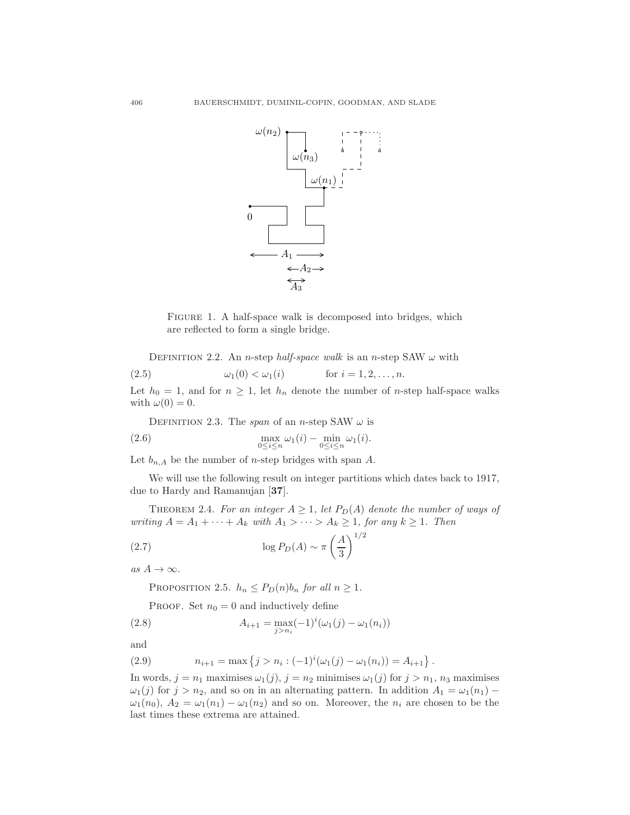

FIGURE 1. A half-space walk is decomposed into bridges, which are reflected to form a single bridge.

DEFINITION 2.2. An *n*-step *half-space walk* is an *n*-step SAW  $\omega$  with

(2.5) 
$$
\omega_1(0) < \omega_1(i)
$$
 for  $i = 1, 2, ..., n$ .

Let  $h_0 = 1$ , and for  $n \geq 1$ , let  $h_n$  denote the number of *n*-step half-space walks with  $\omega(0) = 0$ .

DEFINITION 2.3. The *span* of an *n*-step SAW  $\omega$  is

(2.6) 
$$
\max_{0 \le i \le n} \omega_1(i) - \min_{0 \le i \le n} \omega_1(i).
$$

Let  $b_{n,A}$  be the number of *n*-step bridges with span A.

We will use the following result on integer partitions which dates back to 1917, due to Hardy and Ramanujan [37].

THEOREM 2.4. For an integer  $A \geq 1$ , let  $P_D(A)$  denote the number of ways of *writing*  $A = A_1 + \cdots + A_k$  *with*  $A_1 > \cdots > A_k \geq 1$ *, for any*  $k \geq 1$ *. Then* 

(2.7) 
$$
\log P_D(A) \sim \pi \left(\frac{A}{3}\right)^{1/2}
$$

 $as A \rightarrow \infty$ *.* 

PROPOSITION 2.5.  $h_n \leq P_D(n) b_n$  *for all*  $n \geq 1$ *.* 

PROOF. Set  $n_0 = 0$  and inductively define

(2.8) 
$$
A_{i+1} = \max_{j>n_i} (-1)^i (\omega_1(j) - \omega_1(n_i))
$$

and

(2.9) 
$$
n_{i+1} = \max\left\{j > n_i: (-1)^i(\omega_1(j) - \omega_1(n_i)) = A_{i+1}\right\}.
$$

In words,  $j = n_1$  maximises  $\omega_1(j)$ ,  $j = n_2$  minimises  $\omega_1(j)$  for  $j > n_1$ ,  $n_3$  maximises  $\omega_1(j)$  for  $j > n_2$ , and so on in an alternating pattern. In addition  $A_1 = \omega_1(n_1) \omega_1(n_0)$ ,  $A_2 = \omega_1(n_1) - \omega_1(n_2)$  and so on. Moreover, the  $n_i$  are chosen to be the last times these extrema are attained.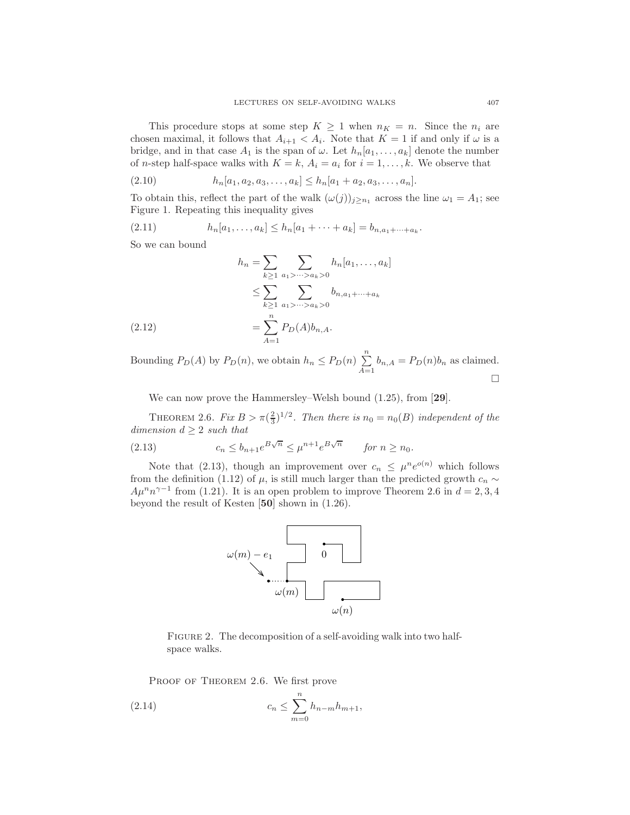This procedure stops at some step  $K \geq 1$  when  $n_K = n$ . Since the  $n_i$  are chosen maximal, it follows that  $A_{i+1} < A_i$ . Note that  $K = 1$  if and only if  $\omega$  is a bridge, and in that case  $A_1$  is the span of  $\omega$ . Let  $h_n[a_1, \ldots, a_k]$  denote the number of *n*-step half-space walks with  $K = k$ ,  $A_i = a_i$  for  $i = 1, ..., k$ . We observe that

(2.10) hn[a1, a2, a3, . . . , ak] ≤ hn[a<sup>1</sup> + a2, a3, . . . , an].

To obtain this, reflect the part of the walk  $(\omega(j))_{j\geq n_1}$  across the line  $\omega_1 = A_1$ ; see Figure 1. Repeating this inequality gives

(2.11) 
$$
h_n[a_1,\ldots,a_k] \leq h_n[a_1+\cdots+a_k] = b_{n,a_1+\cdots+a_k}.
$$

So we can bound

$$
h_n = \sum_{k \ge 1} \sum_{a_1 > \dots > a_k > 0} h_n[a_1, \dots, a_k]
$$
  
\n
$$
\le \sum_{k \ge 1} \sum_{a_1 > \dots > a_k > 0} b_{n, a_1 + \dots + a_k}
$$
  
\n
$$
= \sum_{A=1}^n P_D(A) b_{n,A}.
$$

Bounding  $P_D(A)$  by  $P_D(n)$ , we obtain  $h_n \le P_D(n) \sum_{n=1}^n$  $\sum_{A=1} b_{n,A} = P_D(n)b_n$  as claimed.  $\Box$ 

We can now prove the Hammersley–Welsh bound  $(1.25)$ , from [29].

THEOREM 2.6. *Fix*  $B > \pi(\frac{2}{3})^{1/2}$ *. Then there is*  $n_0 = n_0(B)$  *independent of the dimension*  $d \geq 2$  *such that* 

(2.13) 
$$
c_n \le b_{n+1} e^{B\sqrt{n}} \le \mu^{n+1} e^{B\sqrt{n}} \quad \text{for } n \ge n_0.
$$

Note that (2.13), though an improvement over  $c_n \n\t\leq \mu^n e^{o(n)}$  which follows from the definition (1.12) of  $\mu$ , is still much larger than the predicted growth  $c_n \sim$  $A\mu^n n^{\gamma-1}$  from (1.21). It is an open problem to improve Theorem 2.6 in  $d = 2, 3, 4$ beyond the result of Kesten [50] shown in (1.26).



FIGURE 2. The decomposition of a self-avoiding walk into two halfspace walks.

PROOF OF THEOREM 2.6. We first prove

(2.14) 
$$
c_n \leq \sum_{m=0}^n h_{n-m} h_{m+1},
$$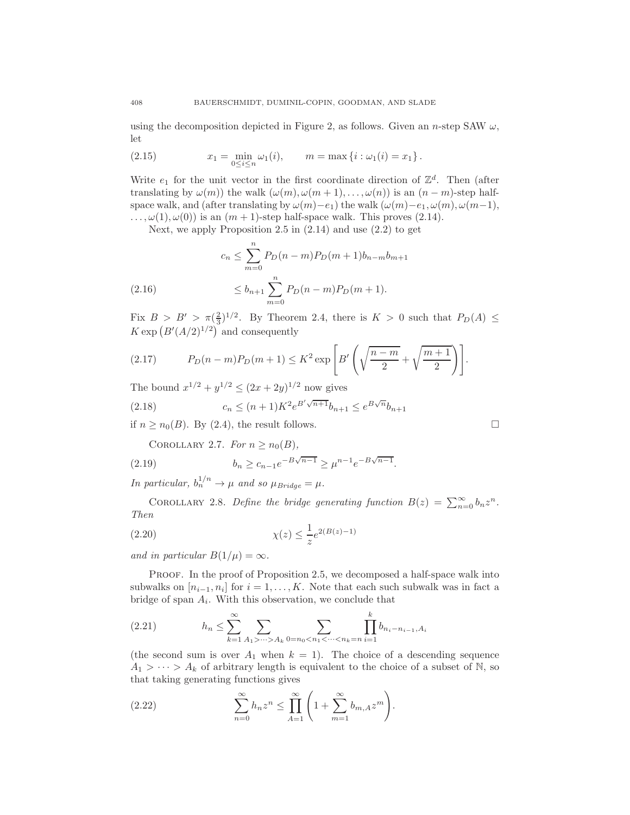using the decomposition depicted in Figure 2, as follows. Given an n-step SAW  $\omega$ , let

(2.15) 
$$
x_1 = \min_{0 \le i \le n} \omega_1(i), \qquad m = \max\{i : \omega_1(i) = x_1\}.
$$

Write  $e_1$  for the unit vector in the first coordinate direction of  $\mathbb{Z}^d$ . Then (after translating by  $\omega(m)$ ) the walk  $(\omega(m), \omega(m+1), \ldots, \omega(n))$  is an  $(n-m)$ -step halfspace walk, and (after translating by  $\omega(m)-e_1$ ) the walk  $(\omega(m)-e_1, \omega(m), \omega(m-1))$ ,  $\ldots, \omega(1), \omega(0)$  is an  $(m + 1)$ -step half-space walk. This proves (2.14).

Next, we apply Proposition 2.5 in (2.14) and use (2.2) to get

$$
c_n \le \sum_{m=0}^n P_D(n-m) P_D(m+1) b_{n-m} b_{m+1}
$$
  
(2.16) 
$$
\le b_{n+1} \sum_{m=0}^n P_D(n-m) P_D(m+1).
$$

Fix  $B > B' > \pi(\frac{2}{3})^{1/2}$ . By Theorem 2.4, there is  $K > 0$  such that  $P_D(A) \leq$  $K \exp\left(B'(A/2)^{1/2}\right)$  and consequently

(2.17) 
$$
P_D(n-m)P_D(m+1) \le K^2 \exp\left[B'\left(\sqrt{\frac{n-m}{2}} + \sqrt{\frac{m+1}{2}}\right)\right].
$$

The bound  $x^{1/2} + y^{1/2} \le (2x + 2y)^{1/2}$  now gives

(2.18) 
$$
c_n \le (n+1)K^2 e^{B'\sqrt{n+1}} b_{n+1} \le e^{B\sqrt{n}} b_{n+1}
$$

if  $n \geq n_0(B)$ . By (2.4), the result follows.

COROLLARY 2.7. For  $n \geq n_0(B)$ ,

(2.19) 
$$
b_n \ge c_{n-1} e^{-B\sqrt{n-1}} \ge \mu^{n-1} e^{-B\sqrt{n-1}}.
$$

*In particular,*  $b_n^{1/n} \to \mu$  *and so*  $\mu_{Bridge} = \mu$ *.* 

COROLLARY 2.8. *Define the bridge generating function*  $B(z) = \sum_{n=0}^{\infty} b_n z^n$ . *Then*

(2.20) 
$$
\chi(z) \leq \frac{1}{z} e^{2(B(z)-1)}
$$

*and in particular*  $B(1/\mu) = \infty$ *.* 

PROOF. In the proof of Proposition 2.5, we decomposed a half-space walk into subwalks on  $[n_{i-1}, n_i]$  for  $i = 1, ..., K$ . Note that each such subwalk was in fact a bridge of span  $A_i$ . With this observation, we conclude that

(2.21) 
$$
h_n \leq \sum_{k=1}^{\infty} \sum_{A_1 > \dots > A_k} \sum_{0 = n_0 < n_1 < \dots < n_k = n} \prod_{i=1}^k b_{n_i - n_{i-1}, A_i}
$$

(the second sum is over  $A_1$  when  $k = 1$ ). The choice of a descending sequence  $A_1 > \cdots > A_k$  of arbitrary length is equivalent to the choice of a subset of N, so that taking generating functions gives

(2.22) 
$$
\sum_{n=0}^{\infty} h_n z^n \leq \prod_{A=1}^{\infty} \left( 1 + \sum_{m=1}^{\infty} b_{m,A} z^m \right).
$$

$$
\mathbf{L}^{\prime}
$$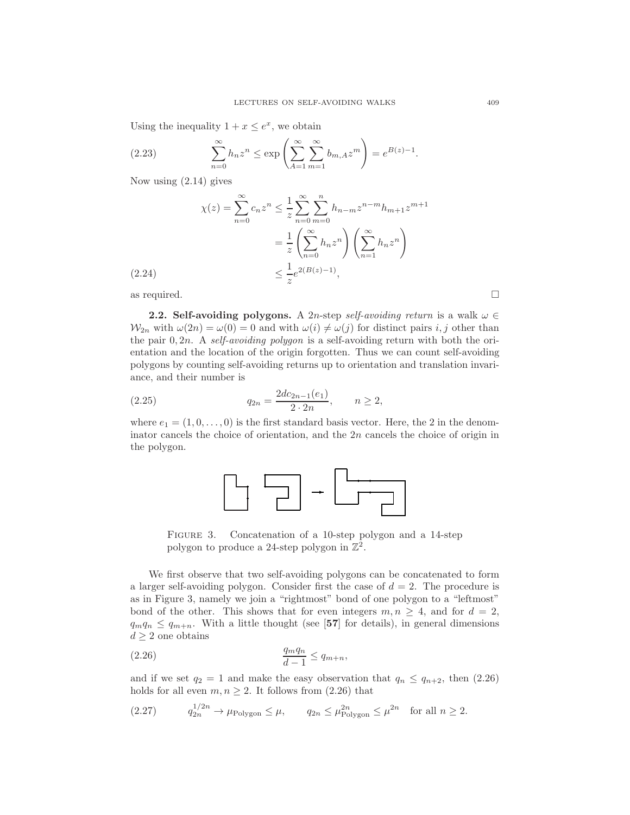Using the inequality  $1 + x \leq e^x$ , we obtain

(2.23) 
$$
\sum_{n=0}^{\infty} h_n z^n \le \exp\left(\sum_{A=1}^{\infty} \sum_{m=1}^{\infty} b_{m,A} z^m\right) = e^{B(z)-1}.
$$

Now using (2.14) gives

$$
\chi(z) = \sum_{n=0}^{\infty} c_n z^n \le \frac{1}{z} \sum_{n=0}^{\infty} \sum_{m=0}^{n} h_{n-m} z^{n-m} h_{m+1} z^{m+1}
$$

$$
= \frac{1}{z} \left( \sum_{n=0}^{\infty} h_n z^n \right) \left( \sum_{n=1}^{\infty} h_n z^n \right)
$$

$$
\le \frac{1}{z} e^{2(B(z)-1)},
$$

as required.  $\hfill \square$ 

**2.2. Self-avoiding polygons.** A 2n-step *self-avoiding return* is a walk  $\omega \in$  $W_{2n}$  with  $\omega(2n) = \omega(0) = 0$  and with  $\omega(i) \neq \omega(j)$  for distinct pairs i, j other than the pair 0, 2n. A *self-avoiding polygon* is a self-avoiding return with both the orientation and the location of the origin forgotten. Thus we can count self-avoiding polygons by counting self-avoiding returns up to orientation and translation invariance, and their number is

(2.25) 
$$
q_{2n} = \frac{2dc_{2n-1}(e_1)}{2 \cdot 2n}, \qquad n \ge 2,
$$

where  $e_1 = (1, 0, \ldots, 0)$  is the first standard basis vector. Here, the 2 in the denominator cancels the choice of orientation, and the 2n cancels the choice of origin in the polygon.



FIGURE 3. Concatenation of a 10-step polygon and a 14-step polygon to produce a 24-step polygon in  $\mathbb{Z}^2$ .

We first observe that two self-avoiding polygons can be concatenated to form a larger self-avoiding polygon. Consider first the case of  $d = 2$ . The procedure is as in Figure 3, namely we join a "rightmost" bond of one polygon to a "leftmost" bond of the other. This shows that for even integers  $m, n \geq 4$ , and for  $d = 2$ ,  $q_mq_n \leq q_{m+n}$ . With a little thought (see [57] for details), in general dimensions  $d \geq 2$  one obtains

$$
\frac{q_m q_n}{d-1} \le q_{m+n},
$$

and if we set  $q_2 = 1$  and make the easy observation that  $q_n \leq q_{n+2}$ , then (2.26) holds for all even  $m, n \geq 2$ . It follows from (2.26) that

$$
(2.27) \tq_{2n}^{1/2n} \to \mu_{\text{Polygon}} \le \mu, \tq_{2n} \le \mu_{\text{Polygon}}^{2n} \le \mu^{2n} \t \text{for all } n \ge 2.
$$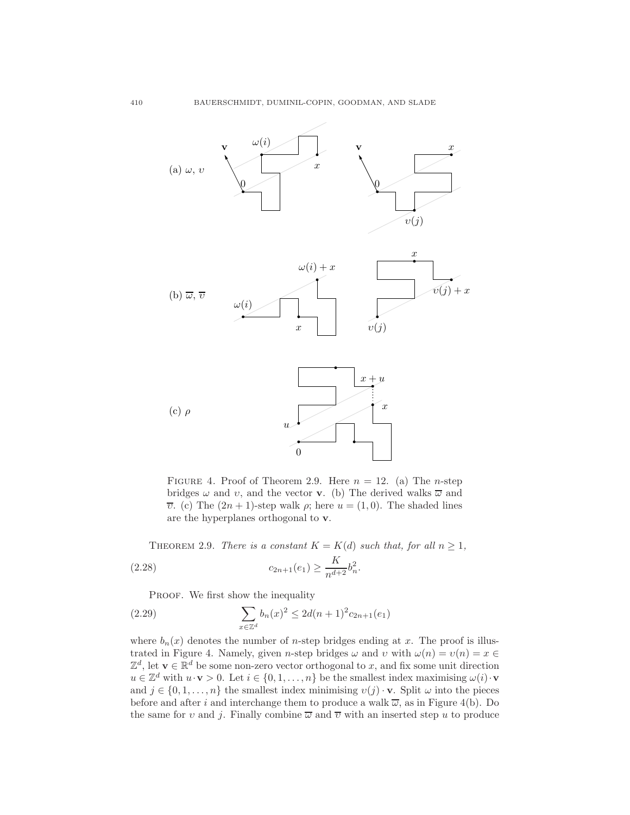

FIGURE 4. Proof of Theorem 2.9. Here  $n = 12$ . (a) The *n*-step bridges  $\omega$  and  $v$ , and the vector **v**. (b) The derived walks  $\overline{\omega}$  and  $\overline{v}$ . (c) The  $(2n + 1)$ -step walk  $\rho$ ; here  $u = (1, 0)$ . The shaded lines are the hyperplanes orthogonal to v.

THEOREM 2.9. *There is a constant*  $K = K(d)$  *such that, for all*  $n \geq 1$ *,* (2.28)  $c_{2n+1}(e_1) \ge \frac{K}{n^{d+2}} b_n^2.$ 

PROOF. We first show the inequality

(2.29) 
$$
\sum_{x \in \mathbb{Z}^d} b_n(x)^2 \le 2d(n+1)^2 c_{2n+1}(e_1)
$$

where  $b_n(x)$  denotes the number of *n*-step bridges ending at x. The proof is illustrated in Figure 4. Namely, given n-step bridges  $\omega$  and  $v$  with  $\omega(n) = v(n) = x \in$  $\mathbb{Z}^d$ , let  $\mathbf{v} \in \mathbb{R}^d$  be some non-zero vector orthogonal to x, and fix some unit direction  $u \in \mathbb{Z}^d$  with  $u \cdot \mathbf{v} > 0$ . Let  $i \in \{0, 1, \ldots, n\}$  be the smallest index maximising  $\omega(i) \cdot \mathbf{v}$ and  $j \in \{0, 1, \ldots, n\}$  the smallest index minimising  $v(j) \cdot \mathbf{v}$ . Split  $\omega$  into the pieces before and after i and interchange them to produce a walk  $\overline{\omega}$ , as in Figure 4(b). Do the same for v and j. Finally combine  $\overline{\omega}$  and  $\overline{\nu}$  with an inserted step u to produce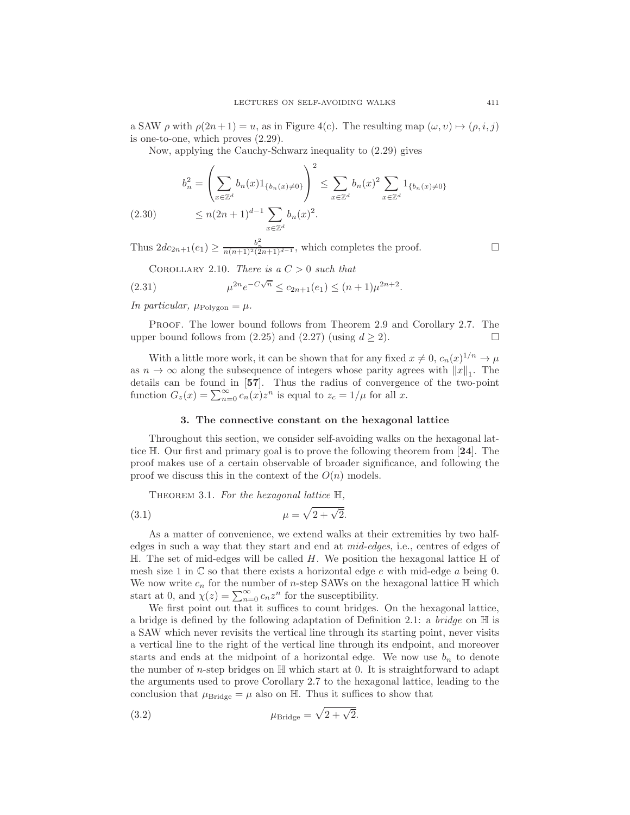a SAW  $\rho$  with  $\rho(2n+1) = u$ , as in Figure 4(c). The resulting map  $(\omega, v) \mapsto (\rho, i, j)$ is one-to-one, which proves (2.29).

Now, applying the Cauchy-Schwarz inequality to (2.29) gives

$$
b_n^2 = \left(\sum_{x \in \mathbb{Z}^d} b_n(x) 1_{\{b_n(x) \neq 0\}}\right)^2 \le \sum_{x \in \mathbb{Z}^d} b_n(x)^2 \sum_{x \in \mathbb{Z}^d} 1_{\{b_n(x) \neq 0\}}
$$
  

$$
\le n(2n+1)^{d-1} \sum b_n(x)^2
$$

(2.30) 
$$
\leq n(2n+1)^{d-1} \sum_{x \in \mathbb{Z}^d} b_n(x)^2.
$$

Thus  $2dc_{2n+1}(e_1) \geq \frac{b_n^2}{n(n+1)^2(2n+1)^{d-1}}$ , which completes the proof.

COROLLARY 2.10. *There is a*  $C > 0$  *such that* 

(2.31) 
$$
\mu^{2n} e^{-C\sqrt{n}} \le c_{2n+1}(e_1) \le (n+1)\mu^{2n+2}.
$$

*In particular,*  $\mu_{\text{Polygon}} = \mu$ .

PROOF. The lower bound follows from Theorem 2.9 and Corollary 2.7. The upper bound follows from (2.25) and (2.27) (using  $d \ge 2$ ).

With a little more work, it can be shown that for any fixed  $x \neq 0$ ,  $c_n(x)^{1/n} \rightarrow \mu$ as  $n \to \infty$  along the subsequence of integers whose parity agrees with  $||x||_1$ . The details can be found in [57]. Thus the radius of convergence of the two-point function  $G_z(x) = \sum_{n=0}^{\infty} c_n(x) z^n$  is equal to  $z_c = 1/\mu$  for all x.

#### 3. The connective constant on the hexagonal lattice

Throughout this section, we consider self-avoiding walks on the hexagonal lattice  $\mathbb{H}$ . Our first and primary goal is to prove the following theorem from [24]. The proof makes use of a certain observable of broader significance, and following the proof we discuss this in the context of the  $O(n)$  models.

Theorem 3.1. *For the hexagonal lattice* H*,*

$$
\mu = \sqrt{2 + \sqrt{2}}.
$$

As a matter of convenience, we extend walks at their extremities by two halfedges in such a way that they start and end at *mid-edges*, i.e., centres of edges of  $\mathbb H$ . The set of mid-edges will be called H. We position the hexagonal lattice  $\mathbb H$  of mesh size 1 in  $\mathbb C$  so that there exists a horizontal edge e with mid-edge a being 0. We now write  $c_n$  for the number of n-step SAWs on the hexagonal lattice  $\mathbb H$  which start at 0, and  $\chi(z) = \sum_{n=0}^{\infty} c_n z^n$  for the susceptibility.

We first point out that it suffices to count bridges. On the hexagonal lattice, a bridge is defined by the following adaptation of Definition 2.1: a *bridge* on H is a SAW which never revisits the vertical line through its starting point, never visits a vertical line to the right of the vertical line through its endpoint, and moreover starts and ends at the midpoint of a horizontal edge. We now use  $b_n$  to denote the number of n-step bridges on  $\mathbb H$  which start at 0. It is straightforward to adapt the arguments used to prove Corollary 2.7 to the hexagonal lattice, leading to the conclusion that  $\mu_{\text{Bridge}} = \mu$  also on H. Thus it suffices to show that

(3.2) 
$$
\mu_{\text{Bridge}} = \sqrt{2 + \sqrt{2}}.
$$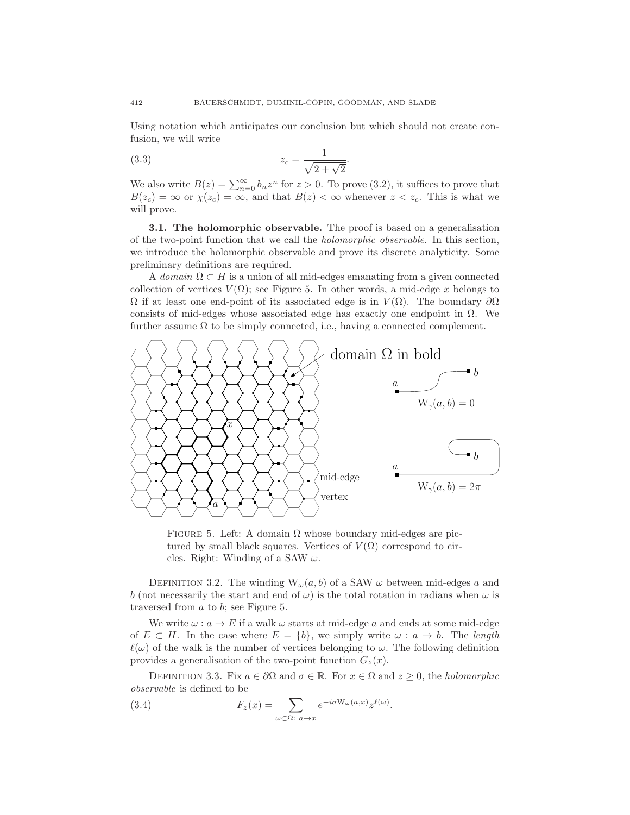Using notation which anticipates our conclusion but which should not create confusion, we will write

(3.3) 
$$
z_c = \frac{1}{\sqrt{2 + \sqrt{2}}}.
$$

We also write  $B(z) = \sum_{n=0}^{\infty} b_n z^n$  for  $z > 0$ . To prove (3.2), it suffices to prove that  $B(z_c) = \infty$  or  $\chi(z_c) = \infty$ , and that  $B(z) < \infty$  whenever  $z < z_c$ . This is what we will prove.

3.1. The holomorphic observable. The proof is based on a generalisation of the two-point function that we call the *holomorphic observable*. In this section, we introduce the holomorphic observable and prove its discrete analyticity. Some preliminary definitions are required.

A *domain*  $\Omega \subset H$  is a union of all mid-edges emanating from a given connected collection of vertices  $V(\Omega)$ ; see Figure 5. In other words, a mid-edge x belongs to  $\Omega$  if at least one end-point of its associated edge is in  $V(\Omega)$ . The boundary  $\partial\Omega$ consists of mid-edges whose associated edge has exactly one endpoint in  $\Omega$ . We further assume  $\Omega$  to be simply connected, i.e., having a connected complement.



FIGURE 5. Left: A domain  $\Omega$  whose boundary mid-edges are pictured by small black squares. Vertices of  $V(\Omega)$  correspond to circles. Right: Winding of a SAW  $\omega$ .

DEFINITION 3.2. The winding  $W_{\omega}(a, b)$  of a SAW  $\omega$  between mid-edges a and b (not necessarily the start and end of  $\omega$ ) is the total rotation in radians when  $\omega$  is traversed from a to b; see Figure 5.

We write  $\omega : a \to E$  if a walk  $\omega$  starts at mid-edge a and ends at some mid-edge of  $E \subset H$ . In the case where  $E = \{b\}$ , we simply write  $\omega : a \to b$ . The *length*  $\ell(\omega)$  of the walk is the number of vertices belonging to  $\omega$ . The following definition provides a generalisation of the two-point function  $G_z(x)$ .

DEFINITION 3.3. Fix  $a \in \partial\Omega$  and  $\sigma \in \mathbb{R}$ . For  $x \in \Omega$  and  $z \geq 0$ , the *holomorphic observable* is defined to be

(3.4) 
$$
F_z(x) = \sum_{\omega \subset \Omega: a \to x} e^{-i\sigma W_{\omega}(a,x)} z^{\ell(\omega)}.
$$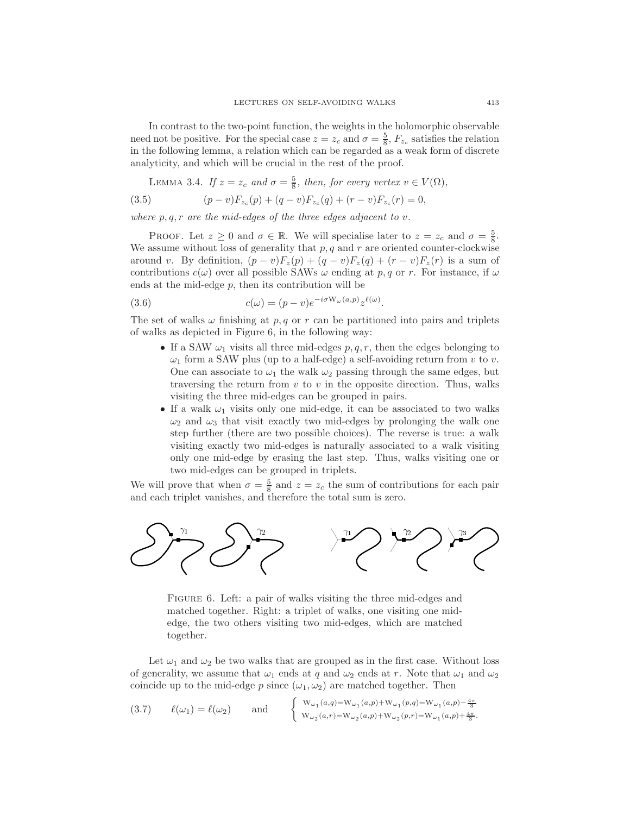In contrast to the two-point function, the weights in the holomorphic observable need not be positive. For the special case  $z = z_c$  and  $\sigma = \frac{5}{8}$ ,  $F_{z_c}$  satisfies the relation in the following lemma, a relation which can be regarded as a weak form of discrete analyticity, and which will be crucial in the rest of the proof.

LEMMA 3.4. *If*  $z = z_c$  *and*  $\sigma = \frac{5}{8}$ *, then, for every vertex*  $v \in V(\Omega)$ *,* 

(3.5) 
$$
(p-v)F_{z_c}(p) + (q-v)F_{z_c}(q) + (r-v)F_{z_c}(r) = 0,
$$

*where* p, q, r *are the mid-edges of the three edges adjacent to* v*.*

PROOF. Let  $z \ge 0$  and  $\sigma \in \mathbb{R}$ . We will specialise later to  $z = z_c$  and  $\sigma = \frac{5}{8}$ . We assume without loss of generality that  $p, q$  and  $r$  are oriented counter-clockwise around v. By definition,  $(p - v)F_z(p) + (q - v)F_z(q) + (r - v)F_z(r)$  is a sum of contributions  $c(\omega)$  over all possible SAWs  $\omega$  ending at p, q or r. For instance, if  $\omega$ ends at the mid-edge  $p$ , then its contribution will be

(3.6) 
$$
c(\omega) = (p - v)e^{-i\sigma W_{\omega}(a, p)}z^{\ell(\omega)}.
$$

The set of walks  $\omega$  finishing at p, q or r can be partitioned into pairs and triplets of walks as depicted in Figure 6, in the following way:

- If a SAW  $\omega_1$  visits all three mid-edges  $p, q, r$ , then the edges belonging to  $\omega_1$  form a SAW plus (up to a half-edge) a self-avoiding return from v to v. One can associate to  $\omega_1$  the walk  $\omega_2$  passing through the same edges, but traversing the return from  $v$  to  $v$  in the opposite direction. Thus, walks visiting the three mid-edges can be grouped in pairs.
- If a walk  $\omega_1$  visits only one mid-edge, it can be associated to two walks  $\omega_2$  and  $\omega_3$  that visit exactly two mid-edges by prolonging the walk one step further (there are two possible choices). The reverse is true: a walk visiting exactly two mid-edges is naturally associated to a walk visiting only one mid-edge by erasing the last step. Thus, walks visiting one or two mid-edges can be grouped in triplets.

We will prove that when  $\sigma = \frac{5}{8}$  and  $z = z_c$  the sum of contributions for each pair and each triplet vanishes, and therefore the total sum is zero.



FIGURE 6. Left: a pair of walks visiting the three mid-edges and matched together. Right: a triplet of walks, one visiting one midedge, the two others visiting two mid-edges, which are matched together.

Let  $\omega_1$  and  $\omega_2$  be two walks that are grouped as in the first case. Without loss of generality, we assume that  $\omega_1$  ends at q and  $\omega_2$  ends at r. Note that  $\omega_1$  and  $\omega_2$ coincide up to the mid-edge p since  $(\omega_1, \omega_2)$  are matched together. Then

(3.7) 
$$
\ell(\omega_1) = \ell(\omega_2) \quad \text{and} \quad \begin{cases} W_{\omega_1}(a,q) = W_{\omega_1}(a,p) + W_{\omega_1}(p,q) = W_{\omega_1}(a,p) - \frac{4\pi}{3} \\ W_{\omega_2}(a,r) = W_{\omega_2}(a,p) + W_{\omega_2}(p,r) = W_{\omega_1}(a,p) + \frac{4\pi}{3} .\end{cases}
$$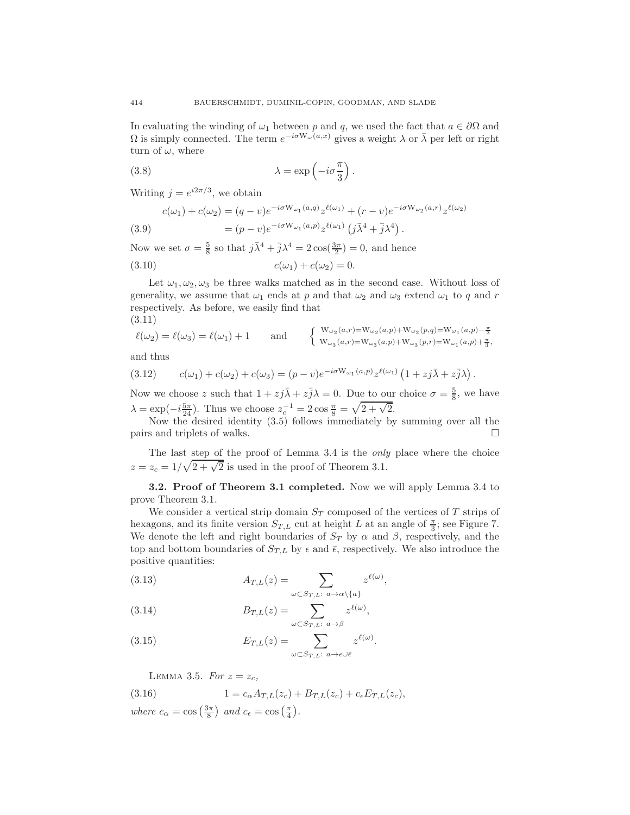In evaluating the winding of  $\omega_1$  between p and q, we used the fact that  $a \in \partial\Omega$  and  $\Omega$  is simply connected. The term  $e^{-i\sigma W_\omega(a,x)}$  gives a weight  $\lambda$  or  $\bar{\lambda}$  per left or right turn of  $\omega$ , where

(3.8) 
$$
\lambda = \exp\left(-i\sigma \frac{\pi}{3}\right).
$$

Writing  $j = e^{i2\pi/3}$ , we obtain

(3.9) 
$$
c(\omega_1) + c(\omega_2) = (q - v)e^{-i\sigma W_{\omega_1}(a,q)}z^{\ell(\omega_1)} + (r - v)e^{-i\sigma W_{\omega_2}(a,r)}z^{\ell(\omega_2)}
$$

$$
= (p - v)e^{-i\sigma W_{\omega_1}(a,p)}z^{\ell(\omega_1)}(j\bar{\lambda}^4 + \bar{j}\lambda^4).
$$

Now we set  $\sigma = \frac{5}{8}$  so that  $j\bar{\lambda}^4 + \bar{j}\lambda^4 = 2\cos(\frac{3\pi}{2}) = 0$ , and hence

(3.10) 
$$
c(\omega_1) + c(\omega_2) = 0.
$$

Let  $\omega_1, \omega_2, \omega_3$  be three walks matched as in the second case. Without loss of generality, we assume that  $\omega_1$  ends at p and that  $\omega_2$  and  $\omega_3$  extend  $\omega_1$  to q and r respectively. As before, we easily find that (3.11)

$$
\ell(\omega_2) = \ell(\omega_3) = \ell(\omega_1) + 1 \quad \text{and} \quad \begin{cases} \mathbf{W}_{\omega_2}(a,r) = \mathbf{W}_{\omega_2}(a,p) + \mathbf{W}_{\omega_2}(p,q) = \mathbf{W}_{\omega_1}(a,p) - \frac{\pi}{3} \\ \mathbf{W}_{\omega_3}(a,r) = \mathbf{W}_{\omega_3}(a,p) + \mathbf{W}_{\omega_3}(p,r) = \mathbf{W}_{\omega_1}(a,p) + \frac{\pi}{3}, \end{cases}
$$

and thus

(3.12) 
$$
c(\omega_1) + c(\omega_2) + c(\omega_3) = (p - v)e^{-i\sigma W_{\omega_1}(a, p)}z^{\ell(\omega_1)}(1 + zj\overline{\lambda} + z\overline{j}\lambda).
$$

Now we choose z such that  $1 + zj\overline{\lambda} + z\overline{j}\lambda = 0$ . Due to our choice  $\sigma = \frac{5}{8}$ , we have  $\lambda = \exp(-i\frac{5\pi}{24})$ . Thus we choose  $z_c^{-1} = 2\cos\frac{\pi}{8} = \sqrt{2+\sqrt{2}}$ .

Now the desired identity (3.5) follows immediately by summing over all the pairs and triplets of walks.

The last step of the proof of Lemma 3.4 is the *only* place where the choice  $z = z_c = 1/\sqrt{2 + \sqrt{2}}$  is used in the proof of Theorem 3.1.

3.2. Proof of Theorem 3.1 completed. Now we will apply Lemma 3.4 to prove Theorem 3.1.

We consider a vertical strip domain  $S_T$  composed of the vertices of T strips of hexagons, and its finite version  $S_{T,L}$  cut at height L at an angle of  $\frac{\pi}{3}$ ; see Figure 7. We denote the left and right boundaries of  $S_T$  by  $\alpha$  and  $\beta$ , respectively, and the top and bottom boundaries of  $S_{T,L}$  by  $\epsilon$  and  $\bar{\epsilon}$ , respectively. We also introduce the positive quantities:

(3.13) 
$$
A_{T,L}(z) = \sum_{\omega \subset S_{T,L}: \ a \to \alpha \setminus \{a\}} z^{\ell(\omega)},
$$

(3.14) 
$$
B_{T,L}(z) = \sum_{\omega \subset S_{T,L}: \ a \to \beta} z^{\ell(\omega)},
$$

(3.15) 
$$
E_{T,L}(z) = \sum_{\omega \subset S_{T,L}: \ a \to \epsilon \cup \bar{\epsilon}} z^{\ell(\omega)}.
$$

LEMMA 3.5. *For*  $z = z_c$ ,

(3.16) 
$$
1 = c_{\alpha} A_{T,L}(z_c) + B_{T,L}(z_c) + c_{\epsilon} E_{T,L}(z_c),
$$
  
where  $c_{\alpha} = \cos\left(\frac{3\pi}{8}\right)$  and  $c_{\epsilon} = \cos\left(\frac{\pi}{4}\right)$ .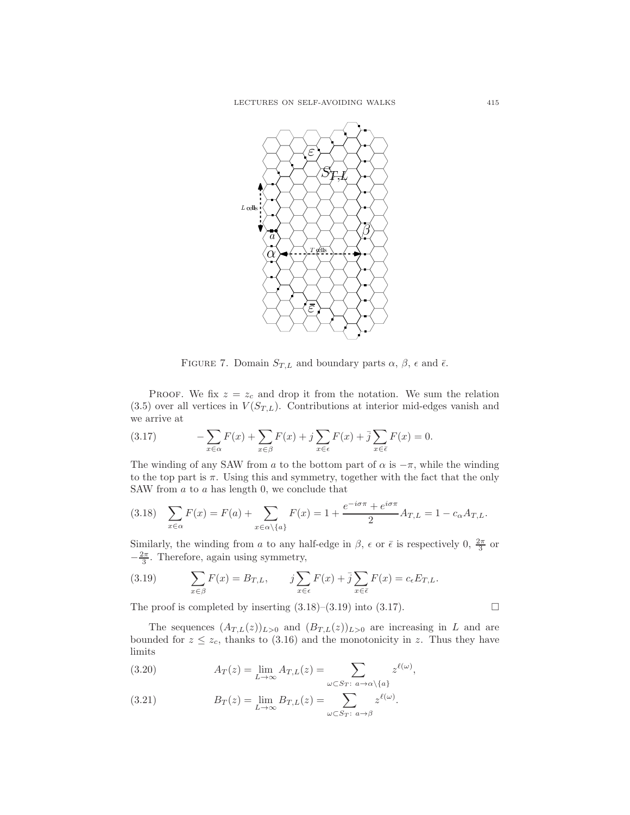

FIGURE 7. Domain  $S_{T,L}$  and boundary parts  $\alpha$ ,  $\beta$ ,  $\epsilon$  and  $\bar{\epsilon}$ .

PROOF. We fix  $z = z_c$  and drop it from the notation. We sum the relation  $(3.5)$  over all vertices in  $V(S_{T,L})$ . Contributions at interior mid-edges vanish and we arrive at

(3.17) 
$$
-\sum_{x \in \alpha} F(x) + \sum_{x \in \beta} F(x) + j \sum_{x \in \epsilon} F(x) + \overline{j} \sum_{x \in \overline{\epsilon}} F(x) = 0.
$$

The winding of any SAW from a to the bottom part of  $\alpha$  is  $-\pi$ , while the winding to the top part is  $\pi$ . Using this and symmetry, together with the fact that the only SAW from a to a has length 0, we conclude that

$$
(3.18) \quad \sum_{x \in \alpha} F(x) = F(a) + \sum_{x \in \alpha \setminus \{a\}} F(x) = 1 + \frac{e^{-i\sigma\pi} + e^{i\sigma\pi}}{2} A_{T,L} = 1 - c_{\alpha} A_{T,L}.
$$

Similarly, the winding from a to any half-edge in  $\beta$ ,  $\epsilon$  or  $\bar{\epsilon}$  is respectively 0,  $\frac{2\pi}{3}$  or  $-\frac{2\pi}{3}$ . Therefore, again using symmetry,

(3.19) 
$$
\sum_{x \in \beta} F(x) = B_{T,L}, \qquad j \sum_{x \in \epsilon} F(x) + \overline{j} \sum_{x \in \overline{\epsilon}} F(x) = c_{\epsilon} E_{T,L}.
$$

The proof is completed by inserting  $(3.18)$ – $(3.19)$  into  $(3.17)$ .

The sequences  $(A_{T,L}(z))_{L>0}$  and  $(B_{T,L}(z))_{L>0}$  are increasing in L and are bounded for  $z \leq z_c$ , thanks to (3.16) and the monotonicity in z. Thus they have limits

(3.20) 
$$
A_T(z) = \lim_{L \to \infty} A_{T,L}(z) = \sum_{\omega \subset S_T: \ a \to \alpha \setminus \{a\}} z^{\ell(\omega)},
$$

(3.21) 
$$
B_T(z) = \lim_{L \to \infty} B_{T,L}(z) = \sum_{\omega \subset S_T: \ a \to \beta} z^{\ell(\omega)}.
$$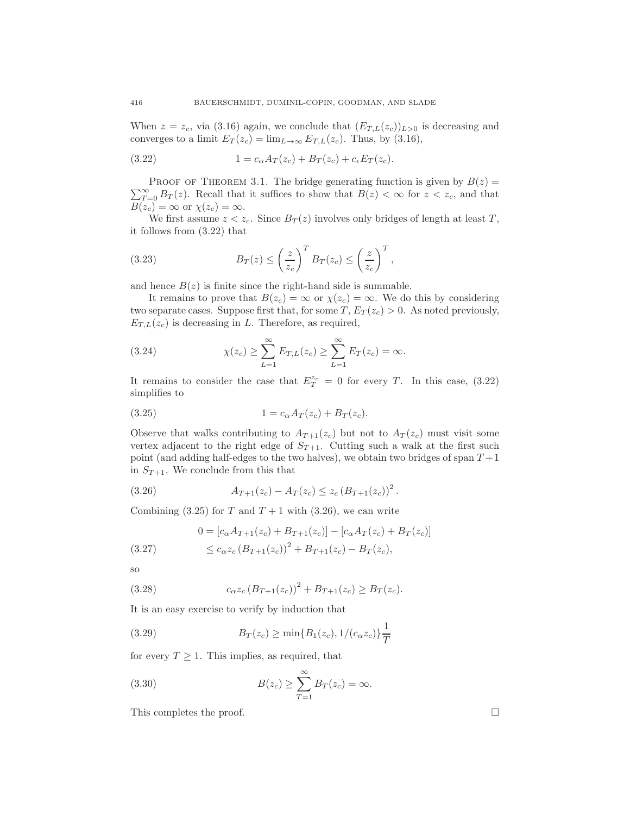When  $z = z_c$ , via (3.16) again, we conclude that  $(E_{T,L}(z_c))_{L>0}$  is decreasing and converges to a limit  $E_T(z_c) = \lim_{L\to\infty} E_{T,L}(z_c)$ . Thus, by (3.16),

(3.22) 
$$
1 = c_{\alpha} A_T(z_c) + B_T(z_c) + c_{\epsilon} E_T(z_c).
$$

 $\sum_{T=0}^{\infty} B_T(z)$ . Recall that it suffices to show that  $B(z) < \infty$  for  $z < z_c$ , and that PROOF OF THEOREM 3.1. The bridge generating function is given by  $B(z) =$  $B(z_c) = \infty$  or  $\chi(z_c) = \infty$ .

We first assume  $z < z_c$ . Since  $B_T(z)$  involves only bridges of length at least T, it follows from (3.22) that

(3.23) 
$$
B_T(z) \leq \left(\frac{z}{z_c}\right)^T B_T(z_c) \leq \left(\frac{z}{z_c}\right)^T,
$$

and hence  $B(z)$  is finite since the right-hand side is summable.

It remains to prove that  $B(z_c) = \infty$  or  $\chi(z_c) = \infty$ . We do this by considering two separate cases. Suppose first that, for some  $T$ ,  $E_T(z_c) > 0$ . As noted previously,  $E_{T,L}(z_c)$  is decreasing in L. Therefore, as required,

(3.24) 
$$
\chi(z_c) \geq \sum_{L=1}^{\infty} E_{T,L}(z_c) \geq \sum_{L=1}^{\infty} E_T(z_c) = \infty.
$$

It remains to consider the case that  $E_T^{z_c} = 0$  for every T. In this case, (3.22) simplifies to

(3.25) 
$$
1 = c_{\alpha} A_T(z_c) + B_T(z_c).
$$

Observe that walks contributing to  $A_{T+1}(z_c)$  but not to  $A_T(z_c)$  must visit some vertex adjacent to the right edge of  $S_{T+1}$ . Cutting such a walk at the first such point (and adding half-edges to the two halves), we obtain two bridges of span  $T+1$ in  $S_{T+1}$ . We conclude from this that

(3.26) 
$$
A_{T+1}(z_c) - A_T(z_c) \leq z_c (B_{T+1}(z_c))^2.
$$

Combining (3.25) for T and  $T + 1$  with (3.26), we can write

(3.27) 
$$
0 = [c_{\alpha}A_{T+1}(z_c) + B_{T+1}(z_c)] - [c_{\alpha}A_T(z_c) + B_T(z_c)]
$$

$$
\leq c_{\alpha}z_c (B_{T+1}(z_c))^2 + B_{T+1}(z_c) - B_T(z_c),
$$

so

(3.28) 
$$
c_{\alpha}z_c (B_{T+1}(z_c))^2 + B_{T+1}(z_c) \ge B_T(z_c).
$$

It is an easy exercise to verify by induction that

(3.29) 
$$
B_T(z_c) \geq \min\{B_1(z_c), 1/(c_\alpha z_c)\}\frac{1}{T}
$$

for every  $T \geq 1$ . This implies, as required, that

(3.30) 
$$
B(z_c) \geq \sum_{T=1}^{\infty} B_T(z_c) = \infty.
$$

This completes the proof.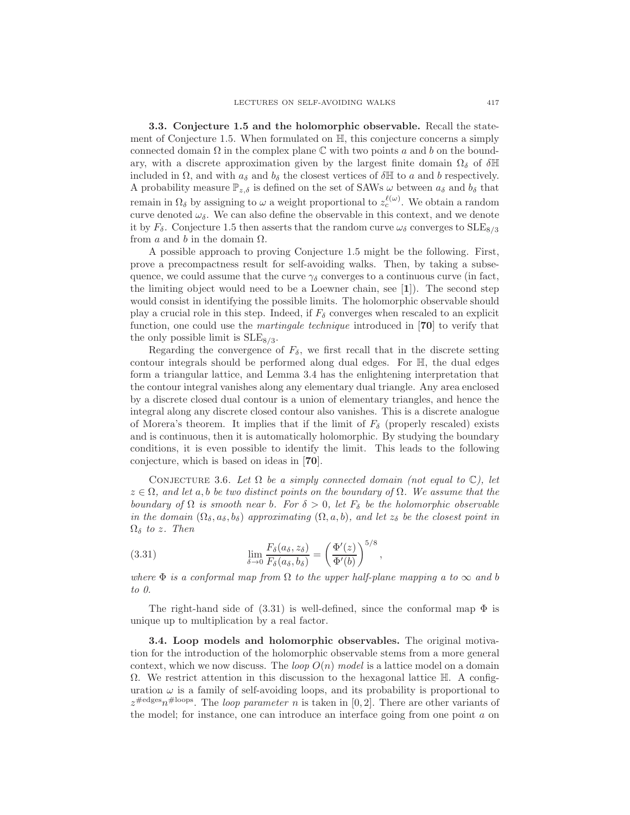3.3. Conjecture 1.5 and the holomorphic observable. Recall the statement of Conjecture 1.5. When formulated on H, this conjecture concerns a simply connected domain  $\Omega$  in the complex plane  $\mathbb C$  with two points a and b on the boundary, with a discrete approximation given by the largest finite domain  $\Omega_{\delta}$  of  $\delta \mathbb{H}$ included in  $\Omega$ , and with  $a_{\delta}$  and  $b_{\delta}$  the closest vertices of  $\delta \mathbb{H}$  to a and b respectively. A probability measure  $\mathbb{P}_{z,\delta}$  is defined on the set of SAWs  $\omega$  between  $a_{\delta}$  and  $b_{\delta}$  that remain in  $\Omega_{\delta}$  by assigning to  $\omega$  a weight proportional to  $z_c^{\ell(\omega)}$ . We obtain a random curve denoted  $\omega_{\delta}$ . We can also define the observable in this context, and we denote it by  $F_{\delta}$ . Conjecture 1.5 then asserts that the random curve  $\omega_{\delta}$  converges to  $\text{SLE}_{8/3}$ from a and b in the domain  $\Omega$ .

A possible approach to proving Conjecture 1.5 might be the following. First, prove a precompactness result for self-avoiding walks. Then, by taking a subsequence, we could assume that the curve  $\gamma_{\delta}$  converges to a continuous curve (in fact, the limiting object would need to be a Loewner chain, see [1]). The second step would consist in identifying the possible limits. The holomorphic observable should play a crucial role in this step. Indeed, if  $F_{\delta}$  converges when rescaled to an explicit function, one could use the *martingale technique* introduced in [70] to verify that the only possible limit is  $SLE_{8/3}$ .

Regarding the convergence of  $F_{\delta}$ , we first recall that in the discrete setting contour integrals should be performed along dual edges. For H, the dual edges form a triangular lattice, and Lemma 3.4 has the enlightening interpretation that the contour integral vanishes along any elementary dual triangle. Any area enclosed by a discrete closed dual contour is a union of elementary triangles, and hence the integral along any discrete closed contour also vanishes. This is a discrete analogue of Morera's theorem. It implies that if the limit of  $F_\delta$  (properly rescaled) exists and is continuous, then it is automatically holomorphic. By studying the boundary conditions, it is even possible to identify the limit. This leads to the following conjecture, which is based on ideas in [70].

CONJECTURE 3.6. Let  $\Omega$  be a simply connected domain (not equal to  $\mathbb{C}$ ), let z ∈ Ω*, and let* a, b *be two distinct points on the boundary of* Ω*. We assume that the boundary of*  $\Omega$  *is smooth near b.* For  $\delta > 0$ , let  $F_{\delta}$  *be the holomorphic observable in the domain*  $(\Omega_{\delta}, a_{\delta}, b_{\delta})$  *approximating*  $(\Omega, a, b)$ *, and let*  $z_{\delta}$  *be the closest point in*  $\Omega_{\delta}$  *to* z. Then

(3.31) 
$$
\lim_{\delta \to 0} \frac{F_{\delta}(a_{\delta}, z_{\delta})}{F_{\delta}(a_{\delta}, b_{\delta})} = \left(\frac{\Phi'(z)}{\Phi'(b)}\right)^{5/8},
$$

*where*  $\Phi$  *is a conformal map from*  $\Omega$  *to the upper half-plane mapping a to*  $\infty$  *and b to 0.*

The right-hand side of  $(3.31)$  is well-defined, since the conformal map  $\Phi$  is unique up to multiplication by a real factor.

3.4. Loop models and holomorphic observables. The original motivation for the introduction of the holomorphic observable stems from a more general context, which we now discuss. The *loop*  $O(n)$  model is a lattice model on a domain  $\Omega$ . We restrict attention in this discussion to the hexagonal lattice  $\mathbb{H}$ . A configuration  $\omega$  is a family of self-avoiding loops, and its probability is proportional to  $z^{\text{#edges}}n^{\text{#loops}}$ . The *loop parameter n* is taken in [0, 2]. There are other variants of the model; for instance, one can introduce an interface going from one point a on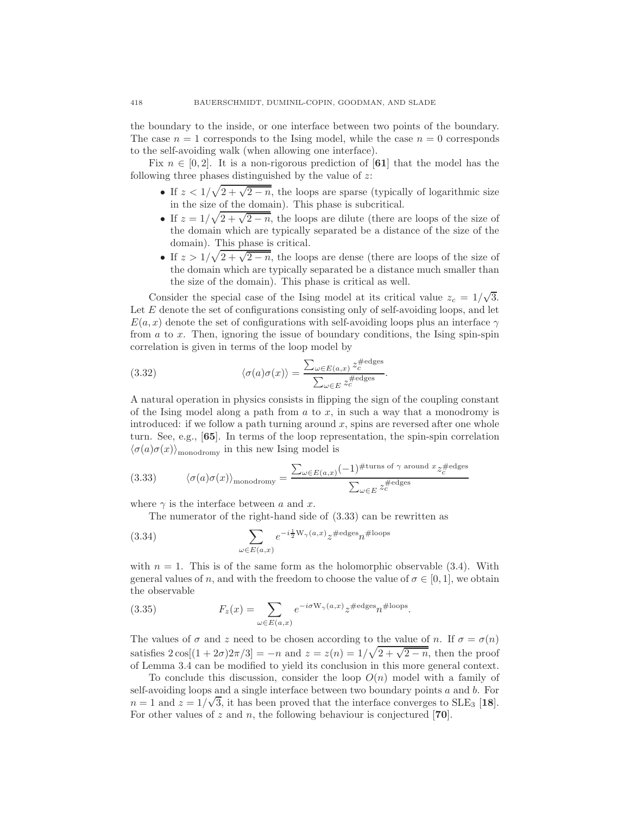the boundary to the inside, or one interface between two points of the boundary. The case  $n = 1$  corresponds to the Ising model, while the case  $n = 0$  corresponds to the self-avoiding walk (when allowing one interface).

Fix  $n \in [0, 2]$ . It is a non-rigorous prediction of [61] that the model has the following three phases distinguished by the value of  $z$ :

- If  $z < 1/\sqrt{2 + \sqrt{2-n}}$ , the loops are sparse (typically of logarithmic size in the size of the domain). This phase is subcritical.
- If  $z = 1/\sqrt{2 + \sqrt{2-n}}$ , the loops are dilute (there are loops of the size of the domain which are typically separated be a distance of the size of the domain). This phase is critical.
- If  $z > 1/\sqrt{2 + \sqrt{2-n}}$ , the loops are dense (there are loops of the size of the domain which are typically separated be a distance much smaller than the size of the domain). This phase is critical as well.

Consider the special case of the Ising model at its critical value  $z_c = 1/\sqrt{3}$ . Let  $E$  denote the set of configurations consisting only of self-avoiding loops, and let  $E(a, x)$  denote the set of configurations with self-avoiding loops plus an interface  $\gamma$ from a to x. Then, ignoring the issue of boundary conditions, the Ising spin-spin correlation is given in terms of the loop model by

(3.32) 
$$
\langle \sigma(a)\sigma(x)\rangle = \frac{\sum_{\omega \in E(a,x)} z_c^{\text{\#edges}}}{\sum_{\omega \in E} z_c^{\text{\#edges}}}.
$$

A natural operation in physics consists in flipping the sign of the coupling constant of the Ising model along a path from  $a$  to  $x$ , in such a way that a monodromy is introduced: if we follow a path turning around  $x$ , spins are reversed after one whole turn. See, e.g., [65]. In terms of the loop representation, the spin-spin correlation  $\langle \sigma(a)\sigma(x)\rangle_{\text{monodromy}}$  in this new Ising model is

(3.33) 
$$
\langle \sigma(a)\sigma(x) \rangle_{\text{monodromy}} = \frac{\sum_{\omega \in E(a,x)} (-1)^{\#\text{turns of }\gamma \text{ around }x} z_c^{\#\text{edges}}}{\sum_{\omega \in E} z_c^{\#\text{edges}}}
$$

where  $\gamma$  is the interface between a and x.

The numerator of the right-hand side of (3.33) can be rewritten as

(3.34) 
$$
\sum_{\omega \in E(a,x)} e^{-i\frac{1}{2}W_{\gamma}(a,x)} z^{\#\text{edges}} n^{\#\text{loops}}
$$

with  $n = 1$ . This is of the same form as the holomorphic observable (3.4). With general values of n, and with the freedom to choose the value of  $\sigma \in [0,1]$ , we obtain the observable

(3.35) 
$$
F_z(x) = \sum_{\omega \in E(a,x)} e^{-i\sigma W_\gamma(a,x)} z^{\text{\#edges}} n^{\text{\#loops}}.
$$

The values of  $\sigma$  and z need to be chosen according to the value of n. If  $\sigma = \sigma(n)$ satisfies  $2\cos[(1+2\sigma)2\pi/3] = -n$  and  $z = z(n) = 1/\sqrt{2+\sqrt{2-n}}$ , then the proof of Lemma 3.4 can be modified to yield its conclusion in this more general context.

To conclude this discussion, consider the loop  $O(n)$  model with a family of self-avoiding loops and a single interface between two boundary points  $a$  and  $b$ . For  $n = 1$  and  $z = 1/\sqrt{3}$ , it has been proved that the interface converges to  $SLE_3$  [18]. For other values of z and n, the following behaviour is conjectured  $[70]$ .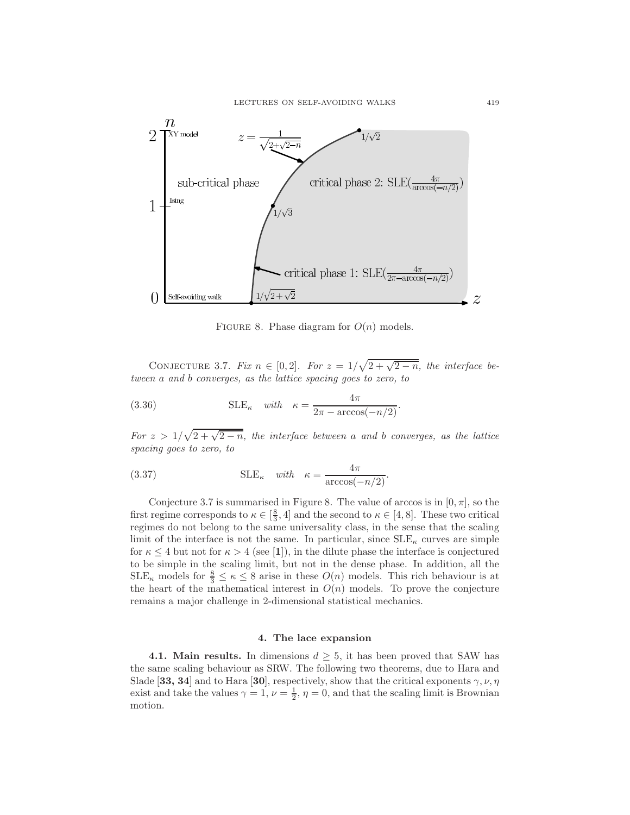

FIGURE 8. Phase diagram for  $O(n)$  models.

CONJECTURE 3.7. *Fix*  $n \in [0,2]$ *. For*  $z = 1/\sqrt{2 + \sqrt{2-n}}$ *, the interface between* a *and* b *converges, as the lattice spacing goes to zero, to*

(3.36) 
$$
\text{SLE}_{\kappa} \quad \text{with} \quad \kappa = \frac{4\pi}{2\pi - \arccos(-n/2)}.
$$

*For*  $z > 1/\sqrt{2 + \sqrt{2-n}}$ , the *interface between* a and *b converges*, as the *lattice spacing goes to zero, to*

(3.37) 
$$
\text{SLE}_{\kappa} \quad \text{with} \quad \kappa = \frac{4\pi}{\arccos(-n/2)}.
$$

Conjecture 3.7 is summarised in Figure 8. The value of arccos is in  $[0, \pi]$ , so the first regime corresponds to  $\kappa \in \left[\frac{8}{3}, 4\right]$  and the second to  $\kappa \in [4, 8]$ . These two critical regimes do not belong to the same universality class, in the sense that the scaling limit of the interface is not the same. In particular, since  $SLE_{\kappa}$  curves are simple for  $\kappa \leq 4$  but not for  $\kappa > 4$  (see [1]), in the dilute phase the interface is conjectured to be simple in the scaling limit, but not in the dense phase. In addition, all the  $\text{SLE}_{\kappa}$  models for  $\frac{8}{3} \leq \kappa \leq 8$  arise in these  $O(n)$  models. This rich behaviour is at the heart of the mathematical interest in  $O(n)$  models. To prove the conjecture remains a major challenge in 2-dimensional statistical mechanics.

#### 4. The lace expansion

**4.1. Main results.** In dimensions  $d \geq 5$ , it has been proved that SAW has the same scaling behaviour as SRW. The following two theorems, due to Hara and Slade [33, 34] and to Hara [30], respectively, show that the critical exponents  $\gamma$ ,  $\nu$ ,  $\eta$ exist and take the values  $\gamma = 1$ ,  $\nu = \frac{1}{2}$ ,  $\eta = 0$ , and that the scaling limit is Brownian motion.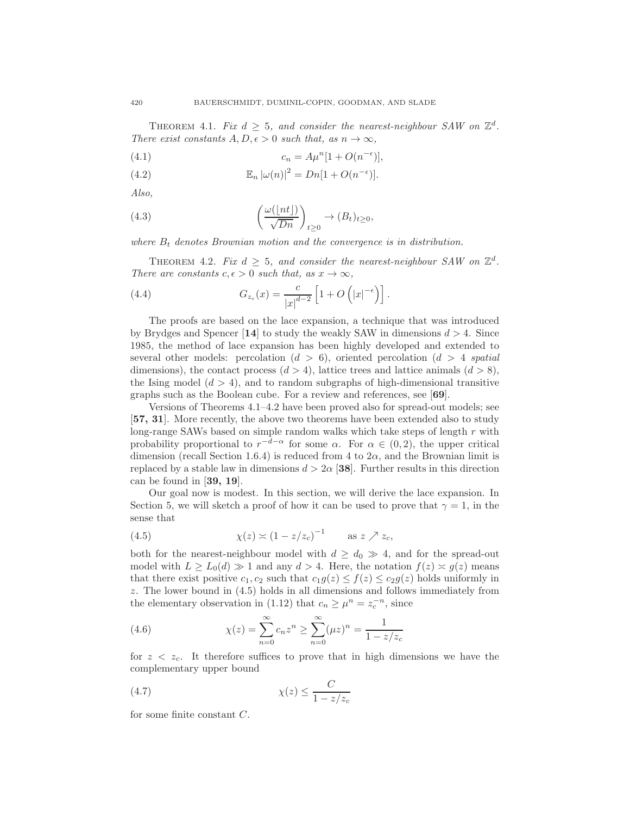THEOREM 4.1. *Fix*  $d \geq 5$ , and consider the nearest-neighbour SAW on  $\mathbb{Z}^d$ . *There exist constants*  $A, D, \epsilon > 0$  *such that, as*  $n \to \infty$ *,* 

(4.1) 
$$
c_n = A\mu^n[1 + O(n^{-\epsilon})],
$$

(4.2) 
$$
\mathbb{E}_n |\omega(n)|^2 = Dn[1 + O(n^{-\epsilon})].
$$

*Also,*

(4.3) 
$$
\left(\frac{\omega(\lfloor nt \rfloor)}{\sqrt{Dn}}\right)_{t \geq 0} \to (B_t)_{t \geq 0},
$$

where  $B_t$  denotes Brownian motion and the convergence is in distribution.

THEOREM 4.2. *Fix*  $d \geq 5$ , and consider the nearest-neighbour SAW on  $\mathbb{Z}^d$ . *There are constants*  $c, \epsilon > 0$  *such that, as*  $x \to \infty$ *,* 

(4.4) 
$$
G_{z_c}(x) = \frac{c}{|x|^{d-2}} \left[ 1 + O\left(|x|^{-\epsilon}\right) \right].
$$

The proofs are based on the lace expansion, a technique that was introduced by Brydges and Spencer [14] to study the weakly SAW in dimensions  $d > 4$ . Since 1985, the method of lace expansion has been highly developed and extended to several other models: percolation (d > 6), oriented percolation (d > 4 *spatial* dimensions), the contact process  $(d > 4)$ , lattice trees and lattice animals  $(d > 8)$ , the Ising model  $(d > 4)$ , and to random subgraphs of high-dimensional transitive graphs such as the Boolean cube. For a review and references, see [69].

Versions of Theorems 4.1–4.2 have been proved also for spread-out models; see [57, 31]. More recently, the above two theorems have been extended also to study long-range SAWs based on simple random walks which take steps of length  $r$  with probability proportional to  $r^{-d-\alpha}$  for some  $\alpha$ . For  $\alpha \in (0,2)$ , the upper critical dimension (recall Section 1.6.4) is reduced from 4 to  $2\alpha$ , and the Brownian limit is replaced by a stable law in dimensions  $d > 2\alpha$  [38]. Further results in this direction can be found in [39, 19].

Our goal now is modest. In this section, we will derive the lace expansion. In Section 5, we will sketch a proof of how it can be used to prove that  $\gamma = 1$ , in the sense that

(4.5) 
$$
\chi(z) \asymp (1 - z/z_c)^{-1} \quad \text{as } z \nearrow z_c,
$$

both for the nearest-neighbour model with  $d \geq d_0 \gg 4$ , and for the spread-out model with  $L \ge L_0(d) \gg 1$  and any  $d > 4$ . Here, the notation  $f(z) \asymp g(z)$  means that there exist positive  $c_1, c_2$  such that  $c_1g(z) \leq f(z) \leq c_2g(z)$  holds uniformly in z. The lower bound in (4.5) holds in all dimensions and follows immediately from the elementary observation in (1.12) that  $c_n \geq \mu^n = z_c^{-n}$ , since

(4.6) 
$$
\chi(z) = \sum_{n=0}^{\infty} c_n z^n \ge \sum_{n=0}^{\infty} (\mu z)^n = \frac{1}{1 - z/z_c}
$$

for  $z \, \langle \, z_c \rangle$ . It therefore suffices to prove that in high dimensions we have the complementary upper bound

$$
\chi(z) \le \frac{C}{1 - z/z_c}
$$

for some finite constant C.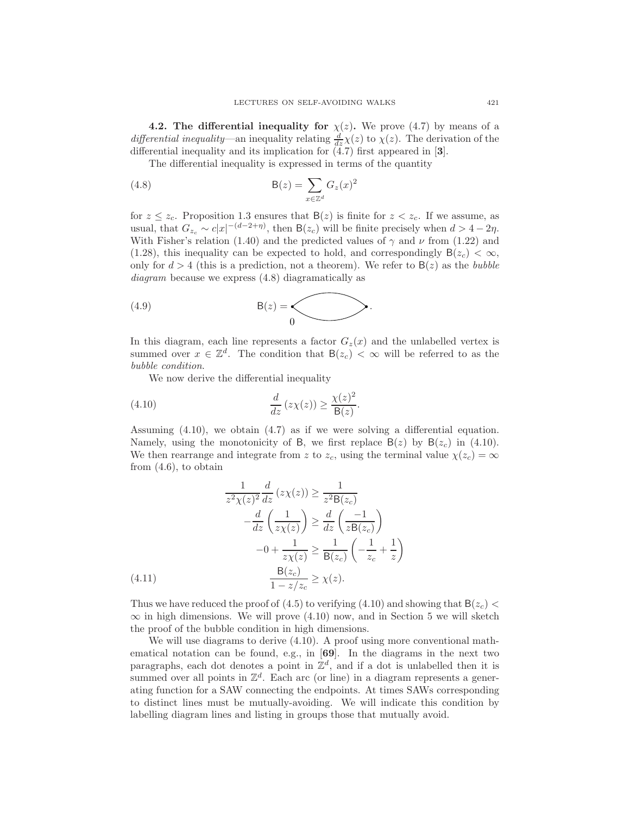**4.2. The differential inequality for**  $\chi(z)$ . We prove (4.7) by means of a *differential inequality*—an inequality relating  $\frac{d}{dz}\chi(z)$  to  $\chi(z)$ . The derivation of the differential inequality and its implication for  $(4.7)$  first appeared in [3].

The differential inequality is expressed in terms of the quantity

(4.8) 
$$
\mathsf{B}(z) = \sum_{x \in \mathbb{Z}^d} G_z(x)^2
$$

for  $z \leq z_c$ . Proposition 1.3 ensures that  $B(z)$  is finite for  $z < z_c$ . If we assume, as usual, that  $G_{z_c} \sim c|x|^{-(d-2+\eta)}$ , then  $B(z_c)$  will be finite precisely when  $d > 4 - 2\eta$ . With Fisher's relation (1.40) and the predicted values of  $\gamma$  and  $\nu$  from (1.22) and (1.28), this inequality can be expected to hold, and correspondingly  $B(z_c) < \infty$ , only for  $d > 4$  (this is a prediction, not a theorem). We refer to  $B(z)$  as the *bubble diagram* because we express (4.8) diagramatically as

$$
B(z) = \bigotimes_0
$$

In this diagram, each line represents a factor  $G_z(x)$  and the unlabelled vertex is summed over  $x \in \mathbb{Z}^d$ . The condition that  $B(z_c) < \infty$  will be referred to as the *bubble condition*.

We now derive the differential inequality

(4.10) 
$$
\frac{d}{dz}(z\chi(z)) \geq \frac{\chi(z)^2}{B(z)}.
$$

Assuming (4.10), we obtain (4.7) as if we were solving a differential equation. Namely, using the monotonicity of B, we first replace  $B(z)$  by  $B(z_c)$  in (4.10). We then rearrange and integrate from z to  $z_c$ , using the terminal value  $\chi(z_c) = \infty$ from (4.6), to obtain

$$
\frac{1}{z^2 \chi(z)^2} \frac{d}{dz} (z \chi(z)) \ge \frac{1}{z^2 \mathsf{B}(z_c)}
$$

$$
-\frac{d}{dz} \left(\frac{1}{z \chi(z)}\right) \ge \frac{d}{dz} \left(\frac{-1}{z \mathsf{B}(z_c)}\right)
$$

$$
-0 + \frac{1}{z \chi(z)} \ge \frac{1}{\mathsf{B}(z_c)} \left(-\frac{1}{z_c} + \frac{1}{z}\right)
$$

$$
\frac{\mathsf{B}(z_c)}{1 - z/z_c} \ge \chi(z).
$$

Thus we have reduced the proof of (4.5) to verifying (4.10) and showing that  $B(z_c)$  <  $\infty$  in high dimensions. We will prove (4.10) now, and in Section 5 we will sketch the proof of the bubble condition in high dimensions.

We will use diagrams to derive  $(4.10)$ . A proof using more conventional mathematical notation can be found, e.g., in [69]. In the diagrams in the next two paragraphs, each dot denotes a point in  $\mathbb{Z}^d$ , and if a dot is unlabelled then it is summed over all points in  $\mathbb{Z}^d$ . Each arc (or line) in a diagram represents a generating function for a SAW connecting the endpoints. At times SAWs corresponding to distinct lines must be mutually-avoiding. We will indicate this condition by labelling diagram lines and listing in groups those that mutually avoid.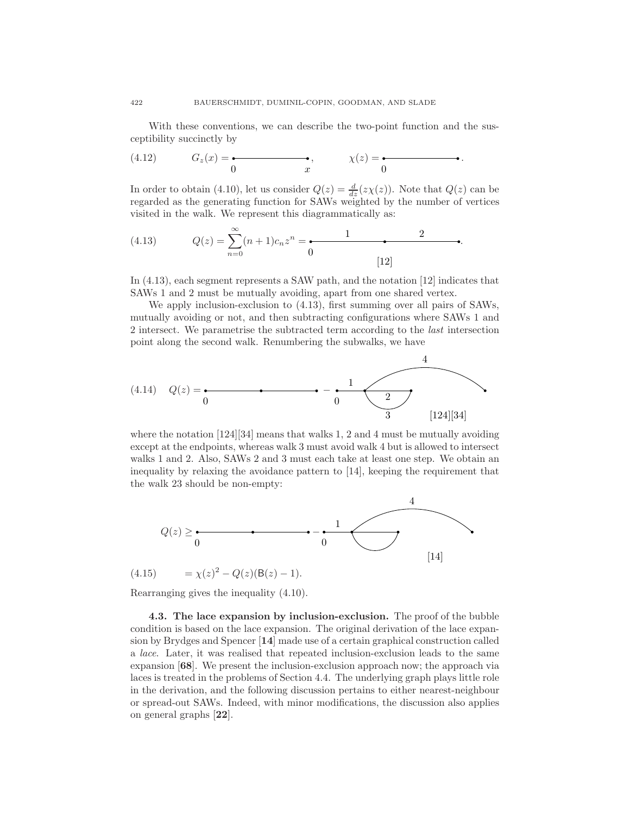With these conventions, we can describe the two-point function and the susceptibility succinctly by

$$
(4.12) \tGz(x) = \begin{array}{c} \bullet \\ 0 \end{array} \qquad \qquad \bullet
$$
,  $\chi(z) = \begin{array}{c} \bullet \\ 0 \end{array}$ 

In order to obtain (4.10), let us consider  $Q(z) = \frac{d}{dz}(z\chi(z))$ . Note that  $Q(z)$  can be regarded as the generating function for SAWs weighted by the number of vertices visited in the walk. We represent this diagrammatically as:

(4.13) 
$$
Q(z) = \sum_{n=0}^{\infty} (n+1)c_n z^n = \underbrace{1 \qquad 2 \qquad 2}_{[12]}
$$

In (4.13), each segment represents a SAW path, and the notation [12] indicates that SAWs 1 and 2 must be mutually avoiding, apart from one shared vertex.

We apply inclusion-exclusion to (4.13), first summing over all pairs of SAWs, mutually avoiding or not, and then subtracting configurations where SAWs 1 and 2 intersect. We parametrise the subtracted term according to the *last* intersection point along the second walk. Renumbering the subwalks, we have

(4.14) 
$$
Q(z) = \frac{1}{0}
$$
  $-\frac{1}{0}$   $\frac{4}{3}$  [124][34]

where the notation  $[124][34]$  means that walks 1, 2 and 4 must be mutually avoiding except at the endpoints, whereas walk 3 must avoid walk 4 but is allowed to intersect walks 1 and 2. Also, SAWs 2 and 3 must each take at least one step. We obtain an inequality by relaxing the avoidance pattern to [14], keeping the requirement that the walk 23 should be non-empty:



Rearranging gives the inequality (4.10).

4.3. The lace expansion by inclusion-exclusion. The proof of the bubble condition is based on the lace expansion. The original derivation of the lace expansion by Brydges and Spencer [14] made use of a certain graphical construction called a *lace*. Later, it was realised that repeated inclusion-exclusion leads to the same expansion  $\left| 68 \right|$ . We present the inclusion-exclusion approach now; the approach via laces is treated in the problems of Section 4.4. The underlying graph plays little role in the derivation, and the following discussion pertains to either nearest-neighbour or spread-out SAWs. Indeed, with minor modifications, the discussion also applies on general graphs [22].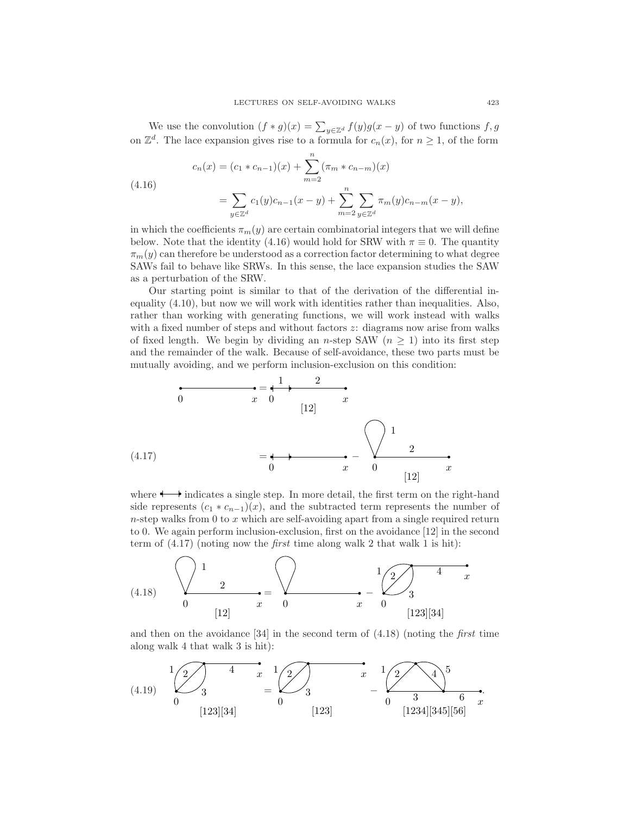We use the convolution  $(f * g)(x) = \sum_{y \in \mathbb{Z}^d} f(y)g(x - y)$  of two functions  $f, g$ on  $\mathbb{Z}^d$ . The lace expansion gives rise to a formula for  $c_n(x)$ , for  $n \ge 1$ , of the form

$$
c_n(x) = (c_1 * c_{n-1})(x) + \sum_{m=2}^{n} (\pi_m * c_{n-m})(x)
$$
  
4.16)  

$$
= \sum_{y \in \mathbb{Z}^d} c_1(y)c_{n-1}(x-y) + \sum_{m=2}^{n} \sum_{y \in \mathbb{Z}^d} \pi_m(y)c_{n-m}(x-y),
$$

 $($ 

in which the coefficients  $\pi_m(y)$  are certain combinatorial integers that we will define below. Note that the identity (4.16) would hold for SRW with  $\pi \equiv 0$ . The quantity  $\pi_m(y)$  can therefore be understood as a correction factor determining to what degree SAWs fail to behave like SRWs. In this sense, the lace expansion studies the SAW as a perturbation of the SRW.

Our starting point is similar to that of the derivation of the differential inequality (4.10), but now we will work with identities rather than inequalities. Also, rather than working with generating functions, we will work instead with walks with a fixed number of steps and without factors  $z$ : diagrams now arise from walks of fixed length. We begin by dividing an n-step SAW ( $n \geq 1$ ) into its first step and the remainder of the walk. Because of self-avoidance, these two parts must be mutually avoiding, and we perform inclusion-exclusion on this condition:



where  $\rightarrow$  indicates a single step. In more detail, the first term on the right-hand side represents  $(c_1 * c_{n-1})(x)$ , and the subtracted term represents the number of  $n$ -step walks from 0 to  $x$  which are self-avoiding apart from a single required return to 0. We again perform inclusion-exclusion, first on the avoidance [12] in the second term of (4.17) (noting now the *first* time along walk 2 that walk 1 is hit):



and then on the avoidance [34] in the second term of (4.18) (noting the *first* time along walk 4 that walk 3 is hit):

$$
(4.19) \quad\n\begin{array}{ccc}\n1 & 2 & 4 & x & 1 \\
& 3 & 0 & 0 \\
& & 0 & 0\n\end{array}\n\right)\n\quad\n\begin{array}{ccc}\n1 & 2 & 4 & 5 \\
& 3 & 6 & x \\
& 0 & 3 & 6 & x \\
& 0 & 3 & 6 & x\n\end{array}
$$
\n
$$
(123)[34] \quad\n\begin{array}{ccc}\n1 & 2 & 4 & 5 \\
& 0 & 3 & 6 & x \\
& 0 & 3 & 6 & x\n\end{array}
$$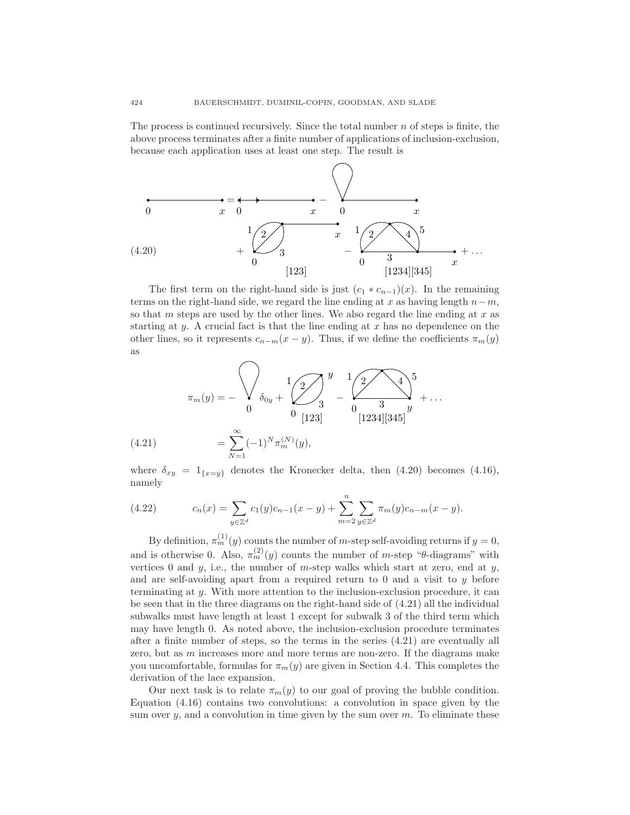The process is continued recursively. Since the total number  $n$  of steps is finite, the above process terminates after a finite number of applications of inclusion-exclusion, because each application uses at least one step. The result is



The first term on the right-hand side is just  $(c_1 * c_{n-1})(x)$ . In the remaining terms on the right-hand side, we regard the line ending at x as having length  $n-m$ , so that m steps are used by the other lines. We also regard the line ending at  $x$  as starting at y. A crucial fact is that the line ending at  $x$  has no dependence on the other lines, so it represents  $c_{n-m}(x-y)$ . Thus, if we define the coefficients  $\pi_m(y)$ as

$$
\pi_m(y) = -\sqrt{\lambda_{0y} + \sum_{0}^{1} \frac{1}{3} \sum_{\substack{1 \ (123]}} y - \frac{1}{2} \sum_{0}^{1} \frac{1}{3} \sum_{\substack{3 \ (1234][345]}} y + \dots}
$$

$$
= \sum_{N=1}^{\infty} (-1)^N \pi_m^{(N)}(y),
$$

where  $\delta_{xy} = 1_{\{x=y\}}$  denotes the Kronecker delta, then (4.20) becomes (4.16), namely

(4.22) 
$$
c_n(x) = \sum_{y \in \mathbb{Z}^d} c_1(y)c_{n-1}(x-y) + \sum_{m=2}^n \sum_{y \in \mathbb{Z}^d} \pi_m(y)c_{n-m}(x-y).
$$

By definition,  $\pi_m^{(1)}(y)$  counts the number of *m*-step self-avoiding returns if  $y = 0$ , and is otherwise 0. Also,  $\pi_m^{(2)}(y)$  counts the number of *m*-step " $\theta$ -diagrams" with vertices 0 and  $y$ , i.e., the number of m-step walks which start at zero, end at  $y$ , and are self-avoiding apart from a required return to  $0$  and a visit to  $y$  before terminating at y. With more attention to the inclusion-exclusion procedure, it can be seen that in the three diagrams on the right-hand side of (4.21) all the individual subwalks must have length at least 1 except for subwalk 3 of the third term which may have length 0. As noted above, the inclusion-exclusion procedure terminates after a finite number of steps, so the terms in the series (4.21) are eventually all zero, but as  $m$  increases more and more terms are non-zero. If the diagrams make you uncomfortable, formulas for  $\pi_m(y)$  are given in Section 4.4. This completes the derivation of the lace expansion.

Our next task is to relate  $\pi_m(y)$  to our goal of proving the bubble condition. Equation (4.16) contains two convolutions: a convolution in space given by the sum over  $y$ , and a convolution in time given by the sum over  $m$ . To eliminate these

 $(4.21)$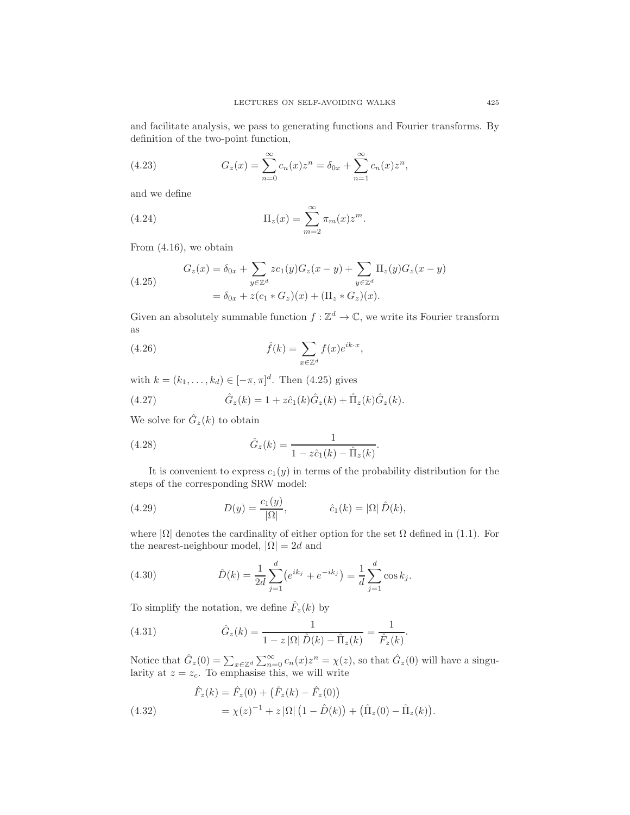and facilitate analysis, we pass to generating functions and Fourier transforms. By definition of the two-point function,

(4.23) 
$$
G_z(x) = \sum_{n=0}^{\infty} c_n(x) z^n = \delta_{0x} + \sum_{n=1}^{\infty} c_n(x) z^n,
$$

and we define

(4.24) 
$$
\Pi_z(x) = \sum_{m=2}^{\infty} \pi_m(x) z^m.
$$

From (4.16), we obtain

(4.25) 
$$
G_z(x) = \delta_{0x} + \sum_{y \in \mathbb{Z}^d} z c_1(y) G_z(x - y) + \sum_{y \in \mathbb{Z}^d} \Pi_z(y) G_z(x - y)
$$

$$
= \delta_{0x} + z (c_1 * G_z)(x) + (\Pi_z * G_z)(x).
$$

Given an absolutely summable function  $f : \mathbb{Z}^d \to \mathbb{C}$ , we write its Fourier transform as

(4.26) 
$$
\hat{f}(k) = \sum_{x \in \mathbb{Z}^d} f(x)e^{ik \cdot x},
$$

with  $k = (k_1, ..., k_d) \in [-\pi, \pi]^d$ . Then (4.25) gives

(4.27) 
$$
\hat{G}_z(k) = 1 + z\hat{c}_1(k)\hat{G}_z(k) + \hat{\Pi}_z(k)\hat{G}_z(k).
$$

We solve for  $\hat{G}_z(k)$  to obtain

(4.28) 
$$
\hat{G}_z(k) = \frac{1}{1 - z\hat{c}_1(k) - \hat{\Pi}_z(k)}.
$$

It is convenient to express  $c_1(y)$  in terms of the probability distribution for the steps of the corresponding SRW model:

(4.29) 
$$
D(y) = \frac{c_1(y)}{|\Omega|}, \qquad \hat{c}_1(k) = |\Omega| \hat{D}(k),
$$

where  $|\Omega|$  denotes the cardinality of either option for the set  $\Omega$  defined in (1.1). For the nearest-neighbour model,  $|\Omega| = 2d$  and

(4.30) 
$$
\hat{D}(k) = \frac{1}{2d} \sum_{j=1}^{d} (e^{ik_j} + e^{-ik_j}) = \frac{1}{d} \sum_{j=1}^{d} \cos k_j.
$$

To simplify the notation, we define  $\hat{F}_z(k)$  by

(4.31) 
$$
\hat{G}_z(k) = \frac{1}{1 - z |\Omega| \hat{D}(k) - \hat{\Pi}_z(k)} = \frac{1}{\hat{F}_z(k)}.
$$

Notice that  $\hat{G}_z(0) = \sum_{x \in \mathbb{Z}^d} \sum_{n=0}^{\infty} c_n(x) z^n = \chi(z)$ , so that  $\hat{G}_z(0)$  will have a singularity at  $z = z_c$ . To emphasise this, we will write

(4.32) 
$$
\hat{F}_z(k) = \hat{F}_z(0) + (\hat{F}_z(k) - \hat{F}_z(0)) \n= \chi(z)^{-1} + z |\Omega| (1 - \hat{D}(k)) + (\hat{\Pi}_z(0) - \hat{\Pi}_z(k)).
$$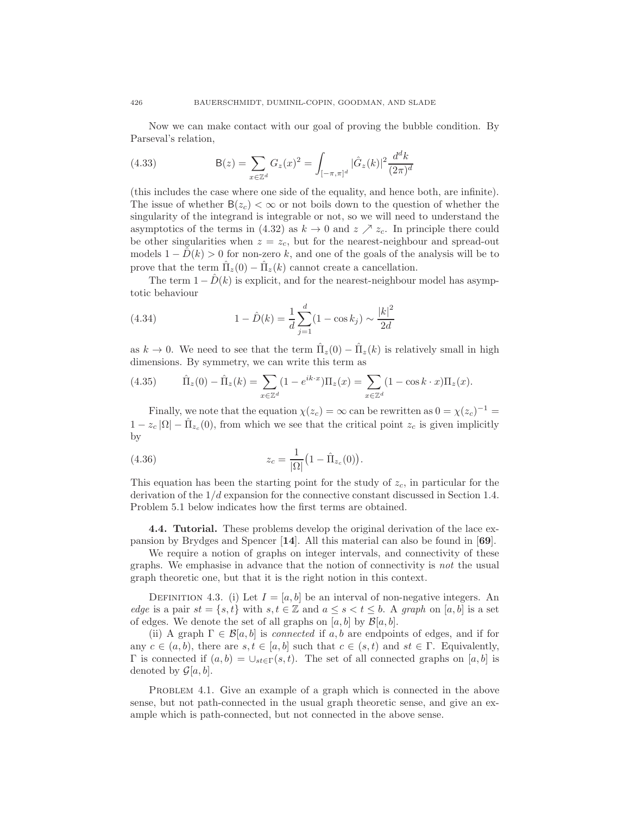Now we can make contact with our goal of proving the bubble condition. By Parseval's relation,

(4.33) 
$$
B(z) = \sum_{x \in \mathbb{Z}^d} G_z(x)^2 = \int_{[-\pi,\pi]^d} |\hat{G}_z(k)|^2 \frac{d^d k}{(2\pi)^d}
$$

(this includes the case where one side of the equality, and hence both, are infinite). The issue of whether  $B(z_c) < \infty$  or not boils down to the question of whether the singularity of the integrand is integrable or not, so we will need to understand the asymptotics of the terms in (4.32) as  $k \to 0$  and  $z \nearrow z_c$ . In principle there could be other singularities when  $z = z_c$ , but for the nearest-neighbour and spread-out models  $1 - \hat{D}(k) > 0$  for non-zero k, and one of the goals of the analysis will be to prove that the term  $\hat{\Pi}_z(0) - \hat{\Pi}_z(k)$  cannot create a cancellation.

The term  $1 - \hat{D}(k)$  is explicit, and for the nearest-neighbour model has asymptotic behaviour

(4.34) 
$$
1 - \hat{D}(k) = \frac{1}{d} \sum_{j=1}^{d} (1 - \cos k_j) \sim \frac{|k|^2}{2d}
$$

as  $k \to 0$ . We need to see that the term  $\hat{\Pi}_z(0) - \hat{\Pi}_z(k)$  is relatively small in high dimensions. By symmetry, we can write this term as

(4.35) 
$$
\hat{\Pi}_z(0) - \hat{\Pi}_z(k) = \sum_{x \in \mathbb{Z}^d} (1 - e^{ik \cdot x}) \Pi_z(x) = \sum_{x \in \mathbb{Z}^d} (1 - \cos k \cdot x) \Pi_z(x).
$$

Finally, we note that the equation  $\chi(z_c) = \infty$  can be rewritten as  $0 = \chi(z_c)^{-1} =$  $1 - z_c |\Omega| - \hat{\Pi}_{z_c}(0)$ , from which we see that the critical point  $z_c$  is given implicitly by

(4.36) 
$$
z_c = \frac{1}{|\Omega|} (1 - \hat{\Pi}_{z_c}(0)).
$$

This equation has been the starting point for the study of  $z_c$ , in particular for the derivation of the  $1/d$  expansion for the connective constant discussed in Section 1.4. Problem 5.1 below indicates how the first terms are obtained.

4.4. Tutorial. These problems develop the original derivation of the lace expansion by Brydges and Spencer [14]. All this material can also be found in [69].

We require a notion of graphs on integer intervals, and connectivity of these graphs. We emphasise in advance that the notion of connectivity is *not* the usual graph theoretic one, but that it is the right notion in this context.

DEFINITION 4.3. (i) Let  $I = [a, b]$  be an interval of non-negative integers. An *edge* is a pair  $st = \{s, t\}$  with  $s, t \in \mathbb{Z}$  and  $a \leq s < t \leq b$ . A *graph* on [a, b] is a set of edges. We denote the set of all graphs on  $[a, b]$  by  $\mathcal{B}[a, b]$ .

(ii) A graph  $\Gamma \in \mathcal{B}[a, b]$  is *connected* if a, b are endpoints of edges, and if for any  $c \in (a, b)$ , there are  $s, t \in [a, b]$  such that  $c \in (s, t)$  and  $st \in \Gamma$ . Equivalently,  $Γ$  is connected if  $(a, b) = ∪_{st∈Γ}(s, t)$ . The set of all connected graphs on [a, b] is denoted by  $\mathcal{G}[a, b]$ .

PROBLEM 4.1. Give an example of a graph which is connected in the above sense, but not path-connected in the usual graph theoretic sense, and give an example which is path-connected, but not connected in the above sense.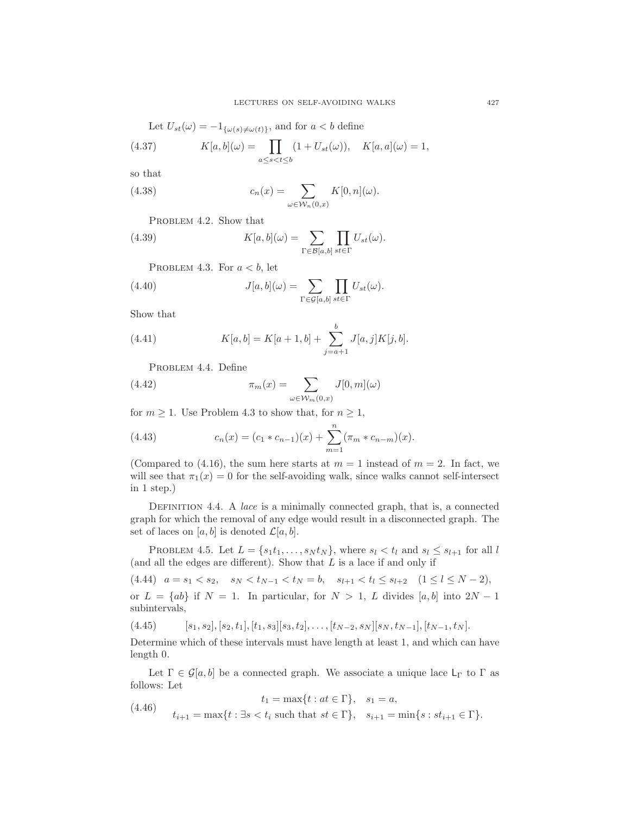Let 
$$
U_{st}(\omega) = -1_{\{\omega(s)\neq \omega(t)\}}
$$
, and for  $a < b$  define

(4.37) 
$$
K[a, b](\omega) = \prod_{a \le s < t \le b} (1 + U_{st}(\omega)), \quad K[a, a](\omega) = 1,
$$

so that

(4.38) 
$$
c_n(x) = \sum_{\omega \in \mathcal{W}_n(0,x)} K[0,n](\omega).
$$

PROBLEM 4.2. Show that

(4.39) 
$$
K[a, b](\omega) = \sum_{\Gamma \in \mathcal{B}[a, b]} \prod_{st \in \Gamma} U_{st}(\omega).
$$

PROBLEM 4.3. For  $a < b$ , let

(4.40) 
$$
J[a, b](\omega) = \sum_{\Gamma \in \mathcal{G}[a, b]} \prod_{st \in \Gamma} U_{st}(\omega).
$$

Show that

(4.41) 
$$
K[a, b] = K[a+1, b] + \sum_{j=a+1}^{b} J[a, j]K[j, b].
$$

PROBLEM 4.4. Define

(4.42) 
$$
\pi_m(x) = \sum_{\omega \in \mathcal{W}_m(0,x)} J[0,m](\omega)
$$

for  $m \geq 1$ . Use Problem 4.3 to show that, for  $n \geq 1$ ,

(4.43) 
$$
c_n(x) = (c_1 * c_{n-1})(x) + \sum_{m=1}^n (\pi_m * c_{n-m})(x).
$$

(Compared to (4.16), the sum here starts at  $m = 1$  instead of  $m = 2$ . In fact, we will see that  $\pi_1(x) = 0$  for the self-avoiding walk, since walks cannot self-intersect in 1 step.)

Definition 4.4. A *lace* is a minimally connected graph, that is, a connected graph for which the removal of any edge would result in a disconnected graph. The set of laces on  $[a, b]$  is denoted  $\mathcal{L}[a, b]$ .

PROBLEM 4.5. Let  $L = \{s_1t_1, \ldots, s_Nt_N\}$ , where  $s_l < t_l$  and  $s_l \leq s_{l+1}$  for all l (and all the edges are different). Show that  $L$  is a lace if and only if

 $(4.44)$   $a = s_1 < s_2$ ,  $s_N < t_{N-1} < t_N = b$ ,  $s_{l+1} < t_l \leq s_{l+2}$   $(1 \leq l \leq N-2)$ , or  $L = \{ab\}$  if  $N = 1$ . In particular, for  $N > 1$ , L divides [a, b] into  $2N - 1$ subintervals,

 $(4.45)$   $[s_1, s_2], [s_2, t_1], [t_1, s_3][s_3, t_2], \ldots, [t_{N-2}, s_N][s_N, t_{N-1}], [t_{N-1}, t_N].$ 

Determine which of these intervals must have length at least 1, and which can have length 0.

Let  $\Gamma \in \mathcal{G}[a, b]$  be a connected graph. We associate a unique lace  $\mathsf{L}_{\Gamma}$  to  $\Gamma$  as follows: Let

(4.46) 
$$
t_1 = \max\{t : at \in \Gamma\}, \quad s_1 = a,
$$

$$
t_{i+1} = \max\{t : \exists s < t_i \text{ such that } st \in \Gamma\}, \quad s_{i+1} = \min\{s : st_{i+1} \in \Gamma\}.
$$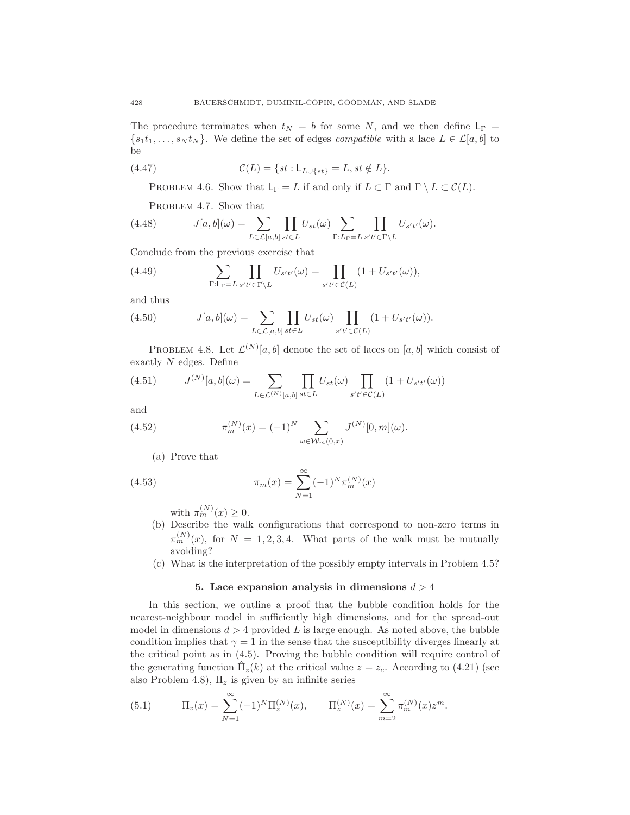The procedure terminates when  $t_N = b$  for some N, and we then define  $L_\Gamma =$  $\{s_1t_1,\ldots,s_Nt_N\}$ . We define the set of edges *compatible* with a lace  $L \in \mathcal{L}[a,b]$  to be

(4.47) 
$$
\mathcal{C}(L) = \{st : \mathsf{L}_{L \cup \{st\}} = L, st \notin L\}.
$$

PROBLEM 4.6. Show that  $L_{\Gamma} = L$  if and only if  $L \subset \Gamma$  and  $\Gamma \setminus L \subset \mathcal{C}(L)$ .

PROBLEM 4.7. Show that

(4.48) 
$$
J[a,b](\omega) = \sum_{L \in \mathcal{L}[a,b]} \prod_{st \in L} U_{st}(\omega) \sum_{\Gamma: L_{\Gamma} = L} \prod_{s't' \in \Gamma \backslash L} U_{s't'}(\omega).
$$

Conclude from the previous exercise that

(4.49) 
$$
\sum_{\Gamma:\mathsf{L}_{\Gamma}=L} \prod_{s't'\in\Gamma\backslash L} U_{s't'}(\omega) = \prod_{s't'\in\mathcal{C}(L)} (1+U_{s't'}(\omega)),
$$

and thus

(4.50) 
$$
J[a, b](\omega) = \sum_{L \in \mathcal{L}[a, b]} \prod_{st \in L} U_{st}(\omega) \prod_{s't' \in \mathcal{C}(L)} (1 + U_{s't'}(\omega)).
$$

PROBLEM 4.8. Let  $\mathcal{L}^{(N)}[a,b]$  denote the set of laces on  $[a,b]$  which consist of exactly  $N$  edges. Define

(4.51) 
$$
J^{(N)}[a,b](\omega) = \sum_{L \in \mathcal{L}^{(N)}[a,b]} \prod_{st \in L} U_{st}(\omega) \prod_{s't' \in \mathcal{C}(L)} (1 + U_{s't'}(\omega))
$$

and

(4.52) 
$$
\pi_m^{(N)}(x) = (-1)^N \sum_{\omega \in \mathcal{W}_m(0,x)} J^{(N)}[0,m](\omega).
$$

(a) Prove that

(4.53) 
$$
\pi_m(x) = \sum_{N=1}^{\infty} (-1)^N \pi_m^{(N)}(x)
$$

with  $\pi_m^{(N)}(x) \geq 0$ .

- (b) Describe the walk configurations that correspond to non-zero terms in  $\pi_m^{(N)}(x)$ , for  $N = 1, 2, 3, 4$ . What parts of the walk must be mutually avoiding?
- (c) What is the interpretation of the possibly empty intervals in Problem 4.5?

#### 5. Lace expansion analysis in dimensions  $d > 4$

In this section, we outline a proof that the bubble condition holds for the nearest-neighbour model in sufficiently high dimensions, and for the spread-out model in dimensions  $d > 4$  provided L is large enough. As noted above, the bubble condition implies that  $\gamma = 1$  in the sense that the susceptibility diverges linearly at the critical point as in (4.5). Proving the bubble condition will require control of the generating function  $\hat{\Pi}_z(k)$  at the critical value  $z = z_c$ . According to (4.21) (see also Problem 4.8),  $\Pi_z$  is given by an infinite series

(5.1) 
$$
\Pi_z(x) = \sum_{N=1}^{\infty} (-1)^N \Pi_z^{(N)}(x), \qquad \Pi_z^{(N)}(x) = \sum_{m=2}^{\infty} \pi_m^{(N)}(x) z^m.
$$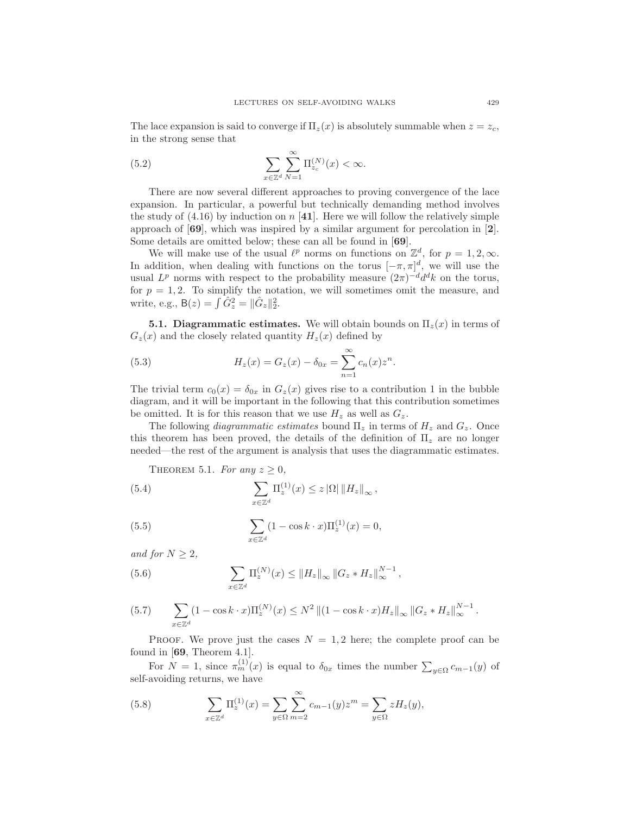The lace expansion is said to converge if  $\Pi_z(x)$  is absolutely summable when  $z = z_c$ , in the strong sense that

(5.2) 
$$
\sum_{x \in \mathbb{Z}^d} \sum_{N=1}^{\infty} \Pi_{z_c}^{(N)}(x) < \infty.
$$

There are now several different approaches to proving convergence of the lace expansion. In particular, a powerful but technically demanding method involves the study of  $(4.16)$  by induction on n [41]. Here we will follow the relatively simple approach of  $[69]$ , which was inspired by a similar argument for percolation in  $[2]$ . Some details are omitted below; these can all be found in [69].

We will make use of the usual  $\ell^p$  norms on functions on  $\mathbb{Z}^d$ , for  $p = 1, 2, \infty$ . In addition, when dealing with functions on the torus  $[-\pi, \pi]^d$ , we will use the usual  $L^p$  norms with respect to the probability measure  $(2\pi)^{-d} d^d k$  on the torus, for  $p = 1, 2$ . To simplify the notation, we will sometimes omit the measure, and write, e.g.,  $B(z) = \int \hat{G}_z^2 = ||\hat{G}_z||_2^2$ .

**5.1. Diagrammatic estimates.** We will obtain bounds on  $\Pi_z(x)$  in terms of  $G_z(x)$  and the closely related quantity  $H_z(x)$  defined by

(5.3) 
$$
H_z(x) = G_z(x) - \delta_{0x} = \sum_{n=1}^{\infty} c_n(x) z^n.
$$

The trivial term  $c_0(x) = \delta_{0x}$  in  $G_z(x)$  gives rise to a contribution 1 in the bubble diagram, and it will be important in the following that this contribution sometimes be omitted. It is for this reason that we use  $H_z$  as well as  $G_z$ .

The following *diagrammatic estimates* bound  $\Pi_z$  in terms of  $H_z$  and  $G_z$ . Once this theorem has been proved, the details of the definition of  $\Pi_z$  are no longer needed—the rest of the argument is analysis that uses the diagrammatic estimates.

THEOREM 5.1. For any  $z \geq 0$ ,

(5.4) 
$$
\sum_{x \in \mathbb{Z}^d} \Pi_z^{(1)}(x) \leq z |\Omega| \|H_z\|_{\infty},
$$

(5.5) 
$$
\sum_{x \in \mathbb{Z}^d} (1 - \cos k \cdot x) \Pi_z^{(1)}(x) = 0,
$$

*and for*  $N > 2$ *,* 

(5.6) 
$$
\sum_{x \in \mathbb{Z}^d} \Pi_z^{(N)}(x) \leq ||H_z||_{\infty} ||G_z * H_z||_{\infty}^{N-1},
$$

(5.7) 
$$
\sum_{x \in \mathbb{Z}^d} (1 - \cos k \cdot x) \Pi_z^{(N)}(x) \le N^2 ||(1 - \cos k \cdot x) H_z||_{\infty} ||G_z * H_z||_{\infty}^{N-1}.
$$

PROOF. We prove just the cases  $N = 1, 2$  here; the complete proof can be found in [69, Theorem 4.1].

For  $N = 1$ , since  $\pi_m^{(1)}(x)$  is equal to  $\delta_{0x}$  times the number  $\sum_{y \in \Omega} c_{m-1}(y)$  of self-avoiding returns, we have

(5.8) 
$$
\sum_{x \in \mathbb{Z}^d} \Pi_z^{(1)}(x) = \sum_{y \in \Omega} \sum_{m=2}^{\infty} c_{m-1}(y) z^m = \sum_{y \in \Omega} z H_z(y),
$$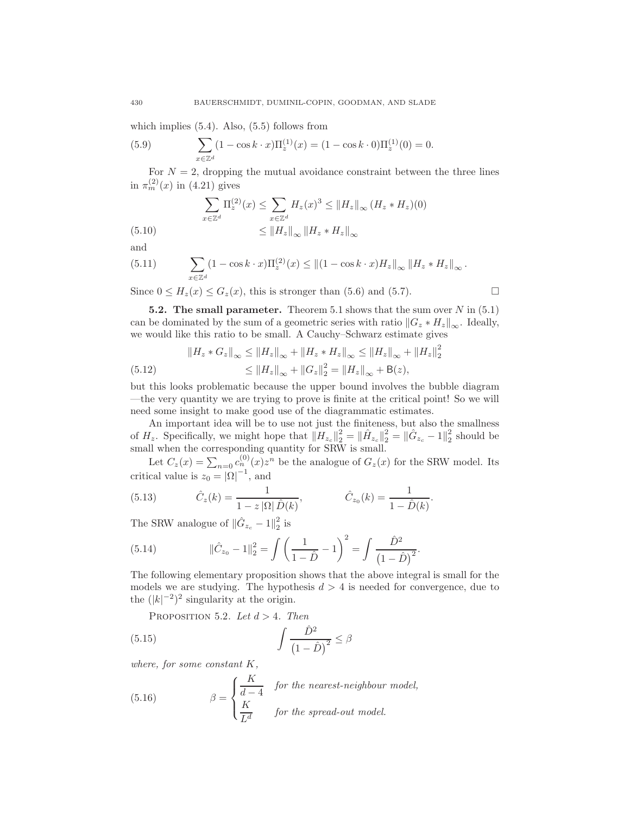which implies (5.4). Also, (5.5) follows from

(5.9) 
$$
\sum_{x \in \mathbb{Z}^d} (1 - \cos k \cdot x) \Pi_z^{(1)}(x) = (1 - \cos k \cdot 0) \Pi_z^{(1)}(0) = 0.
$$

For  $N = 2$ , dropping the mutual avoidance constraint between the three lines in  $\pi_m^{(2)}(x)$  in (4.21) gives

(5.10) 
$$
\sum_{x \in \mathbb{Z}^d} \Pi_z^{(2)}(x) \le \sum_{x \in \mathbb{Z}^d} H_z(x)^3 \le ||H_z||_{\infty} (H_z * H_z)(0)
$$

$$
\le ||H_z||_{\infty} ||H_z * H_z||_{\infty}
$$

and

(5.11) 
$$
\sum_{x \in \mathbb{Z}^d} (1 - \cos k \cdot x) \Pi_z^{(2)}(x) \le ||(1 - \cos k \cdot x) H_z||_{\infty} ||H_z * H_z||_{\infty}.
$$

Since  $0 \le H_z(x) \le G_z(x)$ , this is stronger than (5.6) and (5.7).

**5.2. The small parameter.** Theorem 5.1 shows that the sum over  $N$  in (5.1) can be dominated by the sum of a geometric series with ratio  $||G_z * H_z||_{\infty}$ . Ideally, we would like this ratio to be small. A Cauchy–Schwarz estimate gives

$$
||H_z * G_z||_{\infty} \le ||H_z||_{\infty} + ||H_z * H_z||_{\infty} \le ||H_z||_{\infty} + ||H_z||_2^2
$$
  
(5.12) 
$$
\le ||H_z||_{\infty} + ||G_z||_2^2 = ||H_z||_{\infty} + B(z),
$$

but this looks problematic because the upper bound involves the bubble diagram —the very quantity we are trying to prove is finite at the critical point! So we will need some insight to make good use of the diagrammatic estimates.

An important idea will be to use not just the finiteness, but also the smallness of  $H_z$ . Specifically, we might hope that  $||H_{z_c}||_2^2 = ||\hat{H}_{z_c}||_2^2 = ||\hat{G}_{z_c} - 1||_2^2$  should be small when the corresponding quantity for SRW is small.

Let  $C_z(x) = \sum_{n=0} c_n^{(0)}(x) z^n$  be the analogue of  $G_z(x)$  for the SRW model. Its critical value is  $z_0 = |\Omega|^{-1}$ , and

(5.13) 
$$
\hat{C}_z(k) = \frac{1}{1 - z |\Omega| \hat{D}(k)}, \qquad \hat{C}_{z_0}(k) = \frac{1}{1 - \hat{D}(k)}.
$$

The SRW analogue of  $\|\hat{G}_{z_c} - 1\|_2^2$  $\frac{2}{2}$  is

(5.14) 
$$
\|\hat{C}_{z_0} - 1\|_2^2 = \int \left(\frac{1}{1 - \hat{D}} - 1\right)^2 = \int \frac{\hat{D}^2}{\left(1 - \hat{D}\right)^2}
$$

The following elementary proposition shows that the above integral is small for the models we are studying. The hypothesis  $d > 4$  is needed for convergence, due to the  $(|k|^{-2})^2$  singularity at the origin.

.

PROPOSITION 5.2. *Let*  $d > 4$ *. Then* 

$$
\int \frac{\hat{D}^2}{\left(1-\hat{D}\right)^2} \le \beta
$$

*where, for some constant* K*,*

(5.16) 
$$
\beta = \begin{cases} \frac{K}{d-4} & \text{for the nearest-neighbor model,} \\ \frac{K}{L^d} & \text{for the spread-out model.} \end{cases}
$$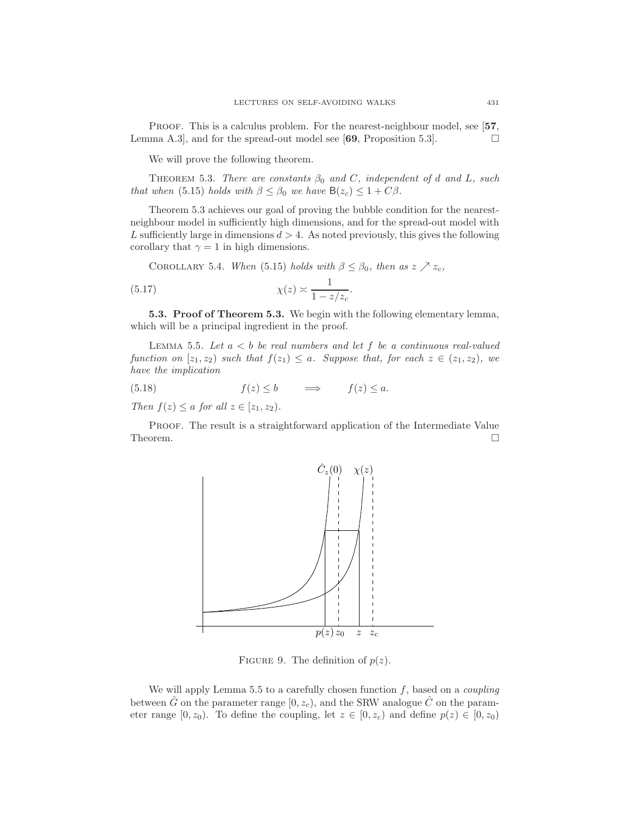PROOF. This is a calculus problem. For the nearest-neighbour model, see [57, Lemma A.3, and for the spread-out model see [69, Proposition 5.3].

We will prove the following theorem.

THEOREM 5.3. *There are constants*  $\beta_0$  *and* C, *independent* of d *and* L, *such that when* (5.15) *holds with*  $\beta \leq \beta_0$  *we have*  $B(z_c) \leq 1 + C\beta$ *.* 

Theorem 5.3 achieves our goal of proving the bubble condition for the nearestneighbour model in sufficiently high dimensions, and for the spread-out model with L sufficiently large in dimensions  $d > 4$ . As noted previously, this gives the following corollary that  $\gamma = 1$  in high dimensions.

COROLLARY 5.4. *When* (5.15) *holds with*  $\beta \leq \beta_0$ *, then as*  $z \nearrow z_c$ *,* 

$$
\chi(z) \asymp \frac{1}{1 - z/z_c}.
$$

5.3. Proof of Theorem 5.3. We begin with the following elementary lemma, which will be a principal ingredient in the proof.

Lemma 5.5. *Let* a < b *be real numbers and let* f *be a continuous real-valued function on*  $[z_1, z_2]$  *such that*  $f(z_1) \leq a$ *. Suppose that, for each*  $z \in (z_1, z_2)$ *, we have the implication*

(5.18) 
$$
f(z) \le b
$$
  $\implies$   $f(z) \le a$ .  
Then  $f(z) \le a$  for all  $z \in [z_1, z_2)$ .

Proof. The result is a straightforward application of the Intermediate Value Theorem.  $\Box$ 



FIGURE 9. The definition of  $p(z)$ .

We will apply Lemma 5.5 to a carefully chosen function f, based on a *coupling* between  $\hat{G}$  on the parameter range [0,  $z_c$ ], and the SRW analogue  $\hat{C}$  on the parameter range  $[0, z_0)$ . To define the coupling, let  $z \in [0, z_c)$  and define  $p(z) \in [0, z_0)$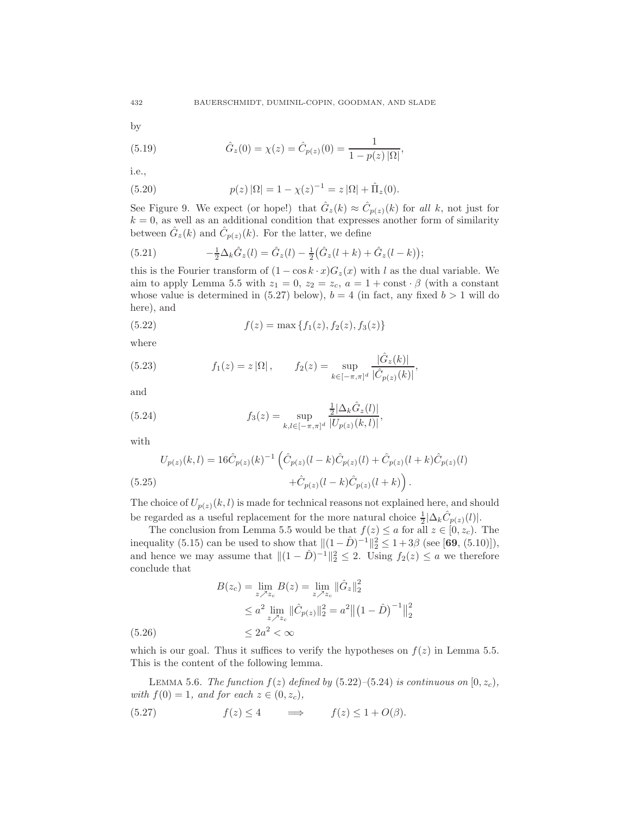by

(5.19) 
$$
\hat{G}_z(0) = \chi(z) = \hat{C}_{p(z)}(0) = \frac{1}{1 - p(z) |\Omega|},
$$

i.e.,

(5.20) 
$$
p(z) |\Omega| = 1 - \chi(z)^{-1} = z |\Omega| + \hat{\Pi}_z(0).
$$

See Figure 9. We expect (or hope!) that  $\hat{G}_z(k) \approx \hat{C}_{p(z)}(k)$  for all k, not just for  $k = 0$ , as well as an additional condition that expresses another form of similarity between  $\hat{G}_z(k)$  and  $\hat{C}_{p(z)}(k)$ . For the latter, we define

(5.21) 
$$
-\frac{1}{2}\Delta_k \hat{G}_z(l) = \hat{G}_z(l) - \frac{1}{2}(\hat{G}_z(l+k) + \hat{G}_z(l-k));
$$

this is the Fourier transform of  $(1 - \cos k \cdot x)G_z(x)$  with l as the dual variable. We aim to apply Lemma 5.5 with  $z_1 = 0$ ,  $z_2 = z_c$ ,  $a = 1 + const \cdot \beta$  (with a constant whose value is determined in (5.27) below),  $b = 4$  (in fact, any fixed  $b > 1$  will do here), and

(5.22) 
$$
f(z) = \max\{f_1(z), f_2(z), f_3(z)\}\
$$

where

(5.23) 
$$
f_1(z) = z |\Omega|, \qquad f_2(z) = \sup_{k \in [-\pi, \pi]^d} \frac{|\hat{G}_z(k)|}{|\hat{C}_{p(z)}(k)|},
$$

and

(5.24) 
$$
f_3(z) = \sup_{k,l \in [-\pi,\pi]^d} \frac{\frac{1}{2} |\Delta_k \hat{G}_z(l)|}{|U_{p(z)}(k,l)|},
$$

with

 $(5.26)$ 

$$
U_{p(z)}(k,l) = 16\hat{C}_{p(z)}(k)^{-1} \left( \hat{C}_{p(z)}(l-k)\hat{C}_{p(z)}(l) + \hat{C}_{p(z)}(l+k)\hat{C}_{p(z)}(l) + \hat{C}_{p(z)}(l-k)\hat{C}_{p(z)}(l+k) \right).
$$
\n(5.25)

The choice of  $U_{p(z)}(k, l)$  is made for technical reasons not explained here, and should be regarded as a useful replacement for the more natural choice  $\frac{1}{2}|\Delta_k \hat{C}_{p(z)}(l)|$ .

The conclusion from Lemma 5.5 would be that  $f(z) \le a$  for all  $z \in [0, z_c)$ . The inequality (5.15) can be used to show that  $||(1 - \hat{D})^{-1}||_2^2 \leq 1 + 3\beta$  (see [69, (5.10)]), and hence we may assume that  $||(1 - \hat{D})^{-1}||_2^2 \le 2$ . Using  $f_2(z) \le a$  we therefore conclude that

$$
B(z_c) = \lim_{z \nearrow z_c} B(z) = \lim_{z \nearrow z_c} ||\hat{G}_z||_2^2
$$
  
\n
$$
\leq a^2 \lim_{z \nearrow z_c} ||\hat{C}_{p(z)}||_2^2 = a^2 ||(1 - \hat{D})^{-1}||_2^2
$$
  
\n
$$
\leq 2a^2 < \infty
$$

which is our goal. Thus it suffices to verify the hypotheses on  $f(z)$  in Lemma 5.5. This is the content of the following lemma.

LEMMA 5.6. *The function*  $f(z)$  *defined by* (5.22)–(5.24) *is continuous on*  $[0, z_c)$ *, with*  $f(0) = 1$ *, and for each*  $z \in (0, z_c)$ *,* 

(5.27)  $f(z) \leq 4 \implies f(z) \leq 1 + O(\beta).$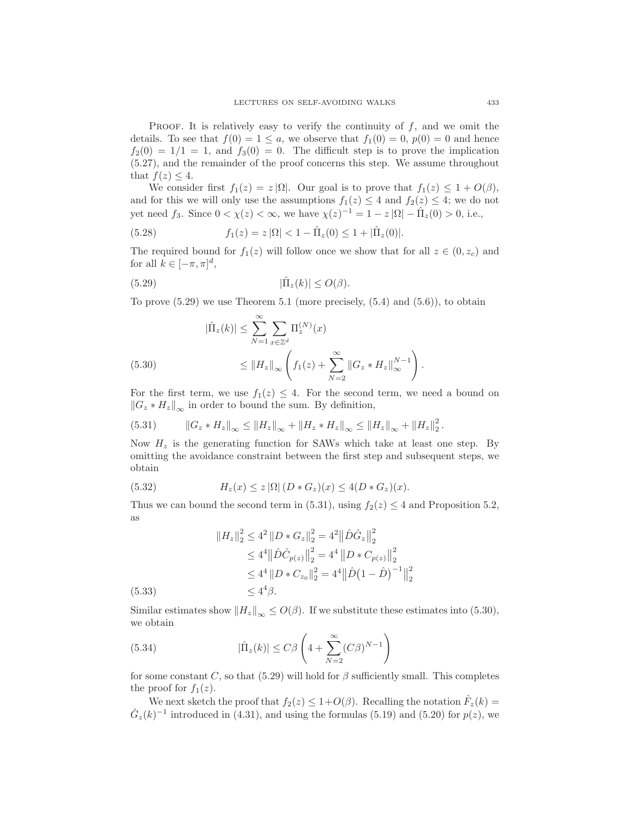PROOF. It is relatively easy to verify the continuity of  $f$ , and we omit the details. To see that  $f(0) = 1 \le a$ , we observe that  $f_1(0) = 0$ ,  $p(0) = 0$  and hence  $f_2(0) = 1/1 = 1$ , and  $f_3(0) = 0$ . The difficult step is to prove the implication (5.27), and the remainder of the proof concerns this step. We assume throughout that  $f(z) \leq 4$ .

We consider first  $f_1(z) = z |\Omega|$ . Our goal is to prove that  $f_1(z) \leq 1 + O(\beta)$ , and for this we will only use the assumptions  $f_1(z) \leq 4$  and  $f_2(z) \leq 4$ ; we do not yet need  $f_3$ . Since  $0 < \chi(z) < \infty$ , we have  $\chi(z)^{-1} = 1 - z |\Omega| - \hat{\Pi}_z(0) > 0$ , i.e.,

(5.28) 
$$
f_1(z) = z |\Omega| < 1 - \hat{\Pi}_z(0) \le 1 + |\hat{\Pi}_z(0)|.
$$

The required bound for  $f_1(z)$  will follow once we show that for all  $z \in (0, z_c)$  and for all  $k \in [-\pi, \pi]^d$ ,

(5.29) 
$$
|\hat{\Pi}_z(k)| \leq O(\beta).
$$

To prove  $(5.29)$  we use Theorem 5.1 (more precisely,  $(5.4)$  and  $(5.6)$ ), to obtain

(5.30) 
$$
|\hat{\Pi}_z(k)| \leq \sum_{N=1}^{\infty} \sum_{x \in \mathbb{Z}^d} \Pi_z^{(N)}(x)
$$

$$
\leq ||H_z||_{\infty} \left( f_1(z) + \sum_{N=2}^{\infty} ||G_z * H_z||_{\infty}^{N-1} \right).
$$

For the first term, we use  $f_1(z) \leq 4$ . For the second term, we need a bound on  $||G_z * H_z||_{\infty}$  in order to bound the sum. By definition,

$$
(5.31) \t ||G_z * H_z||_{\infty} \le ||H_z||_{\infty} + ||H_z * H_z||_{\infty} \le ||H_z||_{\infty} + ||H_z||_2^2.
$$

Now  $H_z$  is the generating function for SAWs which take at least one step. By omitting the avoidance constraint between the first step and subsequent steps, we obtain

(5.32) 
$$
H_z(x) \leq z |\Omega| (D * G_z)(x) \leq 4(D * G_z)(x).
$$

Thus we can bound the second term in (5.31), using  $f_2(z) \leq 4$  and Proposition 5.2, as

$$
||H_z||_2^2 \le 4^2 ||D * G_z||_2^2 = 4^2 ||\hat{D}\hat{G}_z||_2^2
$$
  
\n
$$
\le 4^4 ||\hat{D}\hat{C}_{p(z)}||_2^2 = 4^4 ||D * C_{p(z)}||_2^2
$$
  
\n
$$
\le 4^4 ||D * C_{z_0}||_2^2 = 4^4 ||\hat{D}(1 - \hat{D})^{-1}||_2^2
$$
  
\n
$$
\le 4^4 \beta.
$$

Similar estimates show  $||H_z||_{\infty} \leq O(\beta)$ . If we substitute these estimates into (5.30), we obtain

(5.34) 
$$
|\hat{\Pi}_z(k)| \leq C\beta \left(4 + \sum_{N=2}^{\infty} (C\beta)^{N-1}\right)
$$

 $(5.33)$ 

for some constant C, so that (5.29) will hold for  $\beta$  sufficiently small. This completes the proof for  $f_1(z)$ .

We next sketch the proof that  $f_2(z) \leq 1 + O(\beta)$ . Recalling the notation  $\hat{F}_z(k) =$  $\hat{G}_z(k)^{-1}$  introduced in (4.31), and using the formulas (5.19) and (5.20) for  $p(z)$ , we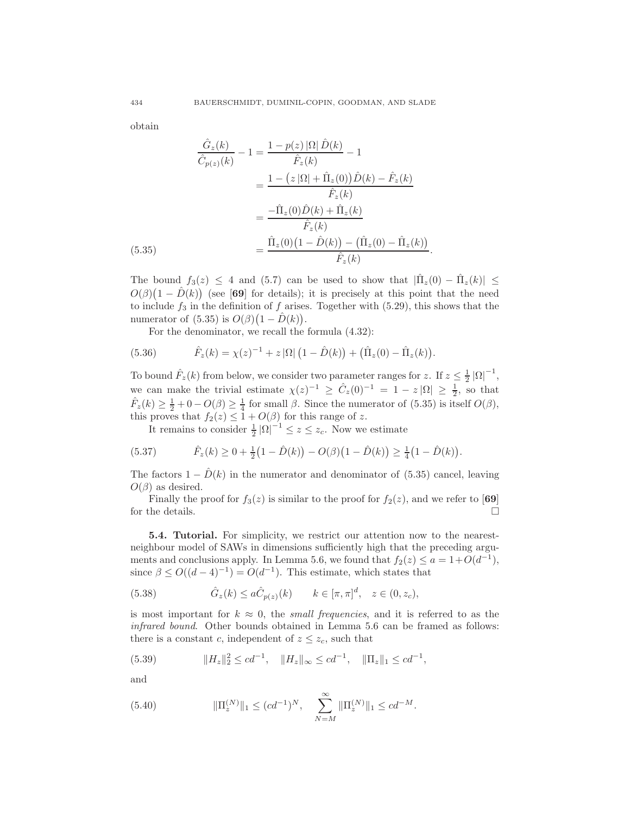obtain

$$
\frac{\hat{G}_z(k)}{\hat{C}_{p(z)}(k)} - 1 = \frac{1 - p(z) |\Omega| \hat{D}(k)}{\hat{F}_z(k)} - 1
$$
\n
$$
= \frac{1 - (z |\Omega| + \hat{\Pi}_z(0)) \hat{D}(k) - \hat{F}_z(k)}{\hat{F}_z(k)}
$$
\n
$$
= \frac{-\hat{\Pi}_z(0) \hat{D}(k) + \hat{\Pi}_z(k)}{\hat{F}_z(k)}
$$
\n(5.35)\n
$$
= \frac{\hat{\Pi}_z(0) (1 - \hat{D}(k)) - (\hat{\Pi}_z(0) - \hat{\Pi}_z(k))}{\hat{F}_z(k)}.
$$

The bound  $f_3(z) \leq 4$  and (5.7) can be used to show that  $|\hat{\Pi}_z(0) - \hat{\Pi}_z(k)| \leq$  $O(\beta)(1-\hat{D}(k))$  (see [69] for details); it is precisely at this point that the need to include  $f_3$  in the definition of f arises. Together with (5.29), this shows that the numerator of  $(5.35)$  is  $O(\beta)(1-\hat{D}(k)).$ 

For the denominator, we recall the formula (4.32):

(5.36) 
$$
\hat{F}_z(k) = \chi(z)^{-1} + z |\Omega| (1 - \hat{D}(k)) + (\hat{\Pi}_z(0) - \hat{\Pi}_z(k)).
$$

To bound  $\hat{F}_z(k)$  from below, we consider two parameter ranges for z. If  $z \leq \frac{1}{2} |\Omega|^{-1}$ , we can make the trivial estimate  $\chi(z)^{-1} \geq \hat{C}_z(0)^{-1} = 1 - z |\Omega| \geq \frac{1}{2}$ , so that  $\hat{F}_z(k) \geq \frac{1}{2} + 0 - O(\beta) \geq \frac{1}{4}$  for small  $\beta$ . Since the numerator of (5.35) is itself  $O(\beta)$ , this proves that  $f_2(z) \leq 1 + O(\beta)$  for this range of z.

It remains to consider  $\frac{1}{2} |\Omega|^{-1} \leq z \leq z_c$ . Now we estimate

(5.37) 
$$
\hat{F}_z(k) \ge 0 + \frac{1}{2} \left( 1 - \hat{D}(k) \right) - O(\beta) \left( 1 - \hat{D}(k) \right) \ge \frac{1}{4} \left( 1 - \hat{D}(k) \right).
$$

The factors  $1 - D(k)$  in the numerator and denominator of (5.35) cancel, leaving  $O(\beta)$  as desired.

Finally the proof for  $f_3(z)$  is similar to the proof for  $f_2(z)$ , and we refer to [69] for the details.  $\hfill\Box$ 

5.4. Tutorial. For simplicity, we restrict our attention now to the nearestneighbour model of SAWs in dimensions sufficiently high that the preceding arguments and conclusions apply. In Lemma 5.6, we found that  $f_2(z) \le a = 1 + O(d^{-1}),$ since  $\beta \le O((d-4)^{-1}) = O(d^{-1})$ . This estimate, which states that

(5.38) 
$$
\hat{G}_z(k) \le a \hat{C}_{p(z)}(k) \qquad k \in [\pi, \pi]^d, \quad z \in (0, z_c),
$$

is most important for  $k \approx 0$ , the *small frequencies*, and it is referred to as the *infrared bound*. Other bounds obtained in Lemma 5.6 can be framed as follows: there is a constant c, independent of  $z \leq z_c$ , such that

(5.39) 
$$
||H_z||_2^2 \le cd^{-1}, \quad ||H_z||_{\infty} \le cd^{-1}, \quad ||\Pi_z||_1 \le cd^{-1},
$$

and

(5.40) 
$$
\|\Pi_z^{(N)}\|_1 \leq (cd^{-1})^N, \quad \sum_{N=M}^{\infty} \|\Pi_z^{(N)}\|_1 \leq cd^{-M}.
$$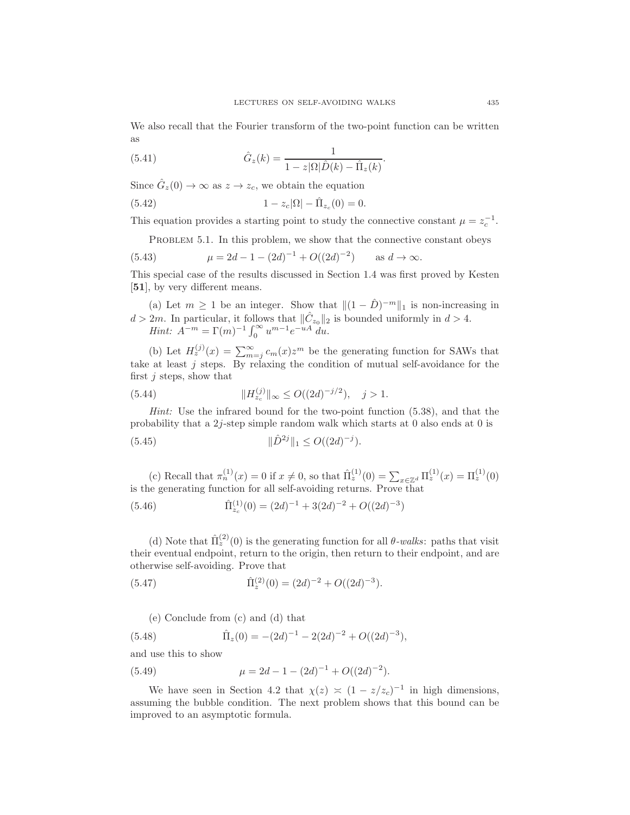We also recall that the Fourier transform of the two-point function can be written as

(5.41) 
$$
\hat{G}_z(k) = \frac{1}{1 - z|\Omega|\hat{D}(k) - \hat{\Pi}_z(k)}.
$$

Since  $\hat{G}_z(0) \to \infty$  as  $z \to z_c$ , we obtain the equation

(5.42) 
$$
1 - z_c |\Omega| - \hat{\Pi}_{z_c}(0) = 0.
$$

This equation provides a starting point to study the connective constant  $\mu = z_c^{-1}$ .

PROBLEM 5.1. In this problem, we show that the connective constant obeys

(5.43) 
$$
\mu = 2d - 1 - (2d)^{-1} + O((2d)^{-2}) \quad \text{as } d \to \infty.
$$

This special case of the results discussed in Section 1.4 was first proved by Kesten [51], by very different means.

(a) Let  $m \geq 1$  be an integer. Show that  $||(1 - \hat{D})^{-m}||_1$  is non-increasing in  $d > 2m$ . In particular, it follows that  $\|\hat{C}_{z_0}\|_2$  is bounded uniformly in  $d > 4$ . *Hint:*  $A^{-m} = \Gamma(m)^{-1} \int_0^\infty u^{m-1} e^{-uA} du$ .

(b) Let  $H_z^{(j)}(x) = \sum_{m=j}^{\infty} c_m(x) z^m$  be the generating function for SAWs that take at least  $j$  steps. By relaxing the condition of mutual self-avoidance for the first  $j$  steps, show that

(5.44) 
$$
||H_{z_c}^{(j)}||_{\infty} \le O((2d)^{-j/2}), \quad j > 1.
$$

*Hint:* Use the infrared bound for the two-point function (5.38), and that the probability that a 2j-step simple random walk which starts at 0 also ends at 0 is

(5.45) 
$$
\|\hat{D}^{2j}\|_1 \le O((2d)^{-j}).
$$

(c) Recall that  $\pi_n^{(1)}(x) = 0$  if  $x \neq 0$ , so that  $\hat{\Pi}_z^{(1)}(0) = \sum_{x \in \mathbb{Z}^d} \Pi_z^{(1)}(x) = \Pi_z^{(1)}(0)$ is the generating function for all self-avoiding returns. Prove that

(5.46) 
$$
\hat{\Pi}_{z_c}^{(1)}(0) = (2d)^{-1} + 3(2d)^{-2} + O((2d)^{-3})
$$

(d) Note that  $\hat{\Pi}_z^{(2)}(0)$  is the generating function for all  $\theta$ -walks: paths that visit their eventual endpoint, return to the origin, then return to their endpoint, and are otherwise self-avoiding. Prove that

(5.47) 
$$
\hat{\Pi}_z^{(2)}(0) = (2d)^{-2} + O((2d)^{-3}).
$$

(e) Conclude from (c) and (d) that

(5.48) 
$$
\hat{\Pi}_z(0) = -(2d)^{-1} - 2(2d)^{-2} + O((2d)^{-3}),
$$

and use this to show

(5.49) 
$$
\mu = 2d - 1 - (2d)^{-1} + O((2d)^{-2}).
$$

We have seen in Section 4.2 that  $\chi(z) \approx (1 - z/z_c)^{-1}$  in high dimensions, assuming the bubble condition. The next problem shows that this bound can be improved to an asymptotic formula.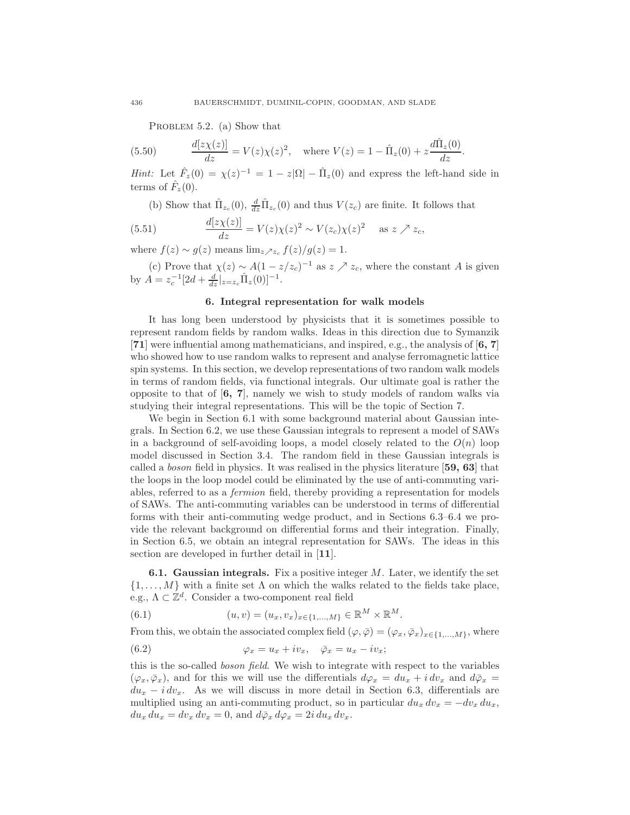PROBLEM 5.2. (a) Show that

(5.50) 
$$
\frac{d[z\chi(z)]}{dz} = V(z)\chi(z)^2, \text{ where } V(z) = 1 - \hat{\Pi}_z(0) + z\frac{d\hat{\Pi}_z(0)}{dz}.
$$

*Hint:* Let  $\hat{F}_z(0) = \chi(z)^{-1} = 1 - z|\Omega| - \hat{\Pi}_z(0)$  and express the left-hand side in terms of  $\hat{F}_z(0)$ .

(b) Show that  $\hat{\Pi}_{z_c}(0)$ ,  $\frac{d}{dz}\hat{\Pi}_{z_c}(0)$  and thus  $V(z_c)$  are finite. It follows that

(5.51) 
$$
\frac{d[z\chi(z)]}{dz} = V(z)\chi(z)^2 \sim V(z_c)\chi(z)^2 \quad \text{as } z \nearrow z_c,
$$

where  $f(z) \sim g(z)$  means  $\lim_{z \to z_c} f(z)/g(z) = 1$ .

(c) Prove that  $\chi(z) \sim A(1-z/z_c)^{-1}$  as  $z \nearrow z_c$ , where the constant A is given by  $A = z_c^{-1} [2d + \frac{d}{dz}|_{z=z_c} \hat{\Pi}_z(0)]^{-1}$ .

### 6. Integral representation for walk models

It has long been understood by physicists that it is sometimes possible to represent random fields by random walks. Ideas in this direction due to Symanzik [71] were influential among mathematicians, and inspired, e.g., the analysis of [6, 7] who showed how to use random walks to represent and analyse ferromagnetic lattice spin systems. In this section, we develop representations of two random walk models in terms of random fields, via functional integrals. Our ultimate goal is rather the opposite to that of  $[6, 7]$ , namely we wish to study models of random walks via studying their integral representations. This will be the topic of Section 7.

We begin in Section 6.1 with some background material about Gaussian integrals. In Section 6.2, we use these Gaussian integrals to represent a model of SAWs in a background of self-avoiding loops, a model closely related to the  $O(n)$  loop model discussed in Section 3.4. The random field in these Gaussian integrals is called a *boson* field in physics. It was realised in the physics literature [59, 63] that the loops in the loop model could be eliminated by the use of anti-commuting variables, referred to as a *fermion* field, thereby providing a representation for models of SAWs. The anti-commuting variables can be understood in terms of differential forms with their anti-commuting wedge product, and in Sections 6.3–6.4 we provide the relevant background on differential forms and their integration. Finally, in Section 6.5, we obtain an integral representation for SAWs. The ideas in this section are developed in further detail in [11].

**6.1. Gaussian integrals.** Fix a positive integer  $M$ . Later, we identify the set  $\{1, \ldots, M\}$  with a finite set  $\Lambda$  on which the walks related to the fields take place, e.g.,  $\Lambda \subset \mathbb{Z}^d$ . Consider a two-component real field

(6.1) 
$$
(u, v) = (u_x, v_x)_{x \in \{1, ..., M\}} \in \mathbb{R}^M \times \mathbb{R}^M.
$$

From this, we obtain the associated complex field  $(\varphi, \overline{\varphi}) = (\varphi_x, \overline{\varphi}_x)_{x \in \{1, ..., M\}}$ , where

(6.2) 
$$
\varphi_x = u_x + iv_x, \quad \bar{\varphi}_x = u_x - iv_x;
$$

this is the so-called *boson field*. We wish to integrate with respect to the variables  $(\varphi_x, \bar{\varphi}_x)$ , and for this we will use the differentials  $d\varphi_x = du_x + i dv_x$  and  $d\bar{\varphi}_x =$  $du_x - i dv_x$ . As we will discuss in more detail in Section 6.3, differentials are multiplied using an anti-commuting product, so in particular  $du_x dv_x = -dv_x du_x$ ,  $du_x du_x = dv_x dv_x = 0$ , and  $d\bar{\varphi}_x d\varphi_x = 2i du_x dv_x$ .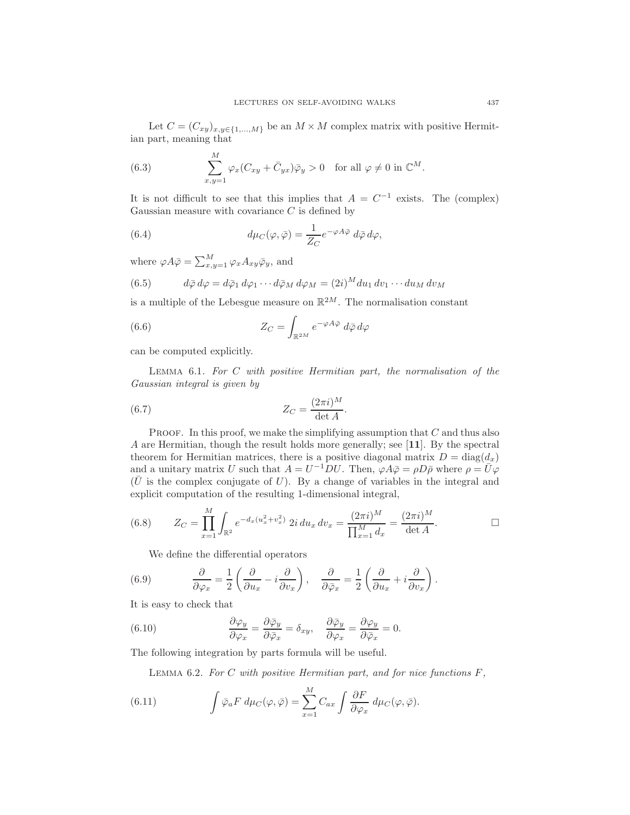Let  $C = (C_{xy})_{x,y \in \{1,...,M\}}$  be an  $M \times M$  complex matrix with positive Hermitian part, meaning that

(6.3) 
$$
\sum_{x,y=1}^{M} \varphi_x (C_{xy} + \bar{C}_{yx}) \bar{\varphi}_y > 0 \text{ for all } \varphi \neq 0 \text{ in } \mathbb{C}^M.
$$

It is not difficult to see that this implies that  $A = C^{-1}$  exists. The (complex) Gaussian measure with covariance  $C$  is defined by

(6.4) 
$$
d\mu_C(\varphi, \bar{\varphi}) = \frac{1}{Z_C} e^{-\varphi A \bar{\varphi}} d\bar{\varphi} d\varphi,
$$

where  $\varphi A\bar{\varphi} = \sum_{x,y=1}^{M} \varphi_x A_{xy} \bar{\varphi}_y$ , and

(6.5) 
$$
d\bar{\varphi} d\varphi = d\bar{\varphi}_1 d\varphi_1 \cdots d\bar{\varphi}_M d\varphi_M = (2i)^M du_1 dv_1 \cdots du_M dv_M
$$

is a multiple of the Lebesgue measure on  $\mathbb{R}^{2M}$ . The normalisation constant

(6.6) 
$$
Z_C = \int_{\mathbb{R}^{2M}} e^{-\varphi A \bar{\varphi}} d\bar{\varphi} d\varphi
$$

can be computed explicitly.

Lemma 6.1. *For* C *with positive Hermitian part, the normalisation of the Gaussian integral is given by*

(6.7) 
$$
Z_C = \frac{(2\pi i)^M}{\det A}.
$$

**PROOF.** In this proof, we make the simplifying assumption that  $C$  and thus also A are Hermitian, though the result holds more generally; see [11]. By the spectral theorem for Hermitian matrices, there is a positive diagonal matrix  $D = \text{diag}(d_x)$ and a unitary matrix U such that  $A = U^{-1}DU$ . Then,  $\varphi A \bar{\varphi} = \rho D \bar{\rho}$  where  $\rho = \bar{U} \varphi$  $(\bar{U}$  is the complex conjugate of U). By a change of variables in the integral and explicit computation of the resulting 1-dimensional integral,

(6.8) 
$$
Z_C = \prod_{x=1}^M \int_{\mathbb{R}^2} e^{-d_x(u_x^2 + v_x^2)} 2i du_x dv_x = \frac{(2\pi i)^M}{\prod_{x=1}^M d_x} = \frac{(2\pi i)^M}{\det A}.
$$

We define the differential operators

(6.9) 
$$
\frac{\partial}{\partial \varphi_x} = \frac{1}{2} \left( \frac{\partial}{\partial u_x} - i \frac{\partial}{\partial v_x} \right), \quad \frac{\partial}{\partial \bar{\varphi}_x} = \frac{1}{2} \left( \frac{\partial}{\partial u_x} + i \frac{\partial}{\partial v_x} \right).
$$

It is easy to check that

(6.10) 
$$
\frac{\partial \varphi_y}{\partial \varphi_x} = \frac{\partial \bar{\varphi}_y}{\partial \bar{\varphi}_x} = \delta_{xy}, \quad \frac{\partial \bar{\varphi}_y}{\partial \varphi_x} = \frac{\partial \varphi_y}{\partial \bar{\varphi}_x} = 0.
$$

The following integration by parts formula will be useful.

Lemma 6.2. *For* C *with positive Hermitian part, and for nice functions* F*,*

(6.11) 
$$
\int \bar{\varphi}_a F d\mu_C(\varphi, \bar{\varphi}) = \sum_{x=1}^M C_{ax} \int \frac{\partial F}{\partial \varphi_x} d\mu_C(\varphi, \bar{\varphi}).
$$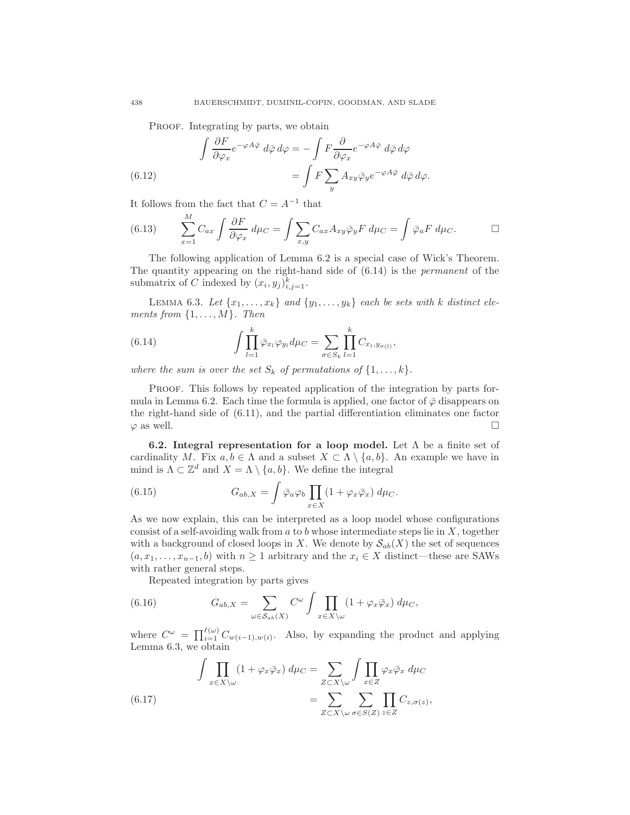PROOF. Integrating by parts, we obtain

(6.12) 
$$
\int \frac{\partial F}{\partial \varphi_x} e^{-\varphi A \bar{\varphi}} d\bar{\varphi} d\varphi = -\int F \frac{\partial}{\partial \varphi_x} e^{-\varphi A \bar{\varphi}} d\bar{\varphi} d\varphi \n= \int F \sum_y A_{xy} \bar{\varphi}_y e^{-\varphi A \bar{\varphi}} d\bar{\varphi} d\varphi.
$$

It follows from the fact that  $C = A^{-1}$  that  $\overline{M}$ 

(6.13) 
$$
\sum_{x=1}^{M} C_{ax} \int \frac{\partial F}{\partial \varphi_x} d\mu_C = \int \sum_{x,y} C_{ax} A_{xy} \bar{\varphi}_y F d\mu_C = \int \bar{\varphi}_a F d\mu_C.
$$

The following application of Lemma 6.2 is a special case of Wick's Theorem. The quantity appearing on the right-hand side of (6.14) is the *permanent* of the submatrix of C indexed by  $(x_i, y_j)_{i,j=1}^k$ .

LEMMA 6.3. Let  $\{x_1, \ldots, x_k\}$  and  $\{y_1, \ldots, y_k\}$  each be sets with k distinct ele*ments from*  $\{1, \ldots, M\}$ *. Then* 

(6.14) 
$$
\int \prod_{l=1}^k \overline{\varphi}_{x_l} \varphi_{y_l} d\mu_C = \sum_{\sigma \in S_k} \prod_{l=1}^k C_{x_l, y_{\sigma(l)}},
$$

*where the sum is over the set*  $S_k$  *of permutations of*  $\{1, \ldots, k\}$ *.* 

PROOF. This follows by repeated application of the integration by parts formula in Lemma 6.2. Each time the formula is applied, one factor of  $\bar{\varphi}$  disappears on the right-hand side of (6.11), and the partial differentiation eliminates one factor  $\varphi$  as well.

6.2. Integral representation for a loop model. Let  $\Lambda$  be a finite set of cardinality M. Fix  $a, b \in \Lambda$  and a subset  $X \subset \Lambda \setminus \{a, b\}$ . An example we have in mind is  $\Lambda \subset \mathbb{Z}^d$  and  $X = \Lambda \setminus \{a, b\}$ . We define the integral

(6.15) 
$$
G_{ab,X} = \int \bar{\varphi}_a \varphi_b \prod_{x \in X} (1 + \varphi_x \bar{\varphi}_x) d\mu_C.
$$

As we now explain, this can be interpreted as a loop model whose configurations consist of a self-avoiding walk from  $a$  to  $b$  whose intermediate steps lie in  $X$ , together with a background of closed loops in X. We denote by  $S_{ab}(X)$  the set of sequences  $(a, x_1, \ldots, x_{n-1}, b)$  with  $n \geq 1$  arbitrary and the  $x_i \in X$  distinct—these are SAWs with rather general steps.

Repeated integration by parts gives

(6.16) 
$$
G_{ab,X} = \sum_{\omega \in S_{ab}(X)} C^{\omega} \int \prod_{x \in X \setminus \omega} (1 + \varphi_x \bar{\varphi}_x) d\mu_C,
$$

where  $C^{\omega} = \prod_{i=1}^{\ell(\omega)} C_{w(i-1),w(i)}$ . Also, by expanding the product and applying Lemma 6.3, we obtain

(6.17) 
$$
\int \prod_{x \in X \setminus \omega} (1 + \varphi_x \bar{\varphi}_x) d\mu_C = \sum_{Z \subset X \setminus \omega} \int \prod_{x \in Z} \varphi_x \bar{\varphi}_x d\mu_C
$$

$$
= \sum_{Z \subset X \setminus \omega} \sum_{\sigma \in S(Z)} \prod_{z \in Z} C_{z, \sigma(z)},
$$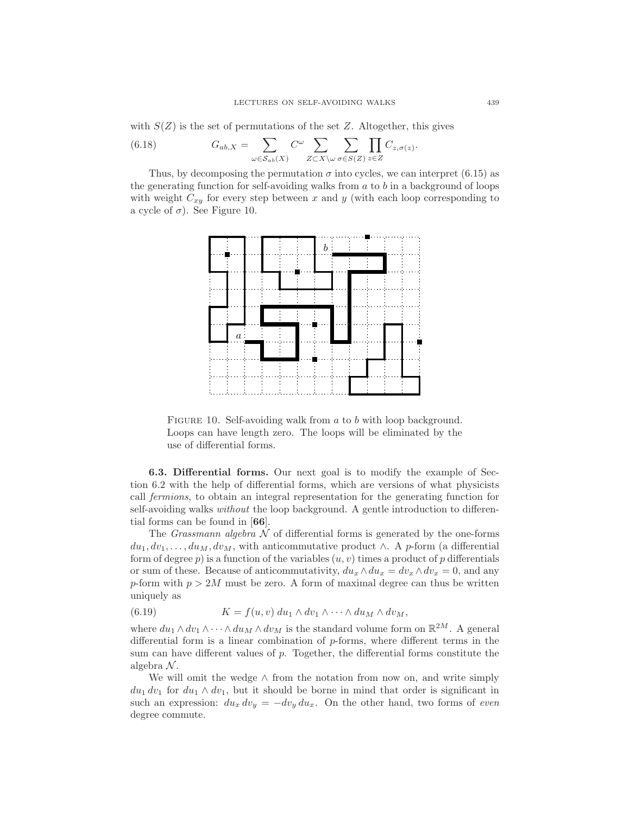with  $S(Z)$  is the set of permutations of the set Z. Altogether, this gives

(6.18) 
$$
G_{ab,X} = \sum_{\omega \in S_{ab}(X)} C^{\omega} \sum_{Z \subset X \setminus \omega} \sum_{\sigma \in S(Z)} \prod_{z \in Z} C_{z,\sigma(z)}.
$$

Thus, by decomposing the permutation  $\sigma$  into cycles, we can interpret (6.15) as the generating function for self-avoiding walks from  $a$  to  $b$  in a background of loops with weight  $C_{xy}$  for every step between x and y (with each loop corresponding to a cycle of  $\sigma$ ). See Figure 10.



FIGURE 10. Self-avoiding walk from a to b with loop background. Loops can have length zero. The loops will be eliminated by the use of differential forms.

6.3. Differential forms. Our next goal is to modify the example of Section 6.2 with the help of differential forms, which are versions of what physicists call *fermions*, to obtain an integral representation for the generating function for self-avoiding walks *without* the loop background. A gentle introduction to differential forms can be found in [66].

The *Grassmann algebra*  $N$  of differential forms is generated by the one-forms  $du_1, dv_1, \ldots, du_M, dv_M$ , with anticommutative product ∧. A p-form (a differential form of degree p) is a function of the variables  $(u, v)$  times a product of p differentials or sum of these. Because of anticommutativity,  $du_x \wedge du_x = dv_x \wedge dv_x = 0$ , and any p-form with  $p > 2M$  must be zero. A form of maximal degree can thus be written uniquely as

(6.19) 
$$
K = f(u, v) du_1 \wedge dv_1 \wedge \cdots \wedge du_M \wedge dv_M,
$$

where  $du_1 \wedge dv_1 \wedge \cdots \wedge du_M \wedge dv_M$  is the standard volume form on  $\mathbb{R}^{2M}$ . A general differential form is a linear combination of p-forms, where different terms in the sum can have different values of p. Together, the differential forms constitute the algebra  $N$ .

We will omit the wedge  $\wedge$  from the notation from now on, and write simply  $du_1 dv_1$  for  $du_1 \wedge dv_1$ , but it should be borne in mind that order is significant in such an expression:  $du_x dv_y = -dv_y du_x$ . On the other hand, two forms of *even* degree commute.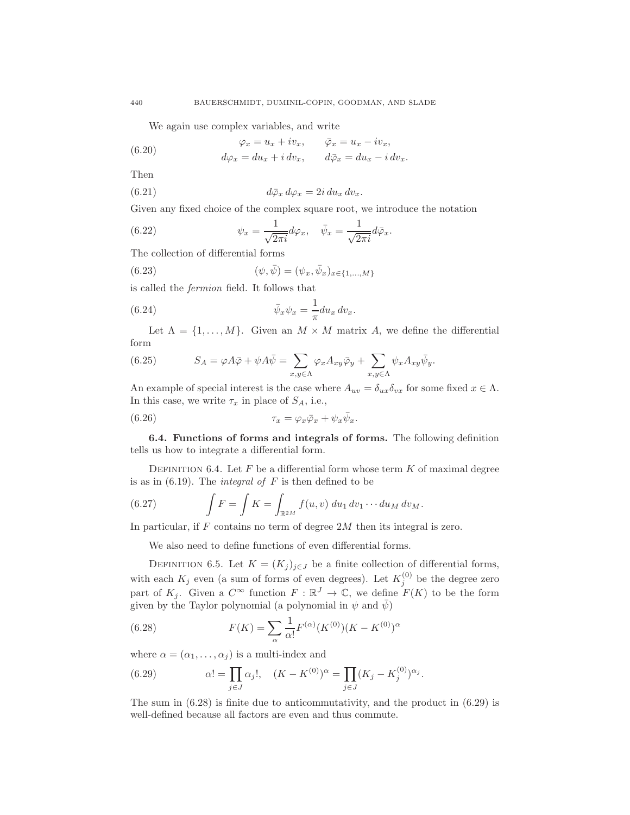We again use complex variables, and write

(6.20) 
$$
\varphi_x = u_x + iv_x, \qquad \bar{\varphi}_x = u_x - iv_x,
$$

$$
d\varphi_x = du_x + i dv_x, \qquad d\bar{\varphi}_x = du_x - i dv_x
$$

Then

(6.21) 
$$
d\bar{\varphi}_x d\varphi_x = 2i du_x dv_x.
$$

Given any fixed choice of the complex square root, we introduce the notation

(6.22) 
$$
\psi_x = \frac{1}{\sqrt{2\pi i}} d\varphi_x, \quad \bar{\psi}_x = \frac{1}{\sqrt{2\pi i}} d\bar{\varphi}_x.
$$

The collection of differential forms

(6.23) 
$$
(\psi, \bar{\psi}) = (\psi_x, \bar{\psi}_x)_{x \in \{1, ..., M\}}
$$

is called the *fermion* field. It follows that

(6.24) 
$$
\bar{\psi}_x \psi_x = -\frac{1}{\pi} du_x dv_x.
$$

Let  $\Lambda = \{1, ..., M\}$ . Given an  $M \times M$  matrix A, we define the differential form

(6.25) 
$$
S_A = \varphi A \bar{\varphi} + \psi A \bar{\psi} = \sum_{x,y \in \Lambda} \varphi_x A_{xy} \bar{\varphi}_y + \sum_{x,y \in \Lambda} \psi_x A_{xy} \bar{\psi}_y.
$$

An example of special interest is the case where  $A_{uv} = \delta_{ux}\delta_{vx}$  for some fixed  $x \in \Lambda$ . In this case, we write  $\tau_x$  in place of  $S_A$ , i.e.,

(6.26) 
$$
\tau_x = \varphi_x \bar{\varphi}_x + \psi_x \bar{\psi}_x.
$$

6.4. Functions of forms and integrals of forms. The following definition tells us how to integrate a differential form.

DEFINITION 6.4. Let  $F$  be a differential form whose term  $K$  of maximal degree is as in (6.19). The *integral of* F is then defined to be

(6.27) 
$$
\int F = \int K = \int_{\mathbb{R}^{2M}} f(u, v) \, du_1 \, dv_1 \cdots du_M \, dv_M.
$$

In particular, if  $F$  contains no term of degree  $2M$  then its integral is zero.

We also need to define functions of even differential forms.

DEFINITION 6.5. Let  $K = (K_j)_{j \in J}$  be a finite collection of differential forms, with each  $K_j$  even (a sum of forms of even degrees). Let  $K_j^{(0)}$  be the degree zero part of  $K_j$ . Given a  $C^{\infty}$  function  $F: \mathbb{R}^J \to \mathbb{C}$ , we define  $F(K)$  to be the form given by the Taylor polynomial (a polynomial in  $\psi$  and  $\bar{\psi}$ )

(6.28) 
$$
F(K) = \sum_{\alpha} \frac{1}{\alpha!} F^{(\alpha)}(K^{(0)})(K - K^{(0)})^{\alpha}
$$

where  $\alpha = (\alpha_1, \ldots, \alpha_i)$  is a multi-index and

(6.29) 
$$
\alpha! = \prod_{j \in J} \alpha_j!, \quad (K - K^{(0)})^{\alpha} = \prod_{j \in J} (K_j - K_j^{(0)})^{\alpha_j}.
$$

The sum in  $(6.28)$  is finite due to anticommutativity, and the product in  $(6.29)$  is well-defined because all factors are even and thus commute.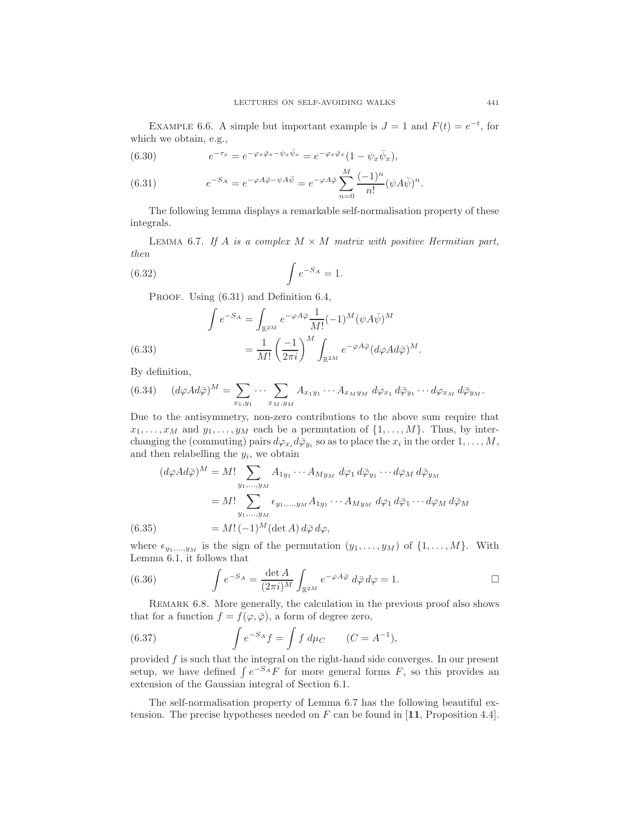EXAMPLE 6.6. A simple but important example is  $J = 1$  and  $F(t) = e^{-t}$ , for which we obtain, e.g.,

(6.30) 
$$
e^{-\tau_x} = e^{-\varphi_x \bar{\varphi}_x - \psi_x \bar{\psi}_x} = e^{-\varphi_x \bar{\varphi}_x} (1 - \psi_x \bar{\psi}_x),
$$

(6.31) 
$$
e^{-S_A} = e^{-\varphi A\bar{\varphi} - \psi A\bar{\psi}} = e^{-\varphi A\bar{\varphi}} \sum_{n=0}^{M} \frac{(-1)^n}{n!} (\psi A\bar{\psi})^n.
$$

The following lemma displays a remarkable self-normalisation property of these integrals.

LEMMA 6.7. If A is a complex  $M \times M$  matrix with positive Hermitian part, *then*

$$
\int e^{-S_A} = 1.
$$

PROOF. Using  $(6.31)$  and Definition 6.4,

(6.33) 
$$
\int e^{-S_A} = \int_{\mathbb{R}^{2M}} e^{-\varphi A \bar{\varphi}} \frac{1}{M!} (-1)^M (\psi A \bar{\psi})^M
$$

$$
= \frac{1}{M!} \left(\frac{-1}{2\pi i}\right)^M \int_{\mathbb{R}^{2M}} e^{-\varphi A \bar{\varphi}} (d\varphi A d\bar{\varphi})^M.
$$

By definition,

$$
(6.34) \quad (d\varphi Ad\bar{\varphi})^M = \sum_{x_1,y_1} \cdots \sum_{x_M,y_M} A_{x_1y_1} \cdots A_{x_My_M} d\varphi_{x_1} d\bar{\varphi}_{y_1} \cdots d\varphi_{x_M} d\bar{\varphi}_{y_M}.
$$

Due to the antisymmetry, non-zero contributions to the above sum require that  $x_1, \ldots, x_M$  and  $y_1, \ldots, y_M$  each be a permutation of  $\{1, \ldots, M\}$ . Thus, by interchanging the (commuting) pairs  $d\varphi_{x_i} d\bar{\varphi}_{y_i}$  so as to place the  $x_i$  in the order  $1, \ldots, M$ , and then relabelling the  $y_i$ , we obtain

$$
(d\varphi Ad\bar{\varphi})^M = M! \sum_{y_1,\dots,y_M} A_{1y_1} \cdots A_{My_M} d\varphi_1 d\bar{\varphi}_{y_1} \cdots d\varphi_M d\bar{\varphi}_{y_M}
$$
  
=  $M! \sum_{y_1,\dots,y_M} \epsilon_{y_1,\dots,y_M} A_{1y_1} \cdots A_{My_M} d\varphi_1 d\bar{\varphi}_1 \cdots d\varphi_M d\bar{\varphi}_M$   
(6.35) =  $M! (-1)^M (\det A) d\bar{\varphi} d\varphi$ ,

where  $\epsilon_{y_1,...,y_M}$  is the sign of the permutation  $(y_1,..., y_M)$  of  $\{1,..., M\}$ . With Lemma 6.1, it follows that

(6.36) 
$$
\int e^{-S_A} = \frac{\det A}{(2\pi i)^M} \int_{\mathbb{R}^{2M}} e^{-\varphi A \bar{\varphi}} d\bar{\varphi} d\varphi = 1.
$$

Remark 6.8. More generally, the calculation in the previous proof also shows that for a function  $f = f(\varphi, \bar{\varphi})$ , a form of degree zero,

(6.37) 
$$
\int e^{-S_A} f = \int f d\mu_C \qquad (C = A^{-1}),
$$

provided  $f$  is such that the integral on the right-hand side converges. In our present setup, we have defined  $\int e^{-SA} F$  for more general forms F, so this provides an extension of the Gaussian integral of Section 6.1.

The self-normalisation property of Lemma 6.7 has the following beautiful extension. The precise hypotheses needed on  $F$  can be found in [11, Proposition 4.4].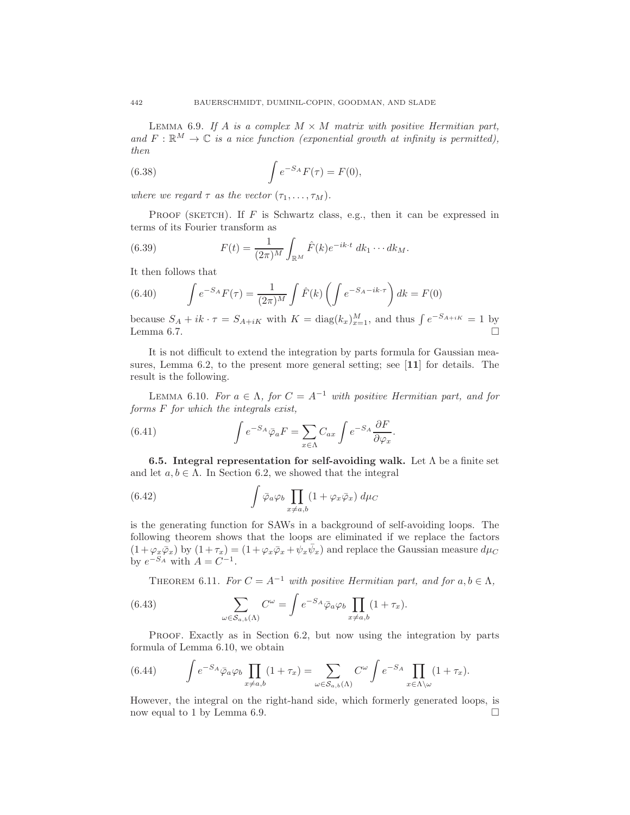LEMMA 6.9. If A is a complex  $M \times M$  matrix with positive Hermitian part, and  $F: \mathbb{R}^M \to \mathbb{C}$  *is a nice function (exponential growth at infinity is permitted)*, *then*

(6.38) 
$$
\int e^{-S_A} F(\tau) = F(0),
$$

*where we regard*  $\tau$  *as the vector*  $(\tau_1, \ldots, \tau_M)$ *.* 

PROOF (SKETCH). If  $F$  is Schwartz class, e.g., then it can be expressed in terms of its Fourier transform as

(6.39) 
$$
F(t) = \frac{1}{(2\pi)^M} \int_{\mathbb{R}^M} \hat{F}(k) e^{-ik \cdot t} dk_1 \cdots dk_M.
$$

It then follows that

(6.40) 
$$
\int e^{-S_A} F(\tau) = \frac{1}{(2\pi)^M} \int \hat{F}(k) \left( \int e^{-S_A - ik \cdot \tau} \right) dk = F(0)
$$

because  $S_A + ik \cdot \tau = S_{A+iK}$  with  $K = \text{diag}(k_x)_{x=1}^M$ , and thus  $\int e^{-S_{A+iK}} = 1$  by Lemma 6.7.  $\Box$ 

It is not difficult to extend the integration by parts formula for Gaussian measures, Lemma 6.2, to the present more general setting; see [11] for details. The result is the following.

LEMMA 6.10. *For*  $a \in \Lambda$ , *for*  $C = A^{-1}$  *with positive Hermitian part, and for forms* F *for which the integrals exist,*

(6.41) 
$$
\int e^{-S_A} \bar{\varphi}_a F = \sum_{x \in \Lambda} C_{ax} \int e^{-S_A} \frac{\partial F}{\partial \varphi_x}.
$$

6.5. Integral representation for self-avoiding walk. Let  $\Lambda$  be a finite set and let  $a, b \in \Lambda$ . In Section 6.2, we showed that the integral

(6.42) 
$$
\int \bar{\varphi}_a \varphi_b \prod_{x \neq a,b} (1 + \varphi_x \bar{\varphi}_x) d\mu_C
$$

is the generating function for SAWs in a background of self-avoiding loops. The following theorem shows that the loops are eliminated if we replace the factors  $(1+\varphi_x\overline{\varphi}_x)$  by  $(1+\tau_x)=(1+\varphi_x\overline{\varphi}_x+\psi_x\overline{\psi}_x)$  and replace the Gaussian measure  $d\mu_C$ by  $e^{-S_A}$  with  $A = C^{-1}$ .

THEOREM 6.11. *For*  $C = A^{-1}$  *with positive Hermitian part, and for*  $a, b \in \Lambda$ ,

(6.43) 
$$
\sum_{\omega \in S_{a,b}(\Lambda)} C^{\omega} = \int e^{-S_A} \bar{\varphi}_a \varphi_b \prod_{x \neq a,b} (1 + \tau_x).
$$

Proof. Exactly as in Section 6.2, but now using the integration by parts formula of Lemma 6.10, we obtain

(6.44) 
$$
\int e^{-S_A} \bar{\varphi}_a \varphi_b \prod_{x \neq a,b} (1 + \tau_x) = \sum_{\omega \in S_{a,b}(\Lambda)} C^{\omega} \int e^{-S_A} \prod_{x \in \Lambda \setminus \omega} (1 + \tau_x).
$$

However, the integral on the right-hand side, which formerly generated loops, is now equal to 1 by Lemma 6.9.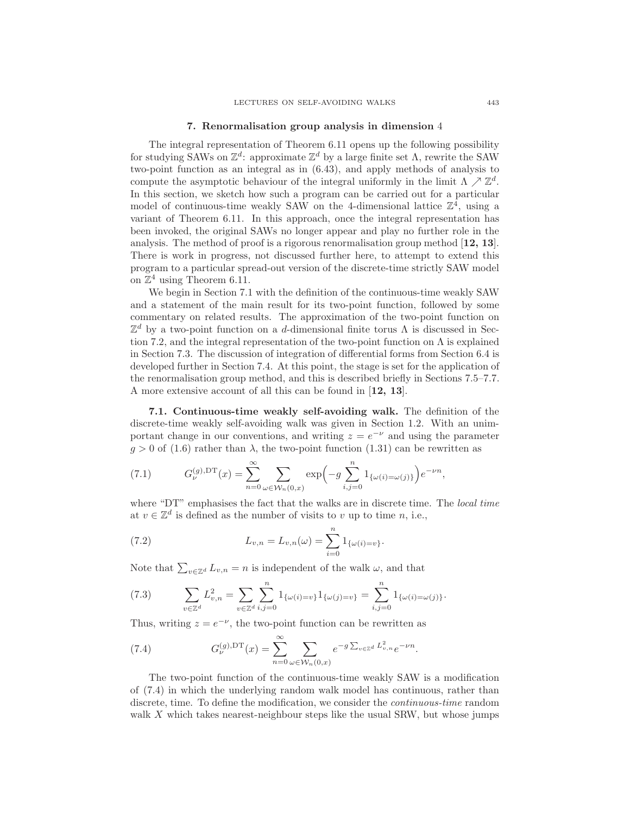#### 7. Renormalisation group analysis in dimension 4

The integral representation of Theorem 6.11 opens up the following possibility for studying SAWs on  $\mathbb{Z}^d$ : approximate  $\mathbb{Z}^d$  by a large finite set  $\Lambda$ , rewrite the SAW two-point function as an integral as in (6.43), and apply methods of analysis to compute the asymptotic behaviour of the integral uniformly in the limit  $\Lambda \nearrow \mathbb{Z}^d$ . In this section, we sketch how such a program can be carried out for a particular model of continuous-time weakly SAW on the 4-dimensional lattice  $\mathbb{Z}^4$ , using a variant of Theorem 6.11. In this approach, once the integral representation has been invoked, the original SAWs no longer appear and play no further role in the analysis. The method of proof is a rigorous renormalisation group method [12, 13]. There is work in progress, not discussed further here, to attempt to extend this program to a particular spread-out version of the discrete-time strictly SAW model on  $\mathbb{Z}^4$  using Theorem 6.11.

We begin in Section 7.1 with the definition of the continuous-time weakly SAW and a statement of the main result for its two-point function, followed by some commentary on related results. The approximation of the two-point function on  $\mathbb{Z}^d$  by a two-point function on a d-dimensional finite torus  $\Lambda$  is discussed in Section 7.2, and the integral representation of the two-point function on  $\Lambda$  is explained in Section 7.3. The discussion of integration of differential forms from Section 6.4 is developed further in Section 7.4. At this point, the stage is set for the application of the renormalisation group method, and this is described briefly in Sections 7.5–7.7. A more extensive account of all this can be found in [12, 13].

7.1. Continuous-time weakly self-avoiding walk. The definition of the discrete-time weakly self-avoiding walk was given in Section 1.2. With an unimportant change in our conventions, and writing  $z = e^{-\nu}$  and using the parameter  $q > 0$  of (1.6) rather than  $\lambda$ , the two-point function (1.31) can be rewritten as

(7.1) 
$$
G_{\nu}^{(g),\text{DT}}(x) = \sum_{n=0}^{\infty} \sum_{\omega \in \mathcal{W}_n(0,x)} \exp\left(-g \sum_{i,j=0}^n 1_{\{\omega(i)=\omega(j)\}}\right) e^{-\nu n},
$$

where "DT" emphasises the fact that the walks are in discrete time. The *local time* at  $v \in \mathbb{Z}^d$  is defined as the number of visits to v up to time n, i.e.,

(7.2) 
$$
L_{v,n} = L_{v,n}(\omega) = \sum_{i=0}^{n} 1_{\{\omega(i) = v\}}.
$$

Note that  $\sum_{v \in \mathbb{Z}^d} L_{v,n} = n$  is independent of the walk  $\omega$ , and that

(7.3) 
$$
\sum_{v \in \mathbb{Z}^d} L_{v,n}^2 = \sum_{v \in \mathbb{Z}^d} \sum_{i,j=0}^n 1_{\{\omega(i)=v\}} 1_{\{\omega(j)=v\}} = \sum_{i,j=0}^n 1_{\{\omega(i)=\omega(j)\}}.
$$

Thus, writing  $z = e^{-\nu}$ , the two-point function can be rewritten as

(7.4) 
$$
G_{\nu}^{(g),\text{DT}}(x) = \sum_{n=0}^{\infty} \sum_{\omega \in \mathcal{W}_n(0,x)} e^{-g \sum_{v \in \mathbb{Z}^d} L_{v,n}^2} e^{-\nu n}.
$$

The two-point function of the continuous-time weakly SAW is a modification of (7.4) in which the underlying random walk model has continuous, rather than discrete, time. To define the modification, we consider the *continuous-time* random walk X which takes nearest-neighbour steps like the usual SRW, but whose jumps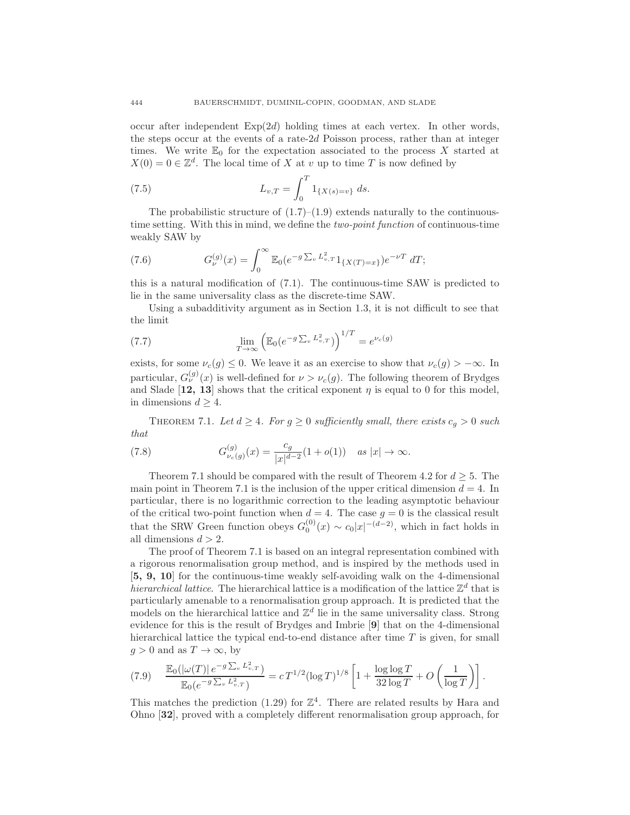occur after independent  $Exp(2d)$  holding times at each vertex. In other words, the steps occur at the events of a rate-2d Poisson process, rather than at integer times. We write  $\mathbb{E}_0$  for the expectation associated to the process X started at  $X(0) = 0 \in \mathbb{Z}^d$ . The local time of X at v up to time T is now defined by

(7.5) 
$$
L_{v,T} = \int_0^T 1_{\{X(s)=v\}} ds.
$$

The probabilistic structure of  $(1.7)$ – $(1.9)$  extends naturally to the continuoustime setting. With this in mind, we define the *two-point function* of continuous-time weakly SAW by

(7.6) 
$$
G_{\nu}^{(g)}(x) = \int_0^\infty \mathbb{E}_0(e^{-g\sum_v L_{v,T}^2} 1_{\{X(T)=x\}}) e^{-\nu T} dT;
$$

this is a natural modification of (7.1). The continuous-time SAW is predicted to lie in the same universality class as the discrete-time SAW.

Using a subadditivity argument as in Section 1.3, it is not difficult to see that the limit

(7.7) 
$$
\lim_{T \to \infty} \left( \mathbb{E}_0 (e^{-g \sum_v L_{v,T}^2}) \right)^{1/T} = e^{\nu_c(g)}
$$

exists, for some  $\nu_c(g) \leq 0$ . We leave it as an exercise to show that  $\nu_c(g) > -\infty$ . In particular,  $G_{\nu}^{(g)}(x)$  is well-defined for  $\nu > \nu_c(g)$ . The following theorem of Brydges and Slade [12, 13] shows that the critical exponent  $\eta$  is equal to 0 for this model, in dimensions  $d \geq 4$ .

THEOREM 7.1. Let  $d \geq 4$ . For  $g \geq 0$  sufficiently small, there exists  $c_q > 0$  such *that*

(7.8) 
$$
G_{\nu_c(g)}^{(g)}(x) = \frac{c_g}{|x|^{d-2}} (1 + o(1)) \quad \text{as } |x| \to \infty.
$$

Theorem 7.1 should be compared with the result of Theorem 4.2 for  $d \geq 5$ . The main point in Theorem 7.1 is the inclusion of the upper critical dimension  $d = 4$ . In particular, there is no logarithmic correction to the leading asymptotic behaviour of the critical two-point function when  $d = 4$ . The case  $g = 0$  is the classical result that the SRW Green function obeys  $G_0^{(0)}(x) \sim c_0 |x|^{-(d-2)}$ , which in fact holds in all dimensions  $d > 2$ .

The proof of Theorem 7.1 is based on an integral representation combined with a rigorous renormalisation group method, and is inspired by the methods used in [5, 9, 10] for the continuous-time weakly self-avoiding walk on the 4-dimensional *hierarchical lattice*. The hierarchical lattice is a modification of the lattice  $\mathbb{Z}^d$  that is particularly amenable to a renormalisation group approach. It is predicted that the models on the hierarchical lattice and  $\mathbb{Z}^d$  lie in the same universality class. Strong evidence for this is the result of Brydges and Imbrie [9] that on the 4-dimensional hierarchical lattice the typical end-to-end distance after time  $T$  is given, for small  $g > 0$  and as  $T \to \infty$ , by

$$
(7.9) \qquad \frac{\mathbb{E}_0(|\omega(T)| \, e^{-g \sum_v L_{v,T}^2})}{\mathbb{E}_0(e^{-g \sum_v L_{v,T}^2})} = c \, T^{1/2} (\log T)^{1/8} \left[ 1 + \frac{\log \log T}{32 \log T} + O\left(\frac{1}{\log T}\right) \right].
$$

This matches the prediction (1.29) for  $\mathbb{Z}^4$ . There are related results by Hara and Ohno [32], proved with a completely different renormalisation group approach, for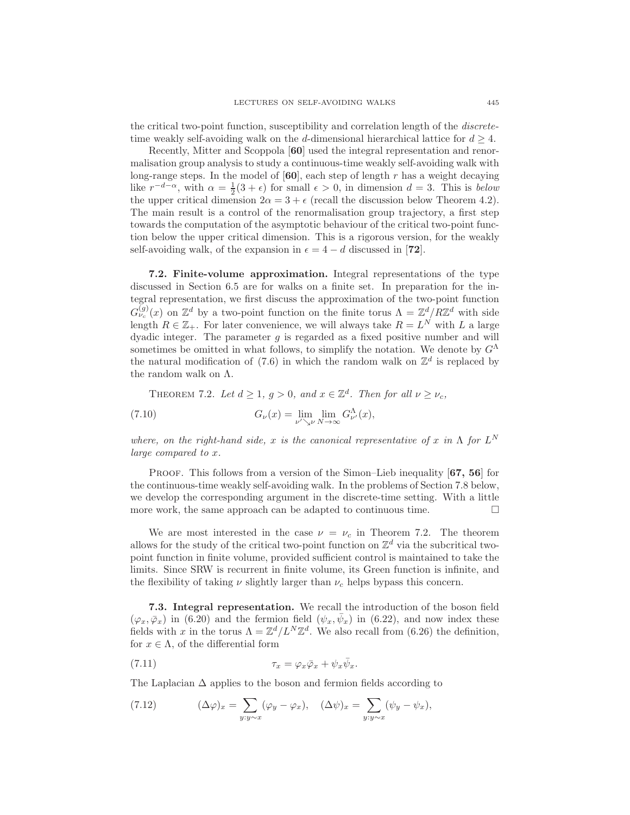the critical two-point function, susceptibility and correlation length of the *discrete*time weakly self-avoiding walk on the d-dimensional hierarchical lattice for  $d > 4$ .

Recently, Mitter and Scoppola [60] used the integral representation and renormalisation group analysis to study a continuous-time weakly self-avoiding walk with long-range steps. In the model of  $[60]$ , each step of length r has a weight decaying like  $r^{-d-\alpha}$ , with  $\alpha = \frac{1}{2}(3+\epsilon)$  for small  $\epsilon > 0$ , in dimension  $d = 3$ . This is *below* the upper critical dimension  $2\alpha = 3 + \epsilon$  (recall the discussion below Theorem 4.2). The main result is a control of the renormalisation group trajectory, a first step towards the computation of the asymptotic behaviour of the critical two-point function below the upper critical dimension. This is a rigorous version, for the weakly self-avoiding walk, of the expansion in  $\epsilon = 4 - d$  discussed in [72].

7.2. Finite-volume approximation. Integral representations of the type discussed in Section 6.5 are for walks on a finite set. In preparation for the integral representation, we first discuss the approximation of the two-point function  $G_{\nu_c}^{(g)}(x)$  on  $\mathbb{Z}^d$  by a two-point function on the finite torus  $\Lambda = \mathbb{Z}^d / R \mathbb{Z}^d$  with side length  $R \in \mathbb{Z}_+$ . For later convenience, we will always take  $R = L^N$  with L a large dyadic integer. The parameter  $g$  is regarded as a fixed positive number and will sometimes be omitted in what follows, to simplify the notation. We denote by  $G^{\Lambda}$ the natural modification of (7.6) in which the random walk on  $\mathbb{Z}^d$  is replaced by the random walk on Λ.

THEOREM 7.2. Let  $d \geq 1$ ,  $g > 0$ , and  $x \in \mathbb{Z}^d$ . Then for all  $\nu \geq \nu_c$ ,

(7.10) 
$$
G_{\nu}(x) = \lim_{\nu' \searrow \nu} \lim_{N \to \infty} G_{\nu'}^{\Lambda}(x),
$$

*where, on the right-hand side,* x *is the canonical representative of* x *in*  $\Lambda$  *for*  $L^N$ *large compared to* x*.*

PROOF. This follows from a version of the Simon–Lieb inequality [67, 56] for the continuous-time weakly self-avoiding walk. In the problems of Section 7.8 below, we develop the corresponding argument in the discrete-time setting. With a little more work, the same approach can be adapted to continuous time.  $\Box$ 

We are most interested in the case  $\nu = \nu_c$  in Theorem 7.2. The theorem allows for the study of the critical two-point function on  $\mathbb{Z}^d$  via the subcritical twopoint function in finite volume, provided sufficient control is maintained to take the limits. Since SRW is recurrent in finite volume, its Green function is infinite, and the flexibility of taking  $\nu$  slightly larger than  $\nu_c$  helps bypass this concern.

7.3. Integral representation. We recall the introduction of the boson field  $(\varphi_x, \bar{\varphi}_x)$  in (6.20) and the fermion field  $(\psi_x, \bar{\psi}_x)$  in (6.22), and now index these fields with x in the torus  $\Lambda = \mathbb{Z}^d / L^N \mathbb{Z}^d$ . We also recall from (6.26) the definition, for  $x \in \Lambda$ , of the differential form

(7.11) 
$$
\tau_x = \varphi_x \bar{\varphi}_x + \psi_x \bar{\psi}_x.
$$

The Laplacian  $\Delta$  applies to the boson and fermion fields according to

(7.12) 
$$
(\Delta \varphi)_x = \sum_{y:y \sim x} (\varphi_y - \varphi_x), \quad (\Delta \psi)_x = \sum_{y:y \sim x} (\psi_y - \psi_x),
$$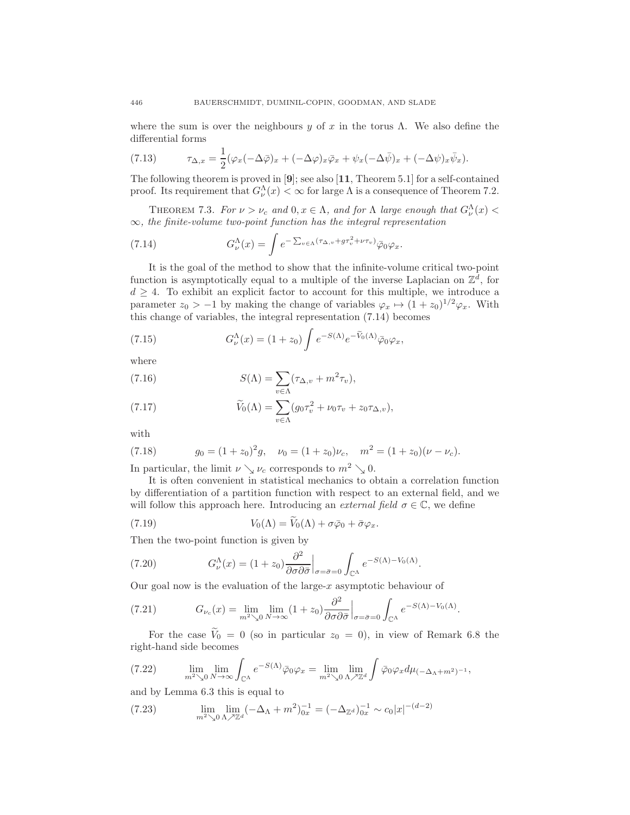where the sum is over the neighbours y of x in the torus Λ. We also define the differential forms

(7.13) 
$$
\tau_{\Delta,x} = \frac{1}{2} (\varphi_x (-\Delta \bar{\varphi})_x + (-\Delta \varphi)_x \bar{\varphi}_x + \psi_x (-\Delta \bar{\psi})_x + (-\Delta \psi)_x \bar{\psi}_x).
$$

The following theorem is proved in  $[9]$ ; see also  $[11,$  Theorem 5.1] for a self-contained proof. Its requirement that  $G_{\nu}^{\Lambda}(x) < \infty$  for large  $\Lambda$  is a consequence of Theorem 7.2.

THEOREM 7.3. *For*  $\nu > \nu_c$  and  $0, x \in \Lambda$ , and for  $\Lambda$  *large enough that*  $G_{\nu}^{\Lambda}(x) <$ ∞*, the finite-volume two-point function has the integral representation*

(7.14) 
$$
G_{\nu}^{\Lambda}(x) = \int e^{-\sum_{v \in \Lambda} (\tau_{\Delta, v} + g\tau_v^2 + \nu \tau_v)} \bar{\varphi}_0 \varphi_x.
$$

It is the goal of the method to show that the infinite-volume critical two-point function is asymptotically equal to a multiple of the inverse Laplacian on  $\mathbb{Z}^d$ , for  $d \geq 4$ . To exhibit an explicit factor to account for this multiple, we introduce a parameter  $z_0 > -1$  by making the change of variables  $\varphi_x \mapsto (1 + z_0)^{1/2} \varphi_x$ . With this change of variables, the integral representation (7.14) becomes

(7.15) 
$$
G_{\nu}^{\Lambda}(x) = (1+z_0) \int e^{-S(\Lambda)} e^{-\widetilde{V}_0(\Lambda)} \bar{\varphi}_0 \varphi_x,
$$

where

(7.16) 
$$
S(\Lambda) = \sum_{v \in \Lambda} (\tau_{\Delta, v} + m^2 \tau_v),
$$

(7.17) 
$$
\widetilde{V}_0(\Lambda) = \sum_{v \in \Lambda} (g_0 \tau_v^2 + \nu_0 \tau_v + z_0 \tau_{\Delta, v}),
$$

with

(7.18) 
$$
g_0 = (1 + z_0)^2 g, \quad \nu_0 = (1 + z_0) \nu_c, \quad m^2 = (1 + z_0)(\nu - \nu_c).
$$

In particular, the limit  $\nu \searrow \nu_c$  corresponds to  $m^2 \searrow 0$ .

It is often convenient in statistical mechanics to obtain a correlation function by differentiation of a partition function with respect to an external field, and we will follow this approach here. Introducing an *external field*  $\sigma \in \mathbb{C}$ , we define

.

(7.19) 
$$
V_0(\Lambda) = \widetilde{V}_0(\Lambda) + \sigma \bar{\varphi}_0 + \bar{\sigma} \varphi_x.
$$

Then the two-point function is given by

(7.20) 
$$
G_{\nu}^{\Lambda}(x) = (1+z_0) \frac{\partial^2}{\partial \sigma \partial \bar{\sigma}} \Big|_{\sigma = \bar{\sigma} = 0} \int_{\mathbb{C}^{\Lambda}} e^{-S(\Lambda) - V_0(\Lambda)}
$$

Our goal now is the evaluation of the large-x asymptotic behaviour of

(7.21) 
$$
G_{\nu_c}(x) = \lim_{m^2 \searrow 0} \lim_{N \to \infty} (1 + z_0) \frac{\partial^2}{\partial \sigma \partial \bar{\sigma}} \Big|_{\sigma = \bar{\sigma} = 0} \int_{\mathbb{C}^{\Lambda}} e^{-S(\Lambda) - V_0(\Lambda)}.
$$

For the case  $\tilde{V}_0 = 0$  (so in particular  $z_0 = 0$ ), in view of Remark 6.8 the right-hand side becomes

(7.22) 
$$
\lim_{m^2 \searrow 0} \lim_{N \to \infty} \int_{\mathbb{C}^{\Lambda}} e^{-S(\Lambda)} \bar{\varphi}_0 \varphi_x = \lim_{m^2 \searrow 0} \lim_{\Lambda \nearrow \mathbb{Z}^d} \int \bar{\varphi}_0 \varphi_x d\mu_{(-\Delta_{\Lambda} + m^2)^{-1}},
$$

and by Lemma 6.3 this is equal to

(7.23) 
$$
\lim_{m^2 \searrow 0} \lim_{\Lambda \nearrow \mathbb{Z}^d} (-\Delta_{\Lambda} + m^2)_{0x}^{-1} = (-\Delta_{\mathbb{Z}^d})_{0x}^{-1} \sim c_0 |x|^{-(d-2)}
$$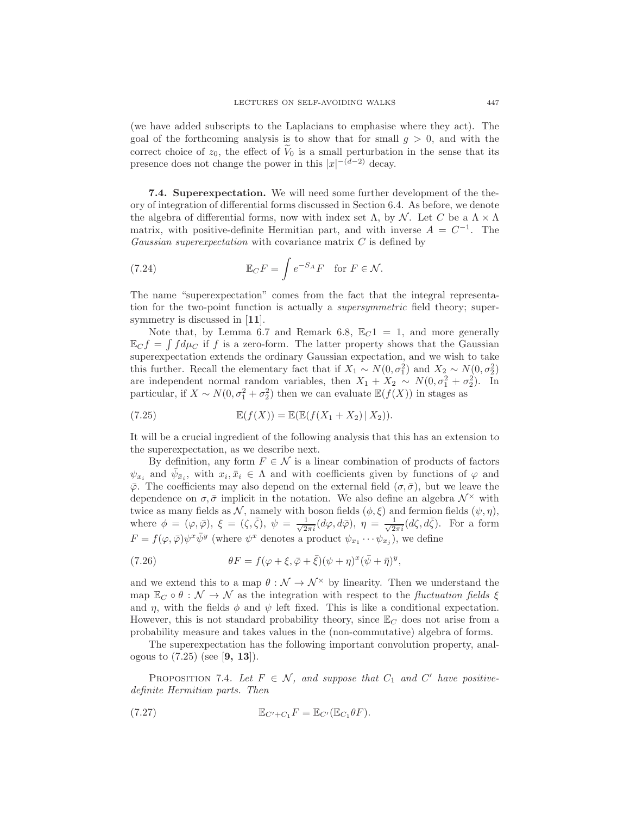(we have added subscripts to the Laplacians to emphasise where they act). The goal of the forthcoming analysis is to show that for small  $g > 0$ , and with the correct choice of  $z_0$ , the effect of  $\widetilde{V}_0$  is a small perturbation in the sense that its presence does not change the power in this  $|x|^{-(d-2)}$  decay.

7.4. Superexpectation. We will need some further development of the theory of integration of differential forms discussed in Section 6.4. As before, we denote the algebra of differential forms, now with index set  $\Lambda$ , by N. Let C be a  $\Lambda \times \Lambda$ matrix, with positive-definite Hermitian part, and with inverse  $A = C^{-1}$ . The *Gaussian superexpectation* with covariance matrix C is defined by

(7.24) 
$$
\mathbb{E}_C F = \int e^{-S_A} F \text{ for } F \in \mathcal{N}.
$$

The name "superexpectation" comes from the fact that the integral representation for the two-point function is actually a *supersymmetric* field theory; supersymmetry is discussed in [11].

Note that, by Lemma 6.7 and Remark 6.8,  $\mathbb{E}_C 1 = 1$ , and more generally  $\mathbb{E}_C f = \int f d\mu_C$  if f is a zero-form. The latter property shows that the Gaussian superexpectation extends the ordinary Gaussian expectation, and we wish to take this further. Recall the elementary fact that if  $X_1 \sim N(0, \sigma_1^2)$  and  $X_2 \sim N(0, \sigma_2^2)$ are independent normal random variables, then  $X_1 + X_2 \sim N(0, \sigma_1^2 + \sigma_2^2)$ . In particular, if  $X \sim N(0, \sigma_1^2 + \sigma_2^2)$  then we can evaluate  $\mathbb{E}(f(X))$  in stages as

(7.25) 
$$
\mathbb{E}(f(X)) = \mathbb{E}(\mathbb{E}(f(X_1 + X_2) | X_2)).
$$

It will be a crucial ingredient of the following analysis that this has an extension to the superexpectation, as we describe next.

By definition, any form  $F \in \mathcal{N}$  is a linear combination of products of factors  $\psi_{x_i}$  and  $\bar{\psi}_{\bar{x}_i}$ , with  $x_i, \bar{x}_i \in \Lambda$  and with coefficients given by functions of  $\varphi$  and  $\bar{\varphi}$ . The coefficients may also depend on the external field  $(\sigma, \bar{\sigma})$ , but we leave the dependence on  $\sigma$ ,  $\bar{\sigma}$  implicit in the notation. We also define an algebra  $\mathcal{N}^{\times}$  with twice as many fields as  $\mathcal{N}$ , namely with boson fields  $(\phi, \xi)$  and fermion fields  $(\psi, \eta)$ , where  $\phi = (\varphi, \bar{\varphi}), \xi = (\zeta, \bar{\zeta}), \psi = \frac{1}{\sqrt{2}}$  $\frac{1}{2\pi i}(d\varphi,d\bar{\varphi}),\ \eta\,=\,\frac{1}{\sqrt{2}}$  $\frac{1}{2\pi i} (d\zeta, d\bar{\zeta})$ . For a form  $F = f(\varphi, \bar{\varphi}) \psi^x \bar{\psi}^y$  (where  $\psi^x$  denotes a product  $\psi_{x_1} \cdots \psi_{x_j}$ ), we define

(7.26) 
$$
\theta F = f(\varphi + \xi, \bar{\varphi} + \bar{\xi})(\psi + \eta)^{x}(\bar{\psi} + \bar{\eta})^{y},
$$

and we extend this to a map  $\theta : \mathcal{N} \to \mathcal{N}^{\times}$  by linearity. Then we understand the map  $\mathbb{E}_C \circ \theta : \mathcal{N} \to \mathcal{N}$  as the integration with respect to the *fluctuation fields*  $\xi$ and  $\eta$ , with the fields  $\phi$  and  $\psi$  left fixed. This is like a conditional expectation. However, this is not standard probability theory, since  $\mathbb{E}_C$  does not arise from a probability measure and takes values in the (non-commutative) algebra of forms.

The superexpectation has the following important convolution property, analogous to  $(7.25)$  (see [9, 13]).

PROPOSITION 7.4. Let  $F \in \mathcal{N}$ , and suppose that  $C_1$  and  $C'$  have positive*definite Hermitian parts. Then*

$$
\mathbb{E}_{C'+C_1}F = \mathbb{E}_{C'}(\mathbb{E}_{C_1}\theta F).
$$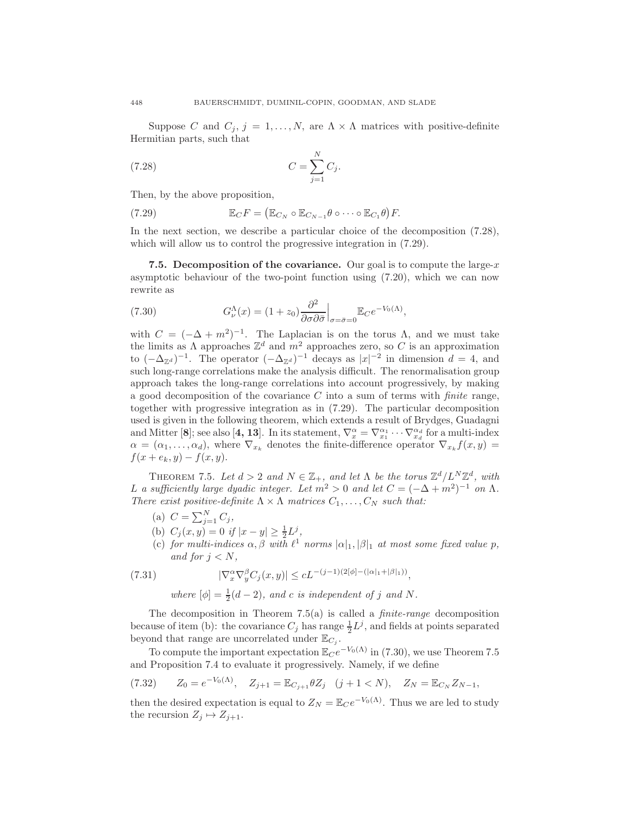Suppose C and  $C_j$ ,  $j = 1, ..., N$ , are  $\Lambda \times \Lambda$  matrices with positive-definite Hermitian parts, such that

$$
(7.28)\qquad \qquad C=\sum_{j=1}^{N}C_j.
$$

Then, by the above proposition,

(7.29) 
$$
\mathbb{E}_C F = (\mathbb{E}_{C_N} \circ \mathbb{E}_{C_{N-1}} \theta \circ \cdots \circ \mathbb{E}_{C_1} \theta) F.
$$

In the next section, we describe a particular choice of the decomposition (7.28), which will allow us to control the progressive integration in  $(7.29)$ .

7.5. Decomposition of the covariance. Our goal is to compute the large- $x$ asymptotic behaviour of the two-point function using (7.20), which we can now rewrite as

(7.30) 
$$
G^{\Lambda}_{\nu}(x) = (1+z_0) \frac{\partial^2}{\partial \sigma \partial \bar{\sigma}} \Big|_{\sigma = \bar{\sigma} = 0} \mathbb{E}_C e^{-V_0(\Lambda)},
$$

with  $C = (-\Delta + m^2)^{-1}$ . The Laplacian is on the torus  $\Lambda$ , and we must take the limits as  $\Lambda$  approaches  $\mathbb{Z}^d$  and  $m^2$  approaches zero, so C is an approximation to  $(-\Delta_{\mathbb{Z}^d})^{-1}$ . The operator  $(-\Delta_{\mathbb{Z}^d})^{-1}$  decays as  $|x|^{-2}$  in dimension  $d=4$ , and such long-range correlations make the analysis difficult. The renormalisation group approach takes the long-range correlations into account progressively, by making a good decomposition of the covariance C into a sum of terms with *finite* range, together with progressive integration as in (7.29). The particular decomposition used is given in the following theorem, which extends a result of Brydges, Guadagni and Mitter [8]; see also [4, 13]. In its statement,  $\nabla_x^{\alpha} = \nabla_{x_1}^{\alpha_1} \cdots \nabla_{x_d}^{\alpha_d}$  for a multi-index  $\alpha = (\alpha_1, \ldots, \alpha_d)$ , where  $\nabla_{x_k}$  denotes the finite-difference operator  $\nabla_{x_k} f(x, y) =$  $f(x + e_k, y) - f(x, y).$ 

THEOREM 7.5. Let  $d > 2$  and  $N \in \mathbb{Z}_+$ , and let  $\Lambda$  be the torus  $\mathbb{Z}^d / L^N \mathbb{Z}^d$ , with L *a* sufficiently large dyadic integer. Let  $m^2 > 0$  and let  $C = (-\Delta + m^2)^{-1}$  on  $\Lambda$ . *There exist positive-definite*  $\Lambda \times \Lambda$  *matrices*  $C_1, \ldots, C_N$  *such that:* 

- (a)  $C = \sum_{j=1}^{N} C_j$ ,
- (b)  $C_j(x, y) = 0$  if  $|x y| \ge \frac{1}{2}L^j$ ,
- (c) *for multi-indices*  $\alpha, \beta$  *with*  $\ell^1$  *norms*  $|\alpha|_1, |\beta|_1$  *at most some fixed value*  $p$ *, and for*  $i < N$ *,*

(7.31) 
$$
|\nabla_x^{\alpha} \nabla_y^{\beta} C_j(x, y)| \leq c L^{-(j-1)(2[\phi] - (|\alpha|_1 + |\beta|_1))},
$$

where  $[\phi] = \frac{1}{2}(d-2)$ , and *c* is independent of *j* and *N*.

The decomposition in Theorem 7.5(a) is called a *finite-range* decomposition because of item (b): the covariance  $C_j$  has range  $\frac{1}{2}L^j$ , and fields at points separated beyond that range are uncorrelated under  $\mathbb{E}_{C_j}$ .

To compute the important expectation  $\mathbb{E}_C e^{-V_0(\Lambda)}$  in (7.30), we use Theorem 7.5 and Proposition 7.4 to evaluate it progressively. Namely, if we define

$$
(7.32) \qquad Z_0 = e^{-V_0(\Lambda)}, \quad Z_{j+1} = \mathbb{E}_{C_{j+1}} \theta Z_j \quad (j+1 < N), \quad Z_N = \mathbb{E}_{C_N} Z_{N-1},
$$

then the desired expectation is equal to  $Z_N = \mathbb{E}_C e^{-V_0(\Lambda)}$ . Thus we are led to study the recursion  $Z_j \mapsto Z_{j+1}$ .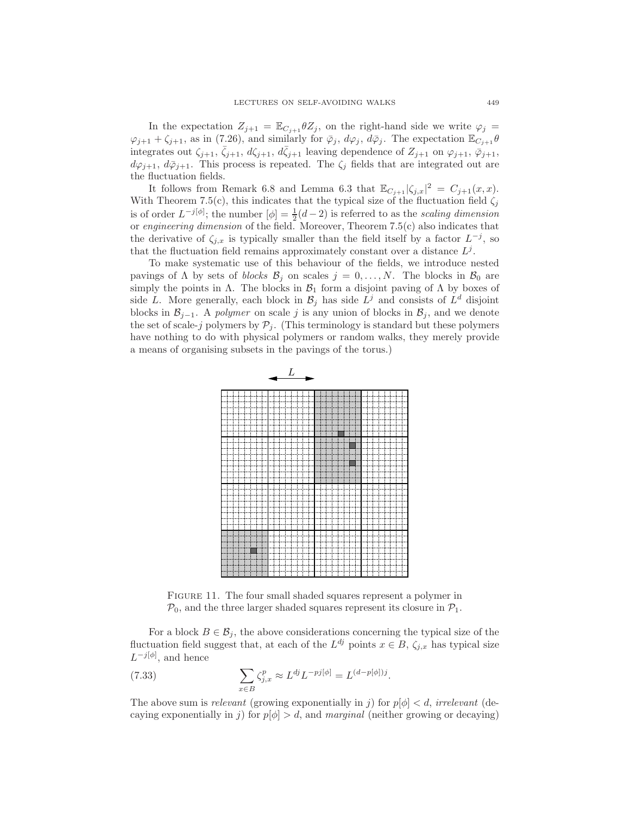In the expectation  $Z_{j+1} = \mathbb{E}_{C_{j+1}} \theta Z_j$ , on the right-hand side we write  $\varphi_j =$  $\varphi_{j+1} + \zeta_{j+1}$ , as in (7.26), and similarly for  $\bar{\varphi}_j$ ,  $d\varphi_j$ ,  $d\bar{\varphi}_j$ . The expectation  $\mathbb{E}_{C_{j+1}}\theta$ integrates out  $\zeta_{j+1}, \bar{\zeta}_{j+1}, d\zeta_{j+1}, d\bar{\zeta}_{j+1}$  leaving dependence of  $Z_{j+1}$  on  $\varphi_{j+1}, \bar{\varphi}_{j+1}$ ,  $d\varphi_{j+1}, d\bar{\varphi}_{j+1}$ . This process is repeated. The  $\zeta_j$  fields that are integrated out are the fluctuation fields.

It follows from Remark 6.8 and Lemma 6.3 that  $\mathbb{E}_{C_{j+1}} |\zeta_{j,x}|^2 = C_{j+1}(x,x)$ . With Theorem 7.5(c), this indicates that the typical size of the fluctuation field  $\zeta_j$ is of order  $L^{-j[\phi]}$ ; the number  $[\phi] = \frac{1}{2}(d-2)$  is referred to as the *scaling dimension* or *engineering dimension* of the field. Moreover, Theorem 7.5(c) also indicates that the derivative of  $\zeta_{j,x}$  is typically smaller than the field itself by a factor  $L^{-j}$ , so that the fluctuation field remains approximately constant over a distance  $L^j$ .

To make systematic use of this behaviour of the fields, we introduce nested pavings of  $\Lambda$  by sets of *blocks*  $\mathcal{B}_i$  on scales  $j = 0, \ldots, N$ . The blocks in  $\mathcal{B}_0$  are simply the points in  $\Lambda$ . The blocks in  $\mathcal{B}_1$  form a disjoint paving of  $\Lambda$  by boxes of side L. More generally, each block in  $\mathcal{B}_j$  has side  $L^j$  and consists of  $L^d$  disjoint blocks in  $\mathcal{B}_{j-1}$ . A *polymer* on scale j is any union of blocks in  $\mathcal{B}_j$ , and we denote the set of scale-j polymers by  $P_j$ . (This terminology is standard but these polymers have nothing to do with physical polymers or random walks, they merely provide a means of organising subsets in the pavings of the torus.)



FIGURE 11. The four small shaded squares represent a polymer in  $P_0$ , and the three larger shaded squares represent its closure in  $P_1$ .

For a block  $B \in \mathcal{B}_i$ , the above considerations concerning the typical size of the fluctuation field suggest that, at each of the  $L^{dj}$  points  $x \in B$ ,  $\zeta_{j,x}$  has typical size  $L^{-j[\phi]}$ , and hence

(7.33) 
$$
\sum_{x \in B} \zeta_{j,x}^p \approx L^{dj} L^{-pj[\phi]} = L^{(d-p[\phi])j}.
$$

The above sum is *relevant* (growing exponentially in j) for  $p|\phi| < d$ , *irrelevant* (decaying exponentially in j) for  $p[\phi] > d$ , and *marginal* (neither growing or decaying)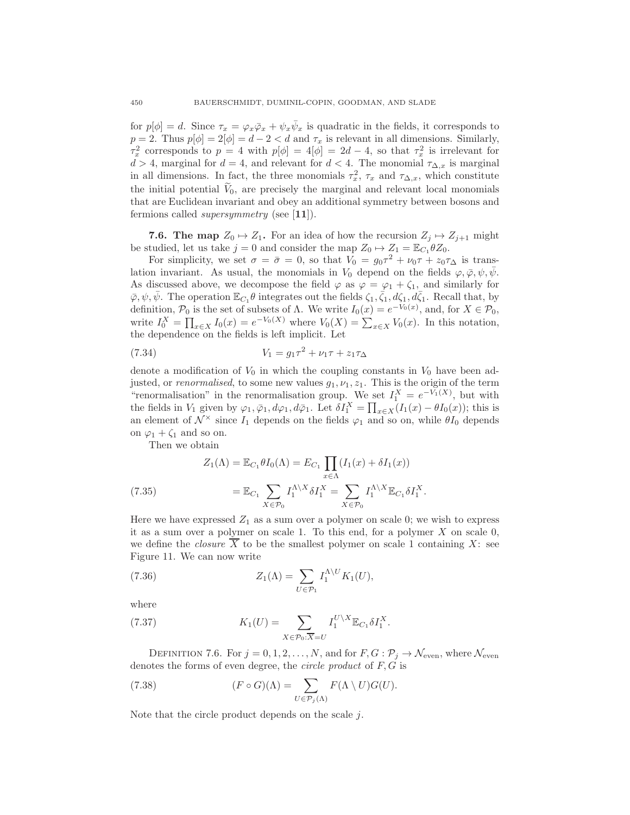for  $p[\phi] = d$ . Since  $\tau_x = \varphi_x \bar{\varphi}_x + \psi_x \bar{\psi}_x$  is quadratic in the fields, it corresponds to  $p = 2$ . Thus  $p[\phi] = 2[\phi] = d - 2 < d$  and  $\tau_x$  is relevant in all dimensions. Similarly,  $\tau_x^2$  corresponds to  $p = 4$  with  $p[\phi] = 4[\phi] = 2d - 4$ , so that  $\tau_x^2$  is irrelevant for  $d > 4$ , marginal for  $d = 4$ , and relevant for  $d < 4$ . The monomial  $\tau_{\Delta,x}$  is marginal in all dimensions. In fact, the three monomials  $\tau_x^2$ ,  $\tau_x$  and  $\tau_{\Delta,x}$ , which constitute the initial potential  $V_0$ , are precisely the marginal and relevant local monomials that are Euclidean invariant and obey an additional symmetry between bosons and fermions called *supersymmetry* (see [11]).

**7.6. The map**  $Z_0 \rightarrow Z_1$ . For an idea of how the recursion  $Z_i \rightarrow Z_{i+1}$  might be studied, let us take  $j = 0$  and consider the map  $Z_0 \mapsto Z_1 = \mathbb{E}_{C_1} \theta Z_0$ .

For simplicity, we set  $\sigma = \bar{\sigma} = 0$ , so that  $V_0 = g_0 \tau^2 + \nu_0 \tau + z_0 \tau_{\Delta}$  is translation invariant. As usual, the monomials in  $V_0$  depend on the fields  $\varphi, \bar{\varphi}, \psi, \bar{\psi}$ . As discussed above, we decompose the field  $\varphi$  as  $\varphi = \varphi_1 + \zeta_1$ , and similarly for  $\bar{\varphi}, \psi, \bar{\psi}$ . The operation  $\mathbb{E}_{C_1}\theta$  integrates out the fields  $\zeta_1, \bar{\zeta}_1, d\zeta_1, d\bar{\zeta}_1$ . Recall that, by definition,  $\mathcal{P}_0$  is the set of subsets of  $\Lambda$ . We write  $I_0(x) = e^{-V_0(x)}$ , and, for  $X \in \mathcal{P}_0$ , write  $I_0^X = \prod_{x \in X} I_0(x) = e^{-V_0(X)}$  where  $V_0(X) = \sum_{x \in X} V_0(x)$ . In this notation, the dependence on the fields is left implicit. Let

(7.34) 
$$
V_1 = g_1 \tau^2 + \nu_1 \tau + z_1 \tau_{\Delta}
$$

denote a modification of  $V_0$  in which the coupling constants in  $V_0$  have been adjusted, or *renormalised*, to some new values  $g_1, \nu_1, z_1$ . This is the origin of the term "renormalisation" in the renormalisation group. We set  $I_1^X = e^{-V_1(X)}$ , but with the fields in  $V_1$  given by  $\varphi_1, \bar{\varphi}_1, d\varphi_1, d\bar{\varphi}_1$ . Let  $\delta I_1^X = \prod_{x \in X} (I_1(x) - \theta I_0(x))$ ; this is an element of  $\mathcal{N}^{\times}$  since  $I_1$  depends on the fields  $\varphi_1$  and so on, while  $\theta I_0$  depends on  $\varphi_1 + \zeta_1$  and so on.

Then we obtain

$$
Z_1(\Lambda) = \mathbb{E}_{C_1} \theta I_0(\Lambda) = E_{C_1} \prod_{x \in \Lambda} (I_1(x) + \delta I_1(x))
$$
  

$$
= \mathbb{E}_{C_1} \sum_{X \in \mathcal{P}_0} I_1^{\Lambda \setminus X} \delta I_1^X = \sum_{X \in \mathcal{P}_0} I_1^{\Lambda \setminus X} \mathbb{E}_{C_1} \delta I_1^X.
$$

Here we have expressed  $Z_1$  as a sum over a polymer on scale 0; we wish to express it as a sum over a polymer on scale 1. To this end, for a polymer  $X$  on scale 0, we define the *closure*  $X$  to be the smallest polymer on scale 1 containing  $X$ : see Figure 11. We can now write

(7.36) 
$$
Z_1(\Lambda) = \sum_{U \in \mathcal{P}_1} I_1^{\Lambda \setminus U} K_1(U),
$$

where

(7.37) 
$$
K_1(U) = \sum_{X \in \mathcal{P}_0 : \overline{X} = U} I_1^{U \setminus X} \mathbb{E}_{C_1} \delta I_1^X.
$$

DEFINITION 7.6. For  $j = 0, 1, 2, ..., N$ , and for  $F, G: \mathcal{P}_j \to \mathcal{N}_{\text{even}}$ , where  $\mathcal{N}_{\text{even}}$ denotes the forms of even degree, the *circle product* of F, G is

(7.38) 
$$
(F \circ G)(\Lambda) = \sum_{U \in \mathcal{P}_j(\Lambda)} F(\Lambda \setminus U) G(U).
$$

Note that the circle product depends on the scale  $j$ .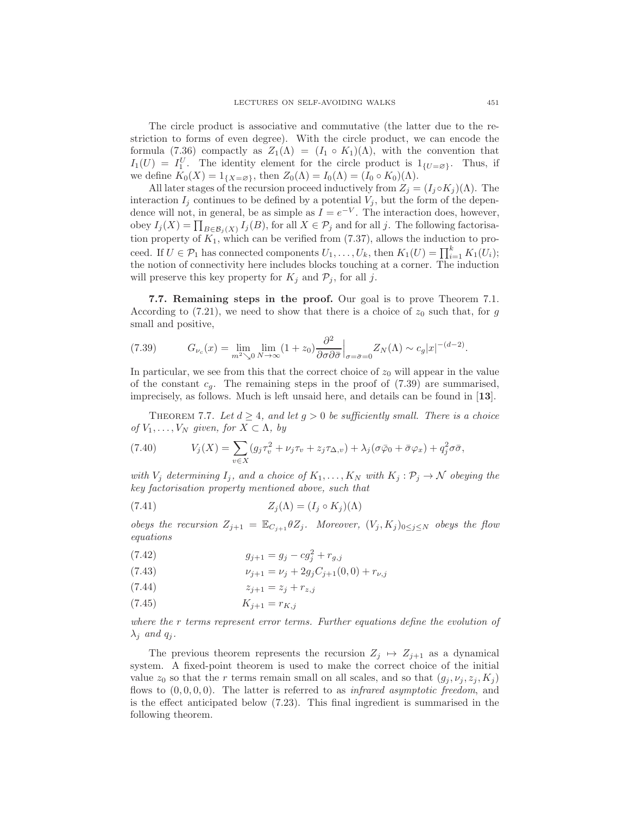The circle product is associative and commutative (the latter due to the restriction to forms of even degree). With the circle product, we can encode the formula (7.36) compactly as  $Z_1(\Lambda) = (I_1 \circ K_1)(\Lambda)$ , with the convention that  $I_1(U) = I_1^U$ . The identity element for the circle product is  $1_{\{U=\varnothing\}}$ . Thus, if we define  $K_0(X) = 1_{\{X = \emptyset\}}$ , then  $Z_0(\Lambda) = I_0(\Lambda) = (I_0 \circ K_0)(\Lambda)$ .

All later stages of the recursion proceed inductively from  $Z_j = (I_j \circ K_j)(\Lambda)$ . The interaction  $I_j$  continues to be defined by a potential  $V_j$ , but the form of the dependence will not, in general, be as simple as  $I = e^{-V}$ . The interaction does, however, obey  $I_j(X) = \prod_{B \in \mathcal{B}_j(X)} I_j(B)$ , for all  $X \in \mathcal{P}_j$  and for all j. The following factorisation property of  $K_1$ , which can be verified from  $(7.37)$ , allows the induction to proceed. If  $U \in \mathcal{P}_1$  has connected components  $U_1, \ldots, U_k$ , then  $K_1(U) = \prod_{i=1}^k K_1(U_i)$ ; the notion of connectivity here includes blocks touching at a corner. The induction will preserve this key property for  $K_j$  and  $\mathcal{P}_j$ , for all j.

7.7. Remaining steps in the proof. Our goal is to prove Theorem 7.1. According to (7.21), we need to show that there is a choice of  $z_0$  such that, for g small and positive,

(7.39) 
$$
G_{\nu_c}(x) = \lim_{m^2 \searrow 0} \lim_{N \to \infty} (1 + z_0) \frac{\partial^2}{\partial \sigma \partial \bar{\sigma}} \Big|_{\sigma = \bar{\sigma} = 0} Z_N(\Lambda) \sim c_g |x|^{-(d-2)}.
$$

In particular, we see from this that the correct choice of  $z_0$  will appear in the value of the constant  $c_g$ . The remaining steps in the proof of  $(7.39)$  are summarised, imprecisely, as follows. Much is left unsaid here, and details can be found in [13].

THEOREM 7.7. Let  $d \geq 4$ , and let  $g > 0$  be sufficiently small. There is a choice *of*  $V_1, \ldots, V_N$  *given, for*  $X \subset \Lambda$ *, by* 

(7.40) 
$$
V_j(X) = \sum_{v \in X} (g_j \tau_v^2 + \nu_j \tau_v + z_j \tau_{\Delta, v}) + \lambda_j (\sigma \bar{\varphi}_0 + \bar{\sigma} \varphi_x) + q_j^2 \sigma \bar{\sigma},
$$

*with*  $V_j$  *determining*  $I_j$ *, and a choice of*  $K_1, \ldots, K_N$  *with*  $K_j : \mathcal{P}_j \to \mathcal{N}$  *obeying the key factorisation property mentioned above, such that*

(7.41) 
$$
Z_j(\Lambda) = (I_j \circ K_j)(\Lambda)
$$

*obeys the recursion*  $Z_{j+1} = \mathbb{E}_{C_{j+1}} \theta Z_j$ *. Moreover,*  $(V_j, K_j)_{0 \leq j \leq N}$  *obeys the flow equations*

(7.42) 
$$
g_{j+1} = g_j - c g_j^2 + r_{g,j}
$$

(7.43) 
$$
\nu_{j+1} = \nu_j + 2g_j C_{j+1}(0,0) + r_{\nu,j}
$$

$$
(7.44) \t\t\t z_{j+1} = z_j + r_{z,j}
$$

$$
(7.45) \t K_{j+1} = r_{K,j}
$$

*where the* r *terms represent error terms. Further equations define the evolution of*  $\lambda_i$  *and*  $q_i$ *.* 

The previous theorem represents the recursion  $Z_j \mapsto Z_{j+1}$  as a dynamical system. A fixed-point theorem is used to make the correct choice of the initial value  $z_0$  so that the r terms remain small on all scales, and so that  $(g_i, \nu_i, z_i, K_i)$ flows to (0, 0, 0, 0). The latter is referred to as *infrared asymptotic freedom*, and is the effect anticipated below (7.23). This final ingredient is summarised in the following theorem.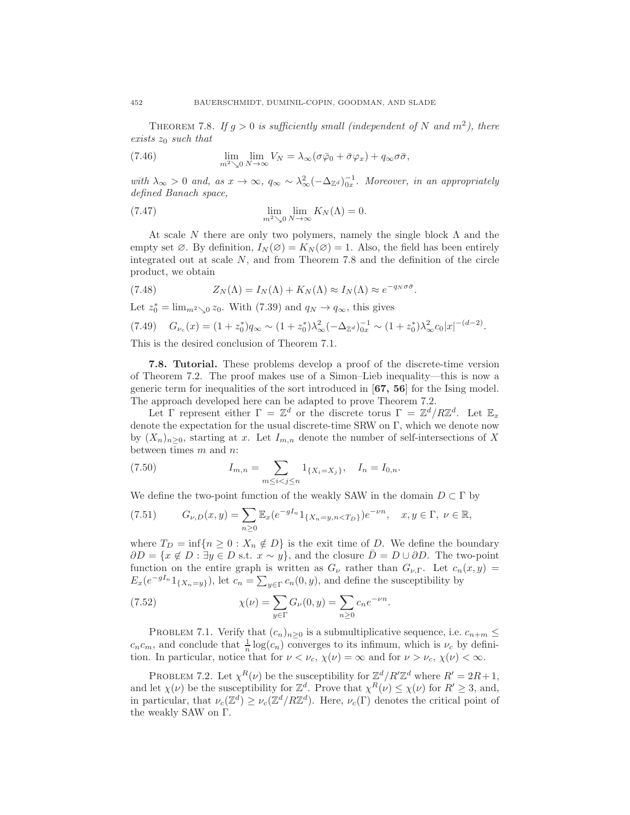THEOREM 7.8. If  $g > 0$  is sufficiently small (independent of N and  $m<sup>2</sup>$ ), there *exists* z<sup>0</sup> *such that*

(7.46) 
$$
\lim_{m^2 \searrow 0} \lim_{N \to \infty} V_N = \lambda_{\infty} (\sigma \bar{\varphi}_0 + \bar{\sigma} \varphi_x) + q_{\infty} \sigma \bar{\sigma},
$$

 $with \lambda_{\infty} > 0$  and, as  $x \to \infty$ ,  $q_{\infty} \sim \lambda_{\infty}^2 (-\Delta_{\mathbb{Z}^d})_{0x}^{-1}$ . Moreover, in an appropriately *defined Banach space,*

(7.47) 
$$
\lim_{m^2 \searrow 0} \lim_{N \to \infty} K_N(\Lambda) = 0.
$$

At scale N there are only two polymers, namely the single block  $\Lambda$  and the empty set  $\varnothing$ . By definition,  $I_N(\varnothing) = K_N(\varnothing) = 1$ . Also, the field has been entirely integrated out at scale N, and from Theorem 7.8 and the definition of the circle product, we obtain

(7.48) 
$$
Z_N(\Lambda) = I_N(\Lambda) + K_N(\Lambda) \approx I_N(\Lambda) \approx e^{-q_N \sigma \bar{\sigma}}.
$$

Let  $z_0^* = \lim_{m^2 \searrow 0} z_0$ . With (7.39) and  $q_N \to q_\infty$ , this gives

$$
(7.49) \quad G_{\nu_c}(x) = (1 + z_0^*)q_\infty \sim (1 + z_0^*)\lambda_\infty^2 (-\Delta_{\mathbb{Z}^d})_{0x}^{-1} \sim (1 + z_0^*)\lambda_\infty^2 c_0 |x|^{-(d-2)}.
$$

This is the desired conclusion of Theorem 7.1.

7.8. Tutorial. These problems develop a proof of the discrete-time version of Theorem 7.2. The proof makes use of a Simon–Lieb inequality—this is now a generic term for inequalities of the sort introduced in [67, 56] for the Ising model. The approach developed here can be adapted to prove Theorem 7.2.

Let  $\Gamma$  represent either  $\Gamma = \mathbb{Z}^d$  or the discrete torus  $\Gamma = \mathbb{Z}^d / R \mathbb{Z}^d$ . Let  $\mathbb{E}_x$ denote the expectation for the usual discrete-time SRW on Γ, which we denote now by  $(X_n)_{n>0}$ , starting at x. Let  $I_{m,n}$  denote the number of self-intersections of X between times m and n:

(7.50) 
$$
I_{m,n} = \sum_{m \le i < j \le n} 1_{\{X_i = X_j\}}, \quad I_n = I_{0,n}.
$$

We define the two-point function of the weakly SAW in the domain  $D \subset \Gamma$  by

$$
(7.51) \tG\nu,D(x,y) = \sum_{n\geq 0} \mathbb{E}_x (e^{-gI_n} 1_{\{X_n = y, n < T_D\}}) e^{-\nu n}, \quad x, y \in \Gamma, \ \nu \in \mathbb{R},
$$

where  $T_D = \inf\{n \geq 0 : X_n \notin D\}$  is the exit time of D. We define the boundary  $\partial D = \{x \notin D : \exists y \in D \text{ s.t. } x \sim y\},\$ and the closure  $\overline{D} = D \cup \partial D$ . The two-point function on the entire graph is written as  $G_{\nu}$  rather than  $G_{\nu,\Gamma}$ . Let  $c_n(x, y)$  =  $E_x(e^{-gI_n}1_{\{X_n=y\}})$ , let  $c_n = \sum_{y \in \Gamma} c_n(0, y)$ , and define the susceptibility by

(7.52) 
$$
\chi(\nu) = \sum_{y \in \Gamma} G_{\nu}(0, y) = \sum_{n \ge 0} c_n e^{-\nu n}.
$$

PROBLEM 7.1. Verify that  $(c_n)_{n>0}$  is a submultiplicative sequence, i.e.  $c_{n+m} \leq$  $c_n c_m$ , and conclude that  $\frac{1}{n} \log(c_n)$  converges to its infimum, which is  $\nu_c$  by definition. In particular, notice that for  $\nu < \nu_c$ ,  $\chi(\nu) = \infty$  and for  $\nu > \nu_c$ ,  $\chi(\nu) < \infty$ .

PROBLEM 7.2. Let  $\chi^R(\nu)$  be the susceptibility for  $\mathbb{Z}^d/R'\mathbb{Z}^d$  where  $R'=2R+1$ , and let  $\chi(\nu)$  be the susceptibility for  $\mathbb{Z}^d$ . Prove that  $\chi^R(\nu) \leq \chi(\nu)$  for  $R' \geq 3$ , and, in particular, that  $\nu_c(\mathbb{Z}^d) \geq \nu_c(\mathbb{Z}^d/R\mathbb{Z}^d)$ . Here,  $\nu_c(\Gamma)$  denotes the critical point of the weakly SAW on Γ.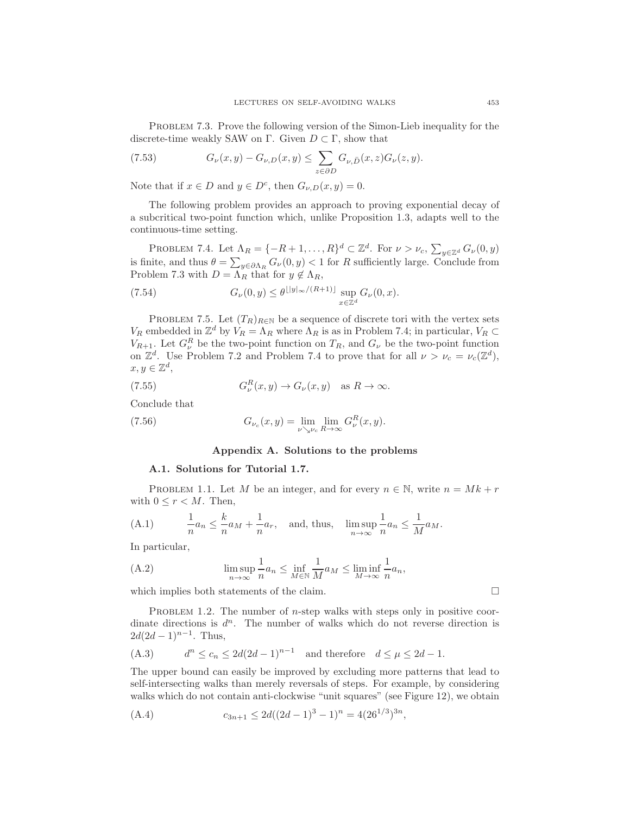PROBLEM 7.3. Prove the following version of the Simon-Lieb inequality for the discrete-time weakly SAW on Γ. Given  $D \subset \Gamma$ , show that

(7.53) 
$$
G_{\nu}(x,y) - G_{\nu,D}(x,y) \leq \sum_{z \in \partial D} G_{\nu,\bar{D}}(x,z) G_{\nu}(z,y).
$$

Note that if  $x \in D$  and  $y \in D^c$ , then  $G_{\nu,D}(x,y) = 0$ .

The following problem provides an approach to proving exponential decay of a subcritical two-point function which, unlike Proposition 1.3, adapts well to the continuous-time setting.

PROBLEM 7.4. Let  $\Lambda_R = \{-R+1,\ldots,R\}^d \subset \mathbb{Z}^d$ . For  $\nu > \nu_c$ ,  $\sum_{y \in \mathbb{Z}^d} G_{\nu}(0, y)$ is finite, and thus  $\theta = \sum_{y \in \partial \Lambda_R} G_{\nu}(0, y) < 1$  for R sufficiently large. Conclude from Problem 7.3 with  $D = \Lambda_R$  that for  $y \notin \Lambda_R$ ,

(7.54) 
$$
G_{\nu}(0,y) \leq \theta^{\lfloor |y|_{\infty}/(R+1) \rfloor} \sup_{x \in \mathbb{Z}^d} G_{\nu}(0,x).
$$

PROBLEM 7.5. Let  $(T_R)_{R\in\mathbb{N}}$  be a sequence of discrete tori with the vertex sets  $V_R$  embedded in  $\mathbb{Z}^d$  by  $V_R = \Lambda_R$  where  $\Lambda_R$  is as in Problem 7.4; in particular,  $V_R \subset$  $V_{R+1}$ . Let  $G_{\nu}^{R}$  be the two-point function on  $T_{R}$ , and  $G_{\nu}$  be the two-point function on  $\mathbb{Z}^d$ . Use Problem 7.2 and Problem 7.4 to prove that for all  $\nu > \nu_c = \nu_c(\mathbb{Z}^d)$ ,  $x, y \in \mathbb{Z}^d$ ,

(7.55) 
$$
G_{\nu}^{R}(x,y) \to G_{\nu}(x,y) \text{ as } R \to \infty.
$$

Conclude that

(7.56) 
$$
G_{\nu_c}(x,y) = \lim_{\nu \searrow \nu_c} \lim_{R \to \infty} G_{\nu}^R(x,y).
$$

#### Appendix A. Solutions to the problems

#### A.1. Solutions for Tutorial 1.7.

PROBLEM 1.1. Let M be an integer, and for every  $n \in \mathbb{N}$ , write  $n = Mk + r$ with  $0 \leq r < M$ . Then,

(A.1) 
$$
\frac{1}{n}a_n \leq \frac{k}{n}a_M + \frac{1}{n}a_r, \text{ and, thus, } \limsup_{n \to \infty} \frac{1}{n}a_n \leq \frac{1}{M}a_M.
$$

In particular,

(A.2) 
$$
\limsup_{n \to \infty} \frac{1}{n} a_n \le \inf_{M \in \mathbb{N}} \frac{1}{M} a_M \le \liminf_{M \to \infty} \frac{1}{n} a_n,
$$

which implies both statements of the claim.  $\Box$ 

PROBLEM 1.2. The number of *n*-step walks with steps only in positive coordinate directions is  $d^n$ . The number of walks which do not reverse direction is  $2d(2d-1)^{n-1}$ . Thus,

(A.3) 
$$
d^n \le c_n \le 2d(2d-1)^{n-1} \text{ and therefore } d \le \mu \le 2d-1.
$$

The upper bound can easily be improved by excluding more patterns that lead to self-intersecting walks than merely reversals of steps. For example, by considering walks which do not contain anti-clockwise "unit squares" (see Figure 12), we obtain

(A.4) 
$$
c_{3n+1} \leq 2d((2d-1)^3-1)^n = 4(26^{1/3})^{3n},
$$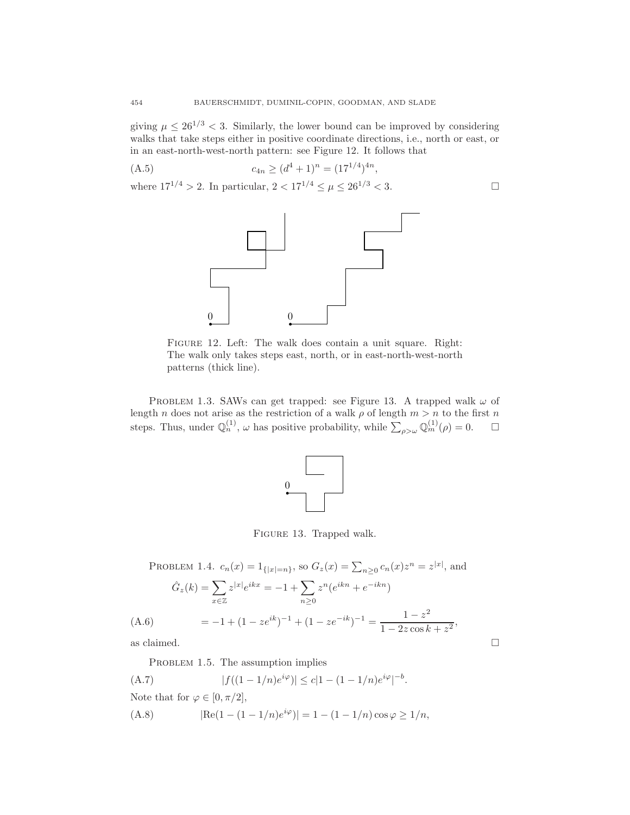giving  $\mu \leq 26^{1/3} < 3$ . Similarly, the lower bound can be improved by considering walks that take steps either in positive coordinate directions, i.e., north or east, or in an east-north-west-north pattern: see Figure 12. It follows that

(A.5) 
$$
c_{4n} \ge (d^4 + 1)^n = (17^{1/4})^{4n},
$$

where  $17^{1/4} > 2$ . In particular,  $2 < 17^{1/4} \leq \mu \leq 26^{1/3} < 3$ .



Figure 12. Left: The walk does contain a unit square. Right: The walk only takes steps east, north, or in east-north-west-north patterns (thick line).

PROBLEM 1.3. SAWs can get trapped: see Figure 13. A trapped walk  $\omega$  of length n does not arise as the restriction of a walk  $\rho$  of length  $m > n$  to the first n steps. Thus, under  $\mathbb{Q}_n^{(1)}$ ,  $\omega$  has positive probability, while  $\sum_{\rho>\omega}\mathbb{Q}_m^{(1)}(\rho)=0$ .  $\Box$ 



Figure 13. Trapped walk.

PROBLEM 1.4.  $c_n(x) = 1_{\{|x|=n\}}$ , so  $G_z(x) = \sum_{n\geq 0} c_n(x) z^n = z^{|x|}$ , and  $\hat{G}_z(k) = \sum$ <sup>x</sup>∈<sup>Z</sup>  $z^{|x|}e^{ikx} = -1 + \sum$  $n\geq 0$  $z^n(e^{ikn}+e^{-ikn})$  $= -1 + (1 - ze^{ik})^{-1} + (1 - ze^{-ik})^{-1} = \frac{1 - z^2}{1 - 2z \cos k}$ (A.6)  $= -1 + (1 - ze^{ik})^{-1} + (1 - ze^{-ik})^{-1} = \frac{1}{1 - 2z \cos k + z^2},$ 

as claimed.  $\Box$ 

PROBLEM 1.5. The assumption implies

(A.7) 
$$
|f((1-1/n)e^{i\varphi})| \le c|1-(1-1/n)e^{i\varphi}|^{-b}.
$$

Note that for  $\varphi \in [0, \pi/2]$ ,

(A.8) 
$$
|\text{Re}(1 - (1 - 1/n)e^{i\varphi})| = 1 - (1 - 1/n)\cos\varphi \ge 1/n,
$$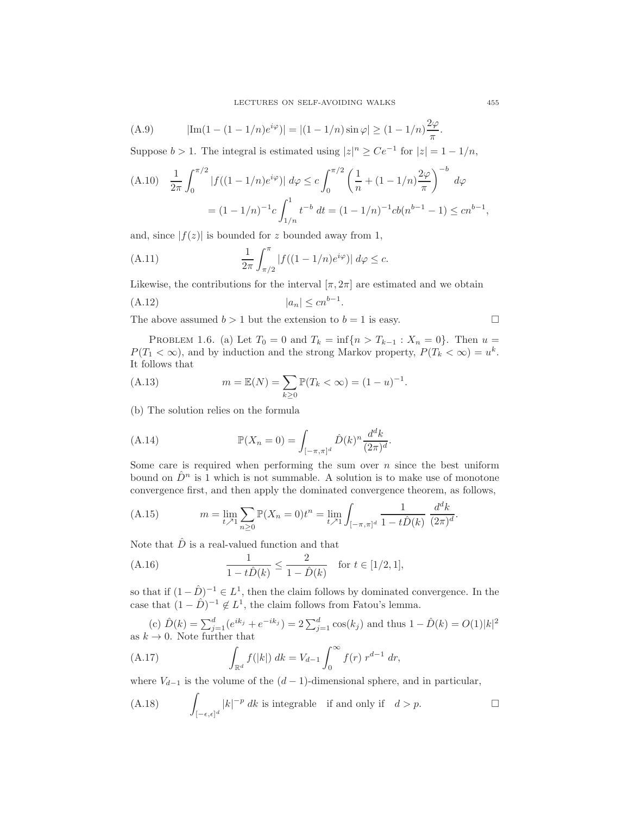(A.9) 
$$
|\text{Im}(1 - (1 - 1/n)e^{i\varphi})| = |(1 - 1/n)\sin\varphi| \ge (1 - 1/n)\frac{2\varphi}{\pi}.
$$

Suppose  $b > 1$ . The integral is estimated using  $|z|^n \ge Ce^{-1}$  for  $|z| = 1 - 1/n$ ,

$$
\begin{aligned} \text{(A.10)} \quad & \frac{1}{2\pi} \int_0^{\pi/2} |f((1 - 1/n)e^{i\varphi})| \, d\varphi \le c \int_0^{\pi/2} \left(\frac{1}{n} + (1 - 1/n)\frac{2\varphi}{\pi}\right)^{-b} \, d\varphi \\ & = (1 - 1/n)^{-1} c \int_{1/n}^1 t^{-b} \, dt = (1 - 1/n)^{-1} cb(n^{b-1} - 1) \le cn^{b-1}, \end{aligned}
$$

and, since  $|f(z)|$  is bounded for z bounded away from 1,

(A.11) 
$$
\frac{1}{2\pi} \int_{\pi/2}^{\pi} |f((1 - 1/n)e^{i\varphi})| d\varphi \leq c.
$$

Likewise, the contributions for the interval  $[\pi, 2\pi]$  are estimated and we obtain

$$
(A.12) \t\t |a_n| \le cn^{b-1}.
$$

The above assumed  $b > 1$  but the extension to  $b = 1$  is easy.

$$
\Box
$$

PROBLEM 1.6. (a) Let  $T_0 = 0$  and  $T_k = \inf\{n > T_{k-1} : X_n = 0\}$ . Then  $u =$  $P(T_1 < \infty)$ , and by induction and the strong Markov property,  $P(T_k < \infty) = u^k$ . It follows that

(A.13) 
$$
m = \mathbb{E}(N) = \sum_{k \ge 0} \mathbb{P}(T_k < \infty) = (1 - u)^{-1}.
$$

(b) The solution relies on the formula

(A.14) 
$$
\mathbb{P}(X_n = 0) = \int_{[-\pi,\pi]^d} \hat{D}(k)^n \frac{d^d k}{(2\pi)^d}.
$$

Some care is required when performing the sum over  $n$  since the best uniform bound on  $\hat{D}^n$  is 1 which is not summable. A solution is to make use of monotone convergence first, and then apply the dominated convergence theorem, as follows,

(A.15) 
$$
m = \lim_{t \nearrow 1} \sum_{n \ge 0} \mathbb{P}(X_n = 0) t^n = \lim_{t \nearrow 1} \int_{[-\pi, \pi]^d} \frac{1}{1 - t \hat{D}(k)} \frac{d^d k}{(2\pi)^d}.
$$

Note that  $\hat{D}$  is a real-valued function and that

(A.16) 
$$
\frac{1}{1-t\hat{D}(k)} \le \frac{2}{1-\hat{D}(k)} \text{ for } t \in [1/2, 1],
$$

so that if  $(1-\hat{D})^{-1} \in L^1$ , then the claim follows by dominated convergence. In the case that  $(1 - \hat{D})^{-1} \notin L^1$ , the claim follows from Fatou's lemma.

(c)  $\hat{D}(k) = \sum_{j=1}^{d} (e^{ik_j} + e^{-ik_j}) = 2 \sum_{j=1}^{d} \cos(k_j)$  and thus  $1 - \hat{D}(k) = O(1)|k|^2$ as  $k \to 0$ . Note further that

(A.17) 
$$
\int_{\mathbb{R}^d} f(|k|) \, dk = V_{d-1} \int_0^\infty f(r) \, r^{d-1} \, dr,
$$

where  $V_{d-1}$  is the volume of the  $(d-1)$ -dimensional sphere, and in particular,

(A.18) 
$$
\int_{[-\epsilon,\epsilon]^d} |k|^{-p} dk
$$
 is integrable if and only if  $d > p$ .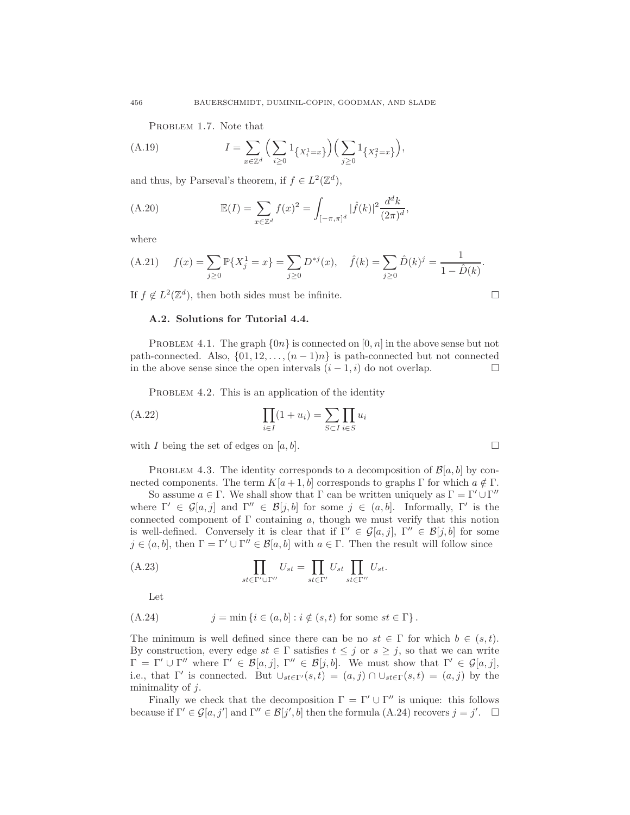PROBLEM 1.7. Note that

(A.19) 
$$
I = \sum_{x \in \mathbb{Z}^d} \left( \sum_{i \ge 0} 1_{\{X_i^1 = x\}} \right) \left( \sum_{j \ge 0} 1_{\{X_j^2 = x\}} \right),
$$

and thus, by Parseval's theorem, if  $f \in L^2(\mathbb{Z}^d)$ ,

(A.20) 
$$
\mathbb{E}(I) = \sum_{x \in \mathbb{Z}^d} f(x)^2 = \int_{[-\pi,\pi]^d} |\hat{f}(k)|^2 \frac{d^d k}{(2\pi)^d},
$$

where

(A.21) 
$$
f(x) = \sum_{j\geq 0} \mathbb{P}\{X_j^1 = x\} = \sum_{j\geq 0} D^{*j}(x), \quad \hat{f}(k) = \sum_{j\geq 0} \hat{D}(k)^j = \frac{1}{1 - \hat{D}(k)}.
$$

If  $f \notin L^2(\mathbb{Z}^d)$ , then both sides must be infinite.

#### A.2. Solutions for Tutorial 4.4.

PROBLEM 4.1. The graph  $\{0n\}$  is connected on  $[0, n]$  in the above sense but not path-connected. Also,  $\{01, 12, \ldots, (n-1)n\}$  is path-connected but not connected in the above sense since the open intervals  $(i-1,i)$  do not overlap. in the above sense since the open intervals  $(i - 1, i)$  do not overlap.

PROBLEM 4.2. This is an application of the identity

(A.22) 
$$
\prod_{i \in I} (1 + u_i) = \sum_{S \subset I} \prod_{i \in S} u_i
$$

with I being the set of edges on [a, b].  $\Box$ 

PROBLEM 4.3. The identity corresponds to a decomposition of  $\mathcal{B}[a, b]$  by connected components. The term  $K[a+1,b]$  corresponds to graphs  $\Gamma$  for which  $a \notin \Gamma$ .

So assume  $a \in \Gamma$ . We shall show that  $\Gamma$  can be written uniquely as  $\Gamma = \Gamma' \cup \Gamma''$ where  $\Gamma' \in \mathcal{G}[a, j]$  and  $\Gamma'' \in \mathcal{B}[j, b]$  for some  $j \in (a, b]$ . Informally,  $\Gamma'$  is the connected component of  $\Gamma$  containing a, though we must verify that this notion is well-defined. Conversely it is clear that if  $\Gamma' \in \mathcal{G}[a, j]$ ,  $\Gamma'' \in \mathcal{B}[j, b]$  for some  $j \in (a, b]$ , then  $\Gamma = \Gamma' \cup \Gamma'' \in \mathcal{B}[a, b]$  with  $a \in \Gamma$ . Then the result will follow since

(A.23) 
$$
\prod_{st \in \Gamma' \cup \Gamma''} U_{st} = \prod_{st \in \Gamma'} U_{st} \prod_{st \in \Gamma''} U_{st}.
$$

Let

(A.24) 
$$
j = \min \{ i \in (a, b] : i \notin (s, t) \text{ for some } st \in \Gamma \}.
$$

The minimum is well defined since there can be no  $st \in \Gamma$  for which  $b \in (s, t)$ . By construction, every edge  $st \in \Gamma$  satisfies  $t \leq j$  or  $s \geq j$ , so that we can write  $\Gamma = \Gamma' \cup \Gamma''$  where  $\Gamma' \in \mathcal{B}[a, j], \Gamma'' \in \mathcal{B}[j, b].$  We must show that  $\Gamma' \in \mathcal{G}[a, j],$ i.e., that  $\Gamma'$  is connected. But  $\cup_{st \in \Gamma'}(s,t) = (a,j) \cap \cup_{st \in \Gamma}(s,t) = (a,j)$  by the minimality of  $i$ .

Finally we check that the decomposition  $\Gamma = \Gamma' \cup \Gamma''$  is unique: this follows because if  $\Gamma' \in \mathcal{G}[a, j']$  and  $\Gamma'' \in \mathcal{B}[j', b]$  then the formula (A.24) recovers  $j = j'$ .  $\Box$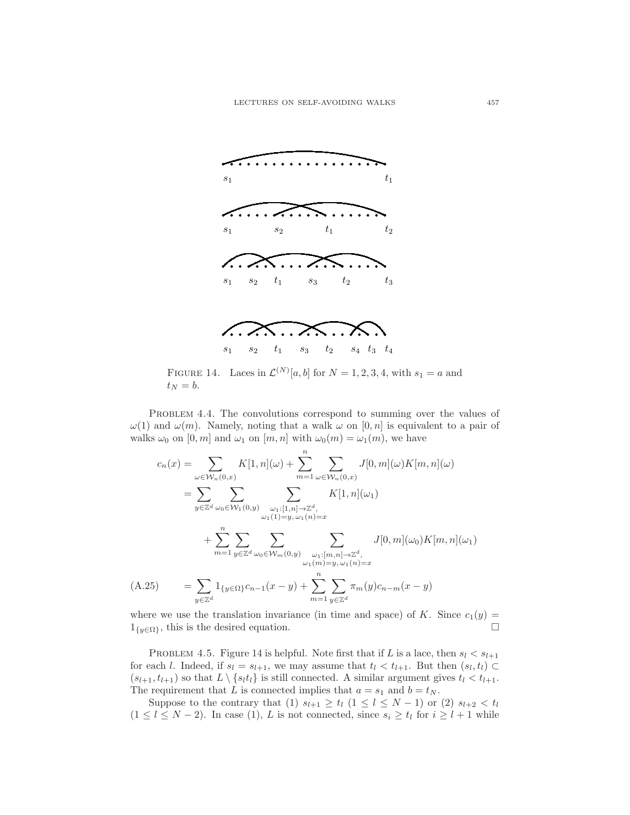

FIGURE 14. Laces in  $\mathcal{L}^{(N)}[a,b]$  for  $N=1,2,3,4$ , with  $s_1=a$  and  $t_N = b.$ 

PROBLEM 4.4. The convolutions correspond to summing over the values of  $\omega(1)$  and  $\omega(m)$ . Namely, noting that a walk  $\omega$  on  $[0, n]$  is equivalent to a pair of walks  $\omega_0$  on  $[0, m]$  and  $\omega_1$  on  $[m, n]$  with  $\omega_0(m) = \omega_1(m)$ , we have

$$
c_n(x) = \sum_{\omega \in \mathcal{W}_n(0,x)} K[1,n](\omega) + \sum_{m=1}^n \sum_{\omega \in \mathcal{W}_n(0,x)} J[0,m](\omega)K[m,n](\omega)
$$
  
\n
$$
= \sum_{y \in \mathbb{Z}^d} \sum_{\omega_0 \in \mathcal{W}_1(0,y)} \sum_{\substack{\omega_1:[1,n] \to \mathbb{Z}^d, \\ \omega_1(1)=y, \omega_1(n)=x}} K[1,n](\omega_1)
$$
  
\n
$$
+ \sum_{m=1}^n \sum_{y \in \mathbb{Z}^d} \sum_{\substack{\omega_0 \in \mathcal{W}_m(0,y)} \sum_{\substack{\omega_1:[m,n] \to \mathbb{Z}^d, \\ \omega_1(m)=y, \omega_1(n)=x}} J[0,m](\omega_0)K[m,n](\omega_1)
$$
  
\n(A.25) 
$$
= \sum_{y \in \mathbb{Z}^d} 1_{\{y \in \Omega\}} c_{n-1}(x-y) + \sum_{m=1}^n \sum_{y \in \mathbb{Z}^d} \pi_m(y)c_{n-m}(x-y)
$$

where we use the translation invariance (in time and space) of K. Since  $c_1(y) =$  $1_{\{y\in\Omega\}}$ , this is the desired equation.  $\square$ 

PROBLEM 4.5. Figure 14 is helpful. Note first that if L is a lace, then  $s_l < s_{l+1}$ for each l. Indeed, if  $s_l = s_{l+1}$ , we may assume that  $t_l < t_{l+1}$ . But then  $(s_l, t_l) \subset$  $(s_{l+1}, t_{l+1})$  so that  $L \setminus \{s_l t_l\}$  is still connected. A similar argument gives  $t_l < t_{l+1}$ . The requirement that L is connected implies that  $a = s_1$  and  $b = t_N$ .

Suppose to the contrary that (1)  $s_{l+1} \geq t_l$  (1  $\leq l \leq N-1$ ) or (2)  $s_{l+2} < t_l$  $(1 \leq l \leq N-2)$ . In case (1), L is not connected, since  $s_i \geq t_l$  for  $i \geq l+1$  while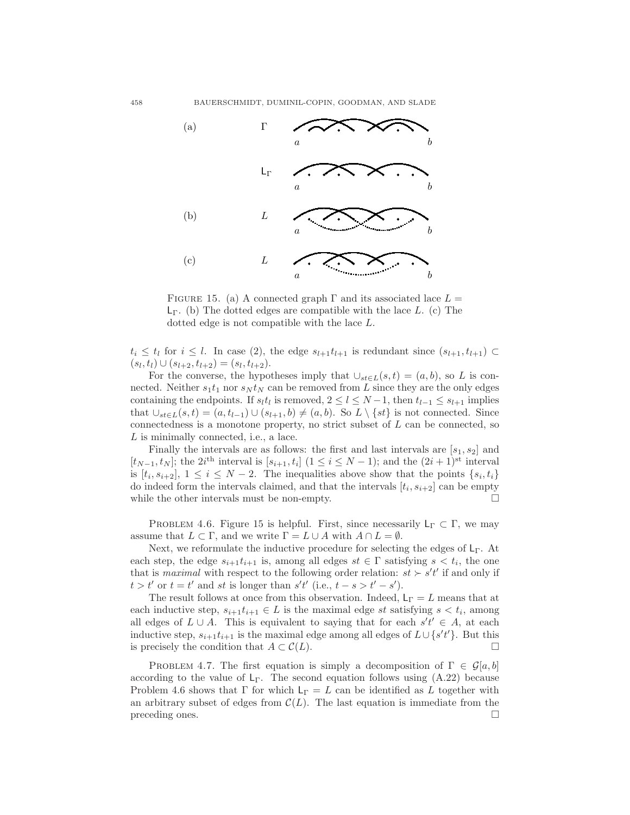

FIGURE 15. (a) A connected graph  $\Gamma$  and its associated lace  $L =$  $L_{\Gamma}$ . (b) The dotted edges are compatible with the lace L. (c) The dotted edge is not compatible with the lace L.

 $t_i \leq t_l$  for  $i \leq l$ . In case (2), the edge  $s_{l+1}t_{l+1}$  is redundant since  $(s_{l+1}, t_{l+1}) \subset$  $(s_l, t_l) \cup (s_{l+2}, t_{l+2}) = (s_l, t_{l+2}).$ 

For the converse, the hypotheses imply that  $\cup_{st\in L}(s,t) = (a,b)$ , so L is connected. Neither  $s_1t_1$  nor  $s_N t_N$  can be removed from L since they are the only edges containing the endpoints. If  $s_l t_l$  is removed,  $2 \leq l \leq N-1$ , then  $t_{l-1} \leq s_{l+1}$  implies that  $\bigcup_{s\in L}(s,t)=(a,t_{l-1})\cup(s_{l+1},b)\neq(a,b)$ . So  $L\setminus\{st\}$  is not connected. Since connectedness is a monotone property, no strict subset of L can be connected, so L is minimally connected, i.e., a lace.

Finally the intervals are as follows: the first and last intervals are  $[s_1, s_2]$  and  $[t_{N-1}, t_N]$ ; the 2i<sup>th</sup> interval is  $[s_{i+1}, t_i]$  (1 ≤ i ≤ N − 1); and the  $(2i+1)$ <sup>st</sup> interval is  $[t_i, s_{i+2}]$ ,  $1 \leq i \leq N-2$ . The inequalities above show that the points  $\{s_i, t_i\}$ do indeed form the intervals claimed, and that the intervals  $[t_i, s_{i+2}]$  can be empty while the other intervals must be non-empty.  $\Box$ 

PROBLEM 4.6. Figure 15 is helpful. First, since necessarily  $L_{\Gamma} \subset \Gamma$ , we may assume that  $L \subset \Gamma$ , and we write  $\Gamma = L \cup A$  with  $A \cap L = \emptyset$ .

Next, we reformulate the inductive procedure for selecting the edges of  $L<sub>Γ</sub>$ . At each step, the edge  $s_{i+1}t_{i+1}$  is, among all edges  $st \in \Gamma$  satisfying  $s < t_i$ , the one that is *maximal* with respect to the following order relation:  $st > s't'$  if and only if  $t > t'$  or  $t = t'$  and st is longer than  $s't'$  (i.e.,  $t - s > t' - s'$ ).

The result follows at once from this observation. Indeed,  $L_{\Gamma} = L$  means that at each inductive step,  $s_{i+1}t_{i+1} \in L$  is the maximal edge st satisfying  $s < t_i$ , among all edges of  $L \cup A$ . This is equivalent to saying that for each  $s't' \in A$ , at each inductive step,  $s_{i+1}t_{i+1}$  is the maximal edge among all edges of  $L \cup \{s't'\}$ . But this is precisely the condition that  $A \subset \mathcal{C}(L)$ .

PROBLEM 4.7. The first equation is simply a decomposition of  $\Gamma \in \mathcal{G}[a, b]$ according to the value of  $L_{\Gamma}$ . The second equation follows using  $(A.22)$  because Problem 4.6 shows that Γ for which  $L_{\Gamma} = L$  can be identified as L together with an arbitrary subset of edges from  $\mathcal{C}(L)$ . The last equation is immediate from the preceding ones. preceding ones.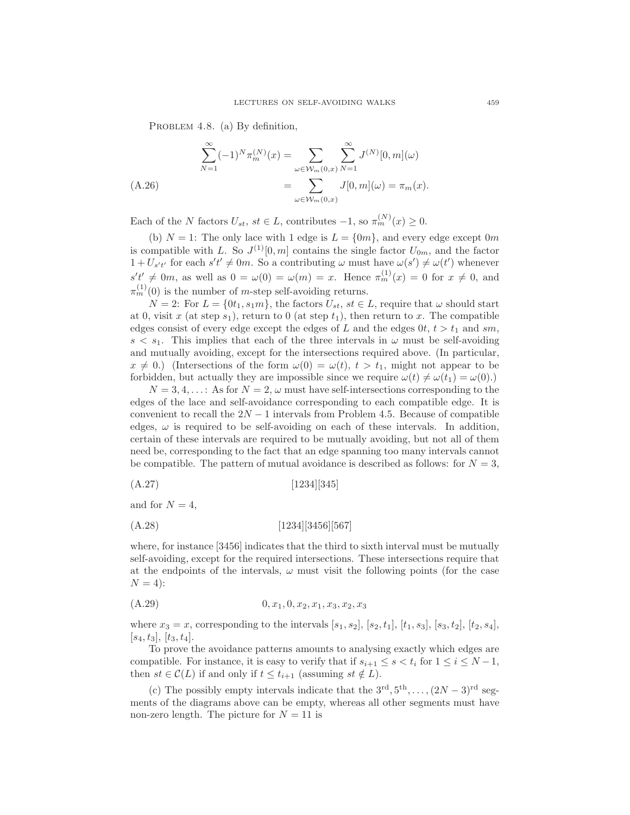PROBLEM 4.8. (a) By definition,

$$
\sum_{N=1}^{\infty} (-1)^N \pi_m^{(N)}(x) = \sum_{\omega \in \mathcal{W}_m(0,x)} \sum_{N=1}^{\infty} J^{(N)}[0,m](\omega)
$$
  
= 
$$
\sum_{\omega \in \mathcal{W}_m(0,x)} J[0,m](\omega) = \pi_m(x).
$$

Each of the N factors  $U_{st}$ ,  $st \in L$ , contributes  $-1$ , so  $\pi_m^{(N)}(x) \geq 0$ .

(b)  $N = 1$ : The only lace with 1 edge is  $L = \{0m\}$ , and every edge except 0m is compatible with L. So  $J^{(1)}[0,m]$  contains the single factor  $U_{0m}$ , and the factor  $1 + U_{s't'}$  for each  $s't' \neq 0m$ . So a contributing  $\omega$  must have  $\omega(s') \neq \omega(t')$  whenever  $s't' \neq 0m$ , as well as  $0 = \omega(0) = \omega(m) = x$ . Hence  $\pi_m^{(1)}(x) = 0$  for  $x \neq 0$ , and  $\pi_m^{(1)}(0)$  is the number of *m*-step self-avoiding returns.

 $N = 2$ : For  $L = \{0t_1, s_1m\}$ , the factors  $U_{st}$ ,  $st \in L$ , require that  $\omega$  should start at 0, visit x (at step  $s_1$ ), return to 0 (at step  $t_1$ ), then return to x. The compatible edges consist of every edge except the edges of L and the edges  $0t, t > t_1$  and sm,  $s < s_1$ . This implies that each of the three intervals in  $\omega$  must be self-avoiding and mutually avoiding, except for the intersections required above. (In particular,  $x \neq 0$ .) (Intersections of the form  $\omega(0) = \omega(t), t > t_1$ , might not appear to be forbidden, but actually they are impossible since we require  $\omega(t) \neq \omega(t_1) = \omega(0)$ .

 $N = 3, 4, \ldots$ : As for  $N = 2, \omega$  must have self-intersections corresponding to the edges of the lace and self-avoidance corresponding to each compatible edge. It is convenient to recall the  $2N-1$  intervals from Problem 4.5. Because of compatible edges,  $\omega$  is required to be self-avoiding on each of these intervals. In addition, certain of these intervals are required to be mutually avoiding, but not all of them need be, corresponding to the fact that an edge spanning too many intervals cannot be compatible. The pattern of mutual avoidance is described as follows: for  $N = 3$ ,

$$
(A.27) \t\t [1234][345]
$$

and for  $N = 4$ ,

$$
(A.28) \t[1234][3456][567]
$$

where, for instance [3456] indicates that the third to sixth interval must be mutually self-avoiding, except for the required intersections. These intersections require that at the endpoints of the intervals,  $\omega$  must visit the following points (for the case  $N = 4$ :

$$
(A.29) \t\t\t 0, x_1, 0, x_2, x_1, x_3, x_2, x_3
$$

where  $x_3 = x$ , corresponding to the intervals  $[s_1, s_2], [s_2, t_1], [t_1, s_3], [s_3, t_2], [t_2, s_4],$  $[s_4, t_3], [t_3, t_4].$ 

To prove the avoidance patterns amounts to analysing exactly which edges are compatible. For instance, it is easy to verify that if  $s_{i+1} \leq s < t_i$  for  $1 \leq i \leq N-1$ , then  $st \in \mathcal{C}(L)$  if and only if  $t \leq t_{i+1}$  (assuming  $st \notin L$ ).

(c) The possibly empty intervals indicate that the  $3^{\text{rd}}, 5^{\text{th}}, \dots, (2N-3)^{\text{rd}}$  segments of the diagrams above can be empty, whereas all other segments must have non-zero length. The picture for  $N = 11$  is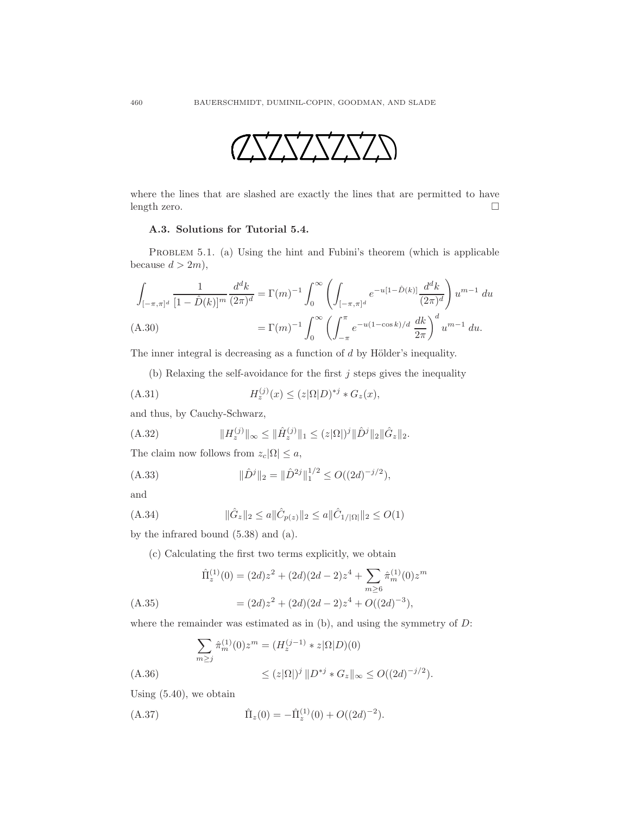

where the lines that are slashed are exactly the lines that are permitted to have length zero.

## A.3. Solutions for Tutorial 5.4.

PROBLEM 5.1. (a) Using the hint and Fubini's theorem (which is applicable because  $d > 2m$ ,

$$
\int_{[-\pi,\pi]^d} \frac{1}{[1-\hat{D}(k)]^m} \frac{d^d k}{(2\pi)^d} = \Gamma(m)^{-1} \int_0^\infty \left( \int_{[-\pi,\pi]^d} e^{-u[1-\hat{D}(k)]} \frac{d^d k}{(2\pi)^d} \right) u^{m-1} du
$$
\n(A.30)\n
$$
= \Gamma(m)^{-1} \int_0^\infty \left( \int_{-\pi}^\pi e^{-u(1-\cos k)/d} \frac{dk}{2\pi} \right)^d u^{m-1} du.
$$

The inner integral is decreasing as a function of  $d$  by Hölder's inequality.

(b) Relaxing the self-avoidance for the first  $j$  steps gives the inequality

(A.31) 
$$
H_z^{(j)}(x) \le (z|\Omega|D)^{*j} * G_z(x),
$$

and thus, by Cauchy-Schwarz,

(A.32) 
$$
||H_z^{(j)}||_{\infty} \le ||\hat{H}_z^{(j)}||_1 \le (z|\Omega|)^j ||\hat{D}^j||_2 ||\hat{G}_z||_2.
$$

The claim now follows from  $z_c|\Omega| \leq a$ ,

(A.33) 
$$
\|\hat{D}^j\|_2 = \|\hat{D}^{2j}\|_1^{1/2} \le O((2d)^{-j/2}),
$$

and

(A.34) 
$$
\|\hat{G}_z\|_2 \le a \|\hat{C}_{p(z)}\|_2 \le a \|\hat{C}_{1/|\Omega|}\|_2 \le O(1)
$$

by the infrared bound (5.38) and (a).

(c) Calculating the first two terms explicitly, we obtain

$$
\hat{\Pi}_z^{(1)}(0) = (2d)z^2 + (2d)(2d - 2)z^4 + \sum_{m \ge 6} \hat{\pi}_m^{(1)}(0)z^m
$$
  
(A.35) 
$$
= (2d)z^2 + (2d)(2d - 2)z^4 + O((2d)^{-3}),
$$

where the remainder was estimated as in  $(b)$ , and using the symmetry of  $D$ :

$$
\sum_{m\geq j} \hat{\pi}_m^{(1)}(0) z^m = (H_z^{(j-1)} * z | \Omega | D)(0)
$$
  
(A.36)  

$$
\leq (z | \Omega|)^j ||D^{*j} * G_z||_{\infty} \leq O((2d)^{-j/2}).
$$

Using (5.40), we obtain

(A.37) 
$$
\hat{\Pi}_z(0) = -\hat{\Pi}_z^{(1)}(0) + O((2d)^{-2}).
$$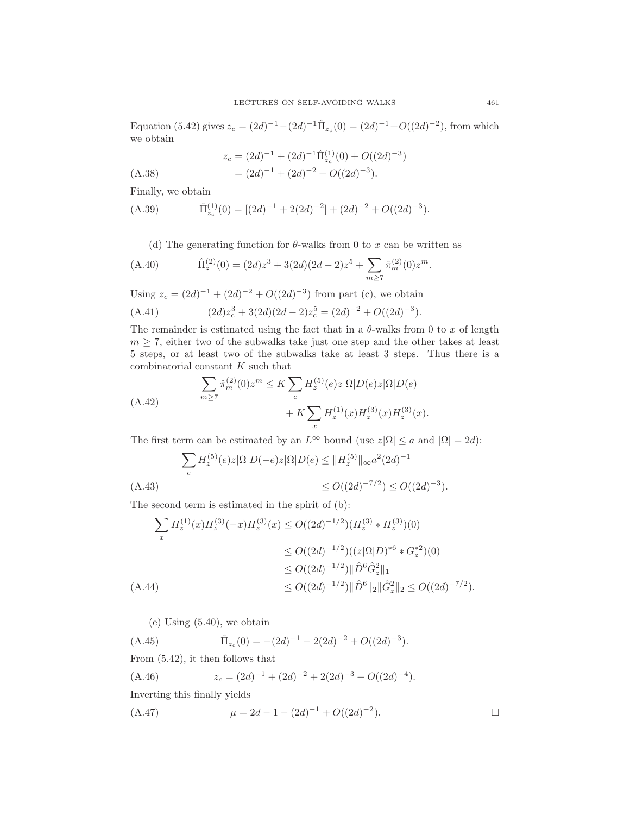Equation (5.42) gives  $z_c = (2d)^{-1} - (2d)^{-1} \hat{\Pi}_{z_c}(0) = (2d)^{-1} + O((2d)^{-2})$ , from which we obtain

$$
z_c = (2d)^{-1} + (2d)^{-1} \hat{\Pi}_{z_c}^{(1)}(0) + O((2d)^{-3})
$$
  
=  $(2d)^{-1} + (2d)^{-2} + O((2d)^{-3}).$ 

Finally, we obtain

(A.39) 
$$
\hat{\Pi}_{z_c}^{(1)}(0) = [(2d)^{-1} + 2(2d)^{-2}] + (2d)^{-2} + O((2d)^{-3}).
$$

(d) The generating function for  $\theta$ -walks from 0 to x can be written as

(A.40) 
$$
\hat{\Pi}_z^{(2)}(0) = (2d)z^3 + 3(2d)(2d-2)z^5 + \sum_{m \ge 7} \hat{\pi}_m^{(2)}(0)z^m.
$$

Using  $z_c = (2d)^{-1} + (2d)^{-2} + O((2d)^{-3})$  from part (c), we obtain

(A.41) 
$$
(2d)z_c^3 + 3(2d)(2d - 2)z_c^5 = (2d)^{-2} + O((2d)^{-3}).
$$

The remainder is estimated using the fact that in a  $\theta$ -walks from 0 to x of length  $m \geq 7$ , either two of the subwalks take just one step and the other takes at least 5 steps, or at least two of the subwalks take at least 3 steps. Thus there is a combinatorial constant K such that

$$
\sum_{m\geq 7} \hat{\pi}_m^{(2)}(0) z^m \leq K \sum_e H_z^{(5)}(e) z |\Omega| D(e) z |\Omega| D(e) + K \sum_x H_z^{(1)}(x) H_z^{(3)}(x) H_z^{(3)}(x).
$$
\n(A.42)

The first term can be estimated by an  $L^{\infty}$  bound (use  $z|\Omega| \le a$  and  $|\Omega| = 2d$ ):

$$
\sum_{e} H_z^{(5)}(e)z|\Omega|D(-e)z|\Omega|D(e) \le ||H_z^{(5)}||_{\infty} a^2 (2d)^{-1}
$$
  
(A.43)  

$$
\le O((2d)^{-7/2}) \le O((2d)^{-3}).
$$

The second term is estimated in the spirit of (b):

$$
\sum_{x} H_z^{(1)}(x)H_z^{(3)}(-x)H_z^{(3)}(x) \le O((2d)^{-1/2})(H_z^{(3)} * H_z^{(3)})(0)
$$
  
\n
$$
\le O((2d)^{-1/2})((z|\Omega|D)^{*6} * G_z^{*2})(0)
$$
  
\n
$$
\le O((2d)^{-1/2})\|\hat{D}^6 \hat{G}_z^2\|_1
$$
  
\n
$$
\le O((2d)^{-1/2})\|\hat{D}^6\|_2 \|\hat{G}_z^2\|_2 \le O((2d)^{-7/2}).
$$

(e) Using (5.40), we obtain

 $(A.45)$  $z_c(0) = -(2d)^{-1} - 2(2d)^{-2} + O((2d)^{-3}).$ From (5.42), it then follows that (A.46)  $z_c = (2d)^{-1} + (2d)^{-2} + 2(2d)^{-3} + O((2d)^{-4}).$ 

Inverting this finally yields

(A.47) 
$$
\mu = 2d - 1 - (2d)^{-1} + O((2d)^{-2}).
$$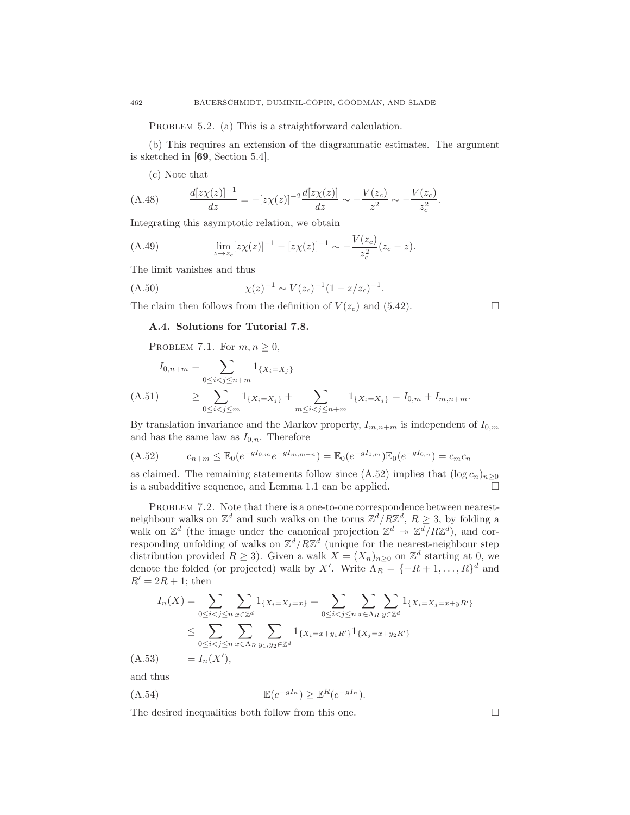PROBLEM 5.2. (a) This is a straightforward calculation.

(b) This requires an extension of the diagrammatic estimates. The argument is sketched in [69, Section 5.4].

(c) Note that

(A.48) 
$$
\frac{d[z\chi(z)]^{-1}}{dz} = -[z\chi(z)]^{-2}\frac{d[z\chi(z)]}{dz} \sim -\frac{V(z_c)}{z^2} \sim -\frac{V(z_c)}{z_c^2}.
$$

Integrating this asymptotic relation, we obtain

(A.49) 
$$
\lim_{z \to z_c} [z\chi(z)]^{-1} - [z\chi(z)]^{-1} \sim -\frac{V(z_c)}{z_c^2}(z_c - z).
$$

The limit vanishes and thus

(A.50) 
$$
\chi(z)^{-1} \sim V(z_c)^{-1} (1 - z/z_c)^{-1}.
$$

The claim then follows from the definition of  $V(z_c)$  and (5.42).

$$
\Box
$$

# A.4. Solutions for Tutorial 7.8.

PROBLEM 7.1. For  $m, n \geq 0$ ,

$$
I_{0,n+m} = \sum_{0 \le i < j \le n+m} 1_{\{X_i = X_j\}} \\
\text{(A.51)} \ge \sum_{0 \le i < j \le m} 1_{\{X_i = X_j\}} + \sum_{m \le i < j \le n+m} 1_{\{X_i = X_j\}} = I_{0,m} + I_{m,n+m}.
$$

By translation invariance and the Markov property,  $I_{m,n+m}$  is independent of  $I_{0,m}$ and has the same law as  $I_{0,n}$ . Therefore

$$
(A.52) \t\t c_{n+m} \leq \mathbb{E}_0(e^{-gI_{0,m}}e^{-gI_{m,m+n}}) = \mathbb{E}_0(e^{-gI_{0,m}})\mathbb{E}_0(e^{-gI_{0,n}}) = c_m c_n
$$

as claimed. The remaining statements follow since (A.52) implies that  $(\log c_n)_{n\geq 0}$ is a subadditive sequence, and Lemma 1.1 can be applied.

PROBLEM 7.2. Note that there is a one-to-one correspondence between nearestneighbour walks on  $\mathbb{Z}^d$  and such walks on the torus  $\mathbb{Z}^d/R\mathbb{Z}^d$ ,  $R \geq 3$ , by folding a walk on  $\mathbb{Z}^d$  (the image under the canonical projection  $\mathbb{Z}^d \to \mathbb{Z}^d/R\mathbb{Z}^d$ ), and corresponding unfolding of walks on  $\mathbb{Z}^d/R\mathbb{Z}^d$  (unique for the nearest-neighbour step distribution provided  $R \geq 3$ ). Given a walk  $X = (X_n)_{n \geq 0}$  on  $\mathbb{Z}^d$  starting at 0, we denote the folded (or projected) walk by X'. Write  $\Lambda_R = \{-R+1,\ldots,R\}^d$  and  $R' = 2R + 1$ ; then

$$
I_n(X) = \sum_{0 \le i < j \le n} \sum_{x \in \mathbb{Z}^d} 1_{\{X_i = X_j = x\}} = \sum_{0 \le i < j \le n} \sum_{x \in \Lambda_R} \sum_{y \in \mathbb{Z}^d} 1_{\{X_i = X_j = x + yR'\}}
$$
\n
$$
\le \sum_{0 \le i < j \le n} \sum_{x \in \Lambda_R} \sum_{y_1, y_2 \in \mathbb{Z}^d} 1_{\{X_i = x + y_1R'\}} 1_{\{X_j = x + y_2R'\}}
$$
\n
$$
(A.53) = I_n(X'),
$$

and thus

$$
(A.54) \t\t\t\mathbb{E}(e^{-gI_n}) \geq \mathbb{E}^R(e^{-gI_n}).
$$

The desired inequalities both follow from this one.  $\Box$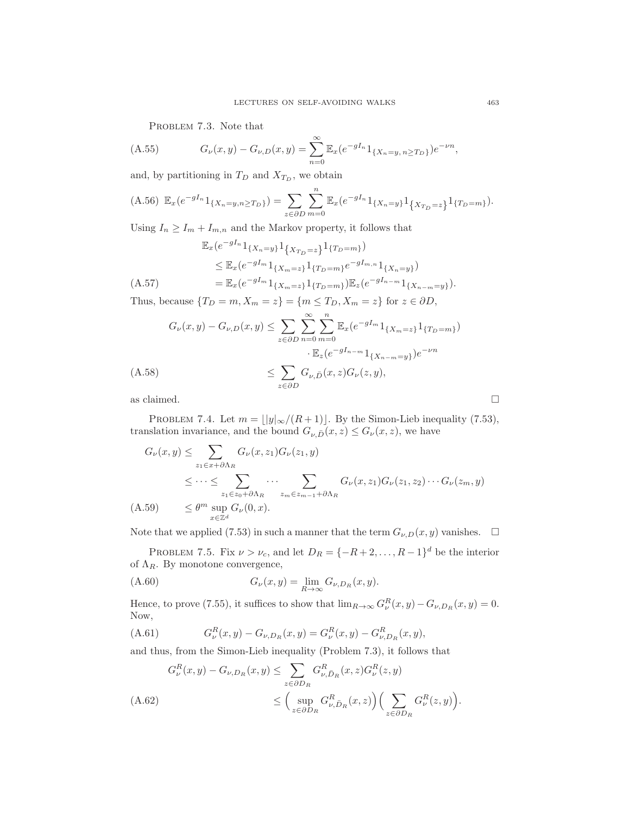PROBLEM 7.3. Note that

(A.55) 
$$
G_{\nu}(x,y) - G_{\nu,D}(x,y) = \sum_{n=0}^{\infty} \mathbb{E}_{x} (e^{-gI_n} 1_{\{X_n = y, n \ge T_D\}}) e^{-\nu n},
$$

and, by partitioning in  $T_D$  and  $X_{T_D}$ , we obtain

$$
(A.56)\ \mathbb{E}_x(e^{-gI_n}1_{\{X_n=y,n\geq T_D\}})=\sum_{z\in\partial D}\sum_{m=0}^n\mathbb{E}_x(e^{-gI_n}1_{\{X_n=y\}}1_{\{X_{T_D}=z\}}1_{\{T_D=m\}}).
$$

Using  $I_n \geq I_m + I_{m,n}$  and the Markov property, it follows that

$$
\mathbb{E}_{x}(e^{-gI_{n}}1_{\{X_{n}=y\}}1_{\{X_{T_{D}}=z\}}1_{\{T_{D}=m\}})
$$
\n
$$
\leq \mathbb{E}_{x}(e^{-gI_{m}}1_{\{X_{m}=z\}}1_{\{T_{D}=m\}}e^{-gI_{m,n}}1_{\{X_{n}=y\}})
$$
\n
$$
= \mathbb{E}_{x}(e^{-gI_{m}}1_{\{X_{m}=z\}}1_{\{T_{D}=m\}})\mathbb{E}_{z}(e^{-gI_{n-m}}1_{\{X_{n-m}=y\}}).
$$
\n(A.57)

Thus, because  $\{T_D = m, X_m = z\} = \{m \le T_D, X_m = z\}$  for  $z \in \partial D$ ,

$$
G_{\nu}(x,y) - G_{\nu,D}(x,y) \leq \sum_{z \in \partial D} \sum_{n=0}^{\infty} \sum_{m=0}^{n} \mathbb{E}_{x} (e^{-gI_{m}} 1_{\{X_{m}=z\}} 1_{\{T_{D}=m\}})
$$

$$
\cdot \mathbb{E}_{z} (e^{-gI_{n-m}} 1_{\{X_{n-m}=y\}}) e^{-\nu n}
$$
  
(A.58)
$$
\leq \sum_{z \in \partial D} G_{\nu,\bar{D}}(x,z) G_{\nu}(z,y),
$$
as claimed.

PROBLEM 7.4. Let  $m = \lfloor |y|_{\infty}/(R+1) \rfloor$ . By the Simon-Lieb inequality (7.53), translation invariance, and the bound  $G_{\nu,\bar{D}}(x,z) \leq G_{\nu}(x,z)$ , we have

$$
G_{\nu}(x,y) \leq \sum_{z_1 \in x + \partial \Lambda_R} G_{\nu}(x,z_1) G_{\nu}(z_1,y)
$$
  
\n
$$
\leq \cdots \leq \sum_{z_1 \in z_0 + \partial \Lambda_R} \cdots \sum_{z_m \in z_{m-1} + \partial \Lambda_R} G_{\nu}(x,z_1) G_{\nu}(z_1,z_2) \cdots G_{\nu}(z_m,y)
$$
  
\n(A.59) 
$$
\leq \theta^m \sup_{x \in \mathbb{Z}^d} G_{\nu}(0,x).
$$

Note that we applied (7.53) in such a manner that the term  $G_{\nu,D}(x, y)$  vanishes.  $\Box$ 

PROBLEM 7.5. Fix  $\nu > \nu_c$ , and let  $D_R = \{-R+2,\ldots,R-1\}^d$  be the interior of  $\Lambda_R$ . By monotone convergence,

$$
(A.60) \t G\nu(x,y) = \lim_{R \to \infty} G\nu,DR(x,y).
$$

Hence, to prove (7.55), it suffices to show that  $\lim_{R\to\infty} G^R_\nu(x,y) - G_{\nu,D_R}(x,y) = 0$ . Now,

$$
(A.61) \tGuR(x, y) - Gu, DR(x, y) = GuR(x, y) - Gu, DRR(x, y),
$$

and thus, from the Simon-Lieb inequality (Problem 7.3), it follows that

$$
G_{\nu}^{R}(x,y) - G_{\nu,D_{R}}(x,y) \leq \sum_{z \in \partial D_{R}} G_{\nu,\bar{D}_{R}}^{R}(x,z) G_{\nu}^{R}(z,y)
$$
  
(A.62)  

$$
\leq \left(\sup_{z \in \partial D_{R}} G_{\nu,\bar{D}_{R}}^{R}(x,z)\right) \left(\sum_{z \in \partial D_{R}} G_{\nu}^{R}(z,y)\right).
$$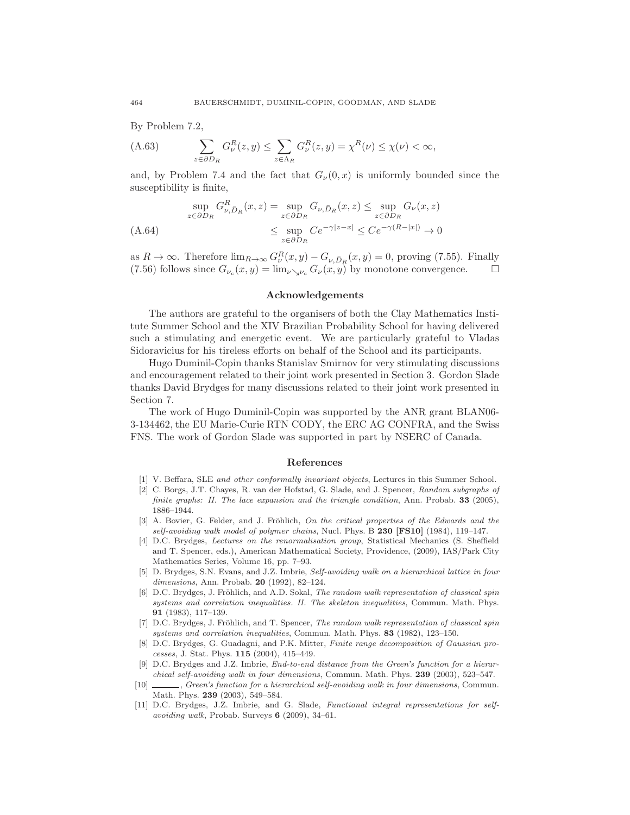By Problem 7.2,

(A.63) 
$$
\sum_{z \in \partial D_R} G_{\nu}^R(z, y) \leq \sum_{z \in \Lambda_R} G_{\nu}^R(z, y) = \chi^R(\nu) \leq \chi(\nu) < \infty,
$$

and, by Problem 7.4 and the fact that  $G_{\nu}(0, x)$  is uniformly bounded since the susceptibility is finite,

$$
\sup_{z \in \partial D_R} G_{\nu, \bar{D}_R}^R(x, z) = \sup_{z \in \partial D_R} G_{\nu, \bar{D}_R}(x, z) \le \sup_{z \in \partial D_R} G_{\nu}(x, z)
$$
  
(A.64)  

$$
\le \sup_{z \in \partial D_R} C e^{-\gamma |z - x|} \le C e^{-\gamma (R - |x|)} \to 0
$$

as  $R \to \infty$ . Therefore  $\lim_{R \to \infty} G_{\nu}^{R}(x, y) - G_{\nu, \bar{D}_{R}}(x, y) = 0$ , proving (7.55). Finally (7.56) follows since  $G_{\nu_c}(x,y) = \lim_{\nu \searrow \nu_c} G_{\nu}(x,y)$  by monotone convergence.

#### Acknowledgements

The authors are grateful to the organisers of both the Clay Mathematics Institute Summer School and the XIV Brazilian Probability School for having delivered such a stimulating and energetic event. We are particularly grateful to Vladas Sidoravicius for his tireless efforts on behalf of the School and its participants.

Hugo Duminil-Copin thanks Stanislav Smirnov for very stimulating discussions and encouragement related to their joint work presented in Section 3. Gordon Slade thanks David Brydges for many discussions related to their joint work presented in Section 7.

The work of Hugo Duminil-Copin was supported by the ANR grant BLAN06- 3-134462, the EU Marie-Curie RTN CODY, the ERC AG CONFRA, and the Swiss FNS. The work of Gordon Slade was supported in part by NSERC of Canada.

#### References

- [1] V. Beffara, SLE *and other conformally invariant objects*, Lectures in this Summer School.
- [2] C. Borgs, J.T. Chayes, R. van der Hofstad, G. Slade, and J. Spencer, *Random subgraphs of finite graphs: II. The lace expansion and the triangle condition*, Ann. Probab. 33 (2005), 1886–1944.
- [3] A. Bovier, G. Felder, and J. Fröhlich, *On the critical properties of the Edwards and the self-avoiding walk model of polymer chains*, Nucl. Phys. B 230 [FS10] (1984), 119–147.
- [4] D.C. Brydges, *Lectures on the renormalisation group*, Statistical Mechanics (S. Sheffield and T. Spencer, eds.), American Mathematical Society, Providence, (2009), IAS/Park City Mathematics Series, Volume 16, pp. 7–93.
- [5] D. Brydges, S.N. Evans, and J.Z. Imbrie, *Self-avoiding walk on a hierarchical lattice in four dimensions*, Ann. Probab. 20 (1992), 82–124.
- [6] D.C. Brydges, J. Fröhlich, and A.D. Sokal, *The random walk representation of classical spin systems and correlation inequalities. II. The skeleton inequalities*, Commun. Math. Phys. 91 (1983), 117–139.
- [7] D.C. Brydges, J. Fröhlich, and T. Spencer, *The random walk representation of classical spin systems and correlation inequalities*, Commun. Math. Phys. 83 (1982), 123–150.
- [8] D.C. Brydges, G. Guadagni, and P.K. Mitter, *Finite range decomposition of Gaussian processes*, J. Stat. Phys. 115 (2004), 415–449.
- [9] D.C. Brydges and J.Z. Imbrie, *End-to-end distance from the Green's function for a hierarchical self-avoiding walk in four dimensions*, Commun. Math. Phys. 239 (2003), 523–547.
- [10] , *Green's function for a hierarchical self-avoiding walk in four dimensions*, Commun. Math. Phys. 239 (2003), 549–584.
- [11] D.C. Brydges, J.Z. Imbrie, and G. Slade, *Functional integral representations for selfavoiding walk*, Probab. Surveys 6 (2009), 34–61.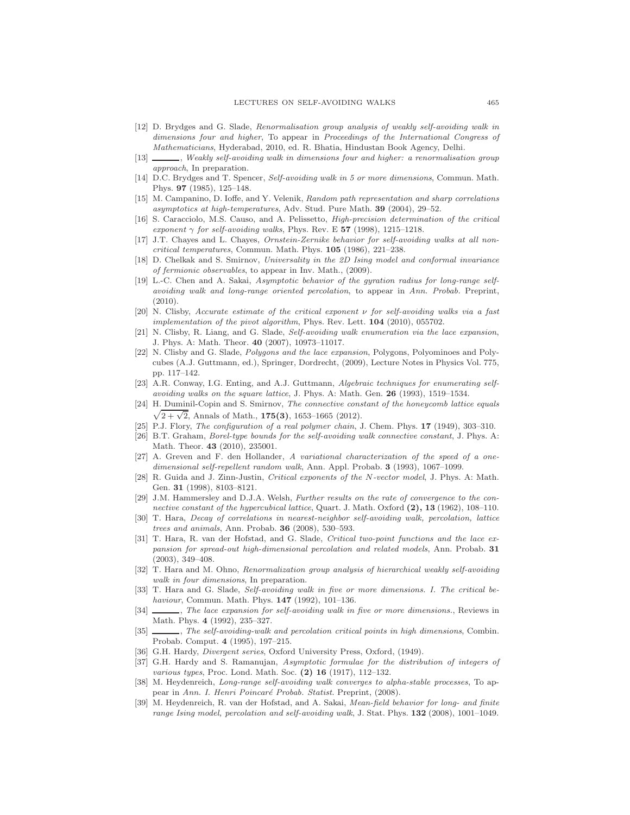- [12] D. Brydges and G. Slade, *Renormalisation group analysis of weakly self-avoiding walk in dimensions four and higher*, To appear in *Proceedings of the International Congress of Mathematicians*, Hyderabad, 2010, ed. R. Bhatia, Hindustan Book Agency, Delhi.
- [13] , *Weakly self-avoiding walk in dimensions four and higher: a renormalisation group approach*, In preparation.
- [14] D.C. Brydges and T. Spencer, *Self-avoiding walk in 5 or more dimensions*, Commun. Math. Phys. 97 (1985), 125–148.
- [15] M. Campanino, D. Ioffe, and Y. Velenik, *Random path representation and sharp correlations asymptotics at high-temperatures*, Adv. Stud. Pure Math. 39 (2004), 29–52.
- [16] S. Caracciolo, M.S. Causo, and A. Pelissetto, *High-precision determination of the critical exponent*  $\gamma$  *for self-avoiding walks*, Phys. Rev. E 57 (1998), 1215–1218.
- [17] J.T. Chayes and L. Chayes, *Ornstein-Zernike behavior for self-avoiding walks at all noncritical temperatures*, Commun. Math. Phys. 105 (1986), 221–238.
- [18] D. Chelkak and S. Smirnov, *Universality in the 2D Ising model and conformal invariance of fermionic observables*, to appear in Inv. Math., (2009).
- [19] L.-C. Chen and A. Sakai, *Asymptotic behavior of the gyration radius for long-range selfavoiding walk and long-range oriented percolation*, to appear in *Ann. Probab.* Preprint, (2010).
- [20] N. Clisby, *Accurate estimate of the critical exponent* ν *for self-avoiding walks via a fast implementation of the pivot algorithm*, Phys. Rev. Lett. 104 (2010), 055702.
- [21] N. Clisby, R. Liang, and G. Slade, *Self-avoiding walk enumeration via the lace expansion*, J. Phys. A: Math. Theor. 40 (2007), 10973–11017.
- [22] N. Clisby and G. Slade, *Polygons and the lace expansion*, Polygons, Polyominoes and Polycubes (A.J. Guttmann, ed.), Springer, Dordrecht, (2009), Lecture Notes in Physics Vol. 775, pp. 117–142.
- [23] A.R. Conway, I.G. Enting, and A.J. Guttmann, *Algebraic techniques for enumerating selfavoiding walks on the square lattice*, J. Phys. A: Math. Gen. 26 (1993), 1519–1534.
- [24] H. Duminil-Copin and S. Smirnov, *The connective constant of the honeycomb lattice equals*  $\sqrt{2 + \sqrt{2}}$ , Annals of Math., 175(3), 1653–1665 (2012).
- [25] P.J. Flory, *The configuration of a real polymer chain*, J. Chem. Phys. 17 (1949), 303–310.
- [26] B.T. Graham, *Borel-type bounds for the self-avoiding walk connective constant*, J. Phys. A: Math. Theor. 43 (2010), 235001.
- [27] A. Greven and F. den Hollander, *A variational characterization of the speed of a onedimensional self-repellent random walk*, Ann. Appl. Probab. 3 (1993), 1067–1099.
- [28] R. Guida and J. Zinn-Justin, *Critical exponents of the* N*-vector model*, J. Phys. A: Math. Gen. 31 (1998), 8103–8121.
- [29] J.M. Hammersley and D.J.A. Welsh, *Further results on the rate of convergence to the connective constant of the hypercubical lattice*, Quart. J. Math. Oxford (2), 13 (1962), 108–110.
- [30] T. Hara, *Decay of correlations in nearest-neighbor self-avoiding walk, percolation, lattice trees and animals*, Ann. Probab. 36 (2008), 530–593.
- [31] T. Hara, R. van der Hofstad, and G. Slade, *Critical two-point functions and the lace expansion for spread-out high-dimensional percolation and related models*, Ann. Probab. 31 (2003), 349–408.
- [32] T. Hara and M. Ohno, *Renormalization group analysis of hierarchical weakly self-avoiding walk in four dimensions*, In preparation.
- [33] T. Hara and G. Slade, *Self-avoiding walk in five or more dimensions. I. The critical behaviour*, Commun. Math. Phys. 147 (1992), 101–136.
- [34] , *The lace expansion for self-avoiding walk in five or more dimensions.*, Reviews in Math. Phys. 4 (1992), 235–327.
- [35] , *The self-avoiding-walk and percolation critical points in high dimensions*, Combin. Probab. Comput. 4 (1995), 197–215.
- [36] G.H. Hardy, *Divergent series*, Oxford University Press, Oxford, (1949).
- [37] G.H. Hardy and S. Ramanujan, *Asymptotic formulae for the distribution of integers of various types*, Proc. Lond. Math. Soc. (2) 16 (1917), 112–132.
- [38] M. Heydenreich, *Long-range self-avoiding walk converges to alpha-stable processes*, To appear in *Ann. I. Henri Poincaré Probab. Statist*. Preprint, (2008).
- [39] M. Heydenreich, R. van der Hofstad, and A. Sakai, *Mean-field behavior for long- and finite range Ising model, percolation and self-avoiding walk*, J. Stat. Phys. 132 (2008), 1001–1049.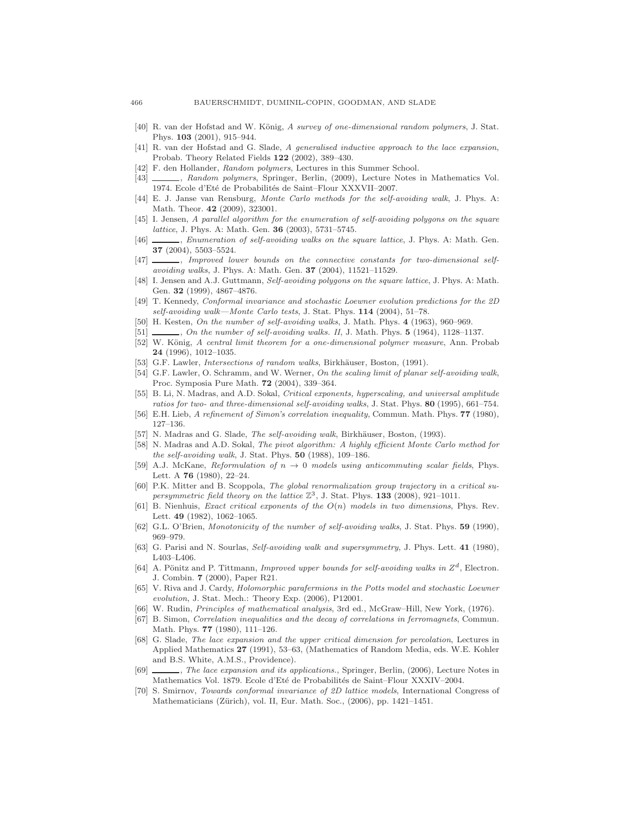- [40] R. van der Hofstad and W. König, *A survey of one-dimensional random polymers*, J. Stat. Phys. 103 (2001), 915–944.
- [41] R. van der Hofstad and G. Slade, *A generalised inductive approach to the lace expansion*, Probab. Theory Related Fields 122 (2002), 389–430.
- [42] F. den Hollander, *Random polymers*, Lectures in this Summer School.
- [43] , *Random polymers*, Springer, Berlin, (2009), Lecture Notes in Mathematics Vol. 1974. Ecole d'Eté de Probabilités de Saint–Flour XXXVII–2007.
- [44] E. J. Janse van Rensburg, *Monte Carlo methods for the self-avoiding walk*, J. Phys. A: Math. Theor. 42 (2009), 323001.
- [45] I. Jensen, *A parallel algorithm for the enumeration of self-avoiding polygons on the square lattice*, J. Phys. A: Math. Gen. 36 (2003), 5731–5745.
- [46] , *Enumeration of self-avoiding walks on the square lattice*, J. Phys. A: Math. Gen. 37 (2004), 5503–5524.
- [47] , *Improved lower bounds on the connective constants for two-dimensional selfavoiding walks*, J. Phys. A: Math. Gen. 37 (2004), 11521–11529.
- [48] I. Jensen and A.J. Guttmann, *Self-avoiding polygons on the square lattice*, J. Phys. A: Math. Gen. 32 (1999), 4867–4876.
- [49] T. Kennedy, *Conformal invariance and stochastic Loewner evolution predictions for the 2D self-avoiding walk—Monte Carlo tests*, J. Stat. Phys. 114 (2004), 51–78.
- [50] H. Kesten, *On the number of self-avoiding walks*, J. Math. Phys. 4 (1963), 960–969.
- [51] , *On the number of self-avoiding walks. II*, J. Math. Phys. **5** (1964), 1128–1137.
- [52] W. König, *A central limit theorem for a one-dimensional polymer measure*, Ann. Probab 24 (1996), 1012–1035.
- [53] G.F. Lawler, *Intersections of random walks*, Birkhäuser, Boston, (1991).
- [54] G.F. Lawler, O. Schramm, and W. Werner, *On the scaling limit of planar self-avoiding walk*, Proc. Symposia Pure Math. 72 (2004), 339–364.
- [55] B. Li, N. Madras, and A.D. Sokal, *Critical exponents, hyperscaling, and universal amplitude ratios for two- and three-dimensional self-avoiding walks*, J. Stat. Phys. 80 (1995), 661–754.
- [56] E.H. Lieb, *A refinement of Simon's correlation inequality*, Commun. Math. Phys. 77 (1980), 127–136.
- [57] N. Madras and G. Slade, *The self-avoiding walk*, Birkhäuser, Boston, (1993).
- [58] N. Madras and A.D. Sokal, *The pivot algorithm: A highly efficient Monte Carlo method for the self-avoiding walk*, J. Stat. Phys. 50 (1988), 109–186.
- [59] A.J. McKane, *Reformulation of*  $n \rightarrow 0$  *models using anticommuting scalar fields*, Phys. Lett. A 76 (1980), 22–24.
- [60] P.K. Mitter and B. Scoppola, *The global renormalization group trajectory in a critical su*persymmetric field theory on the lattice  $\mathbb{Z}^3$ , J. Stat. Phys. **133** (2008), 921-1011.
- [61] B. Nienhuis, *Exact critical exponents of the* O(n) *models in two dimensions*, Phys. Rev. Lett. 49 (1982), 1062–1065.
- [62] G.L. O'Brien, *Monotonicity of the number of self-avoiding walks*, J. Stat. Phys. 59 (1990), 969–979.
- [63] G. Parisi and N. Sourlas, *Self-avoiding walk and supersymmetry*, J. Phys. Lett. 41 (1980), L403–L406.
- [64] A. Pönitz and P. Tittmann, *Improved upper bounds for self-avoiding walks in*  $Z^d$ , Electron. J. Combin. 7 (2000), Paper R21.
- [65] V. Riva and J. Cardy, *Holomorphic parafermions in the Potts model and stochastic Loewner evolution*, J. Stat. Mech.: Theory Exp. (2006), P12001.
- [66] W. Rudin, *Principles of mathematical analysis*, 3rd ed., McGraw–Hill, New York, (1976).
- [67] B. Simon, *Correlation inequalities and the decay of correlations in ferromagnets*, Commun. Math. Phys. 77 (1980), 111–126.
- [68] G. Slade, *The lace expansion and the upper critical dimension for percolation*, Lectures in Applied Mathematics 27 (1991), 53–63, (Mathematics of Random Media, eds. W.E. Kohler and B.S. White, A.M.S., Providence).
- [69] , *The lace expansion and its applications.*, Springer, Berlin, (2006), Lecture Notes in Mathematics Vol. 1879. Ecole d'Eté de Probabilités de Saint–Flour XXXIV–2004.
- [70] S. Smirnov, *Towards conformal invariance of 2D lattice models*, International Congress of Mathematicians (Zürich), vol. II, Eur. Math. Soc., (2006), pp. 1421–1451.